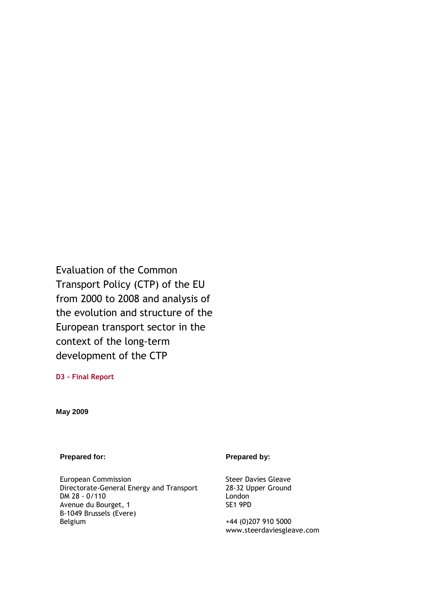Evaluation of the Common Transport Policy (CTP) of the EU from 2000 to 2008 and analysis of the evolution and structure of the European transport sector in the context of the long-term development of the CTP

**D3 - Final Report** 

**May 2009** 

**Prepared for:** Prepared by:

European Commission Directorate-General Energy and Transport DM 28 - 0/110 Avenue du Bourget, 1 B-1049 Brussels (Evere) Belgium

Steer Davies Gleave 28-32 Upper Ground London SE1 9PD

+44 (0)207 910 5000 www.steerdaviesgleave.com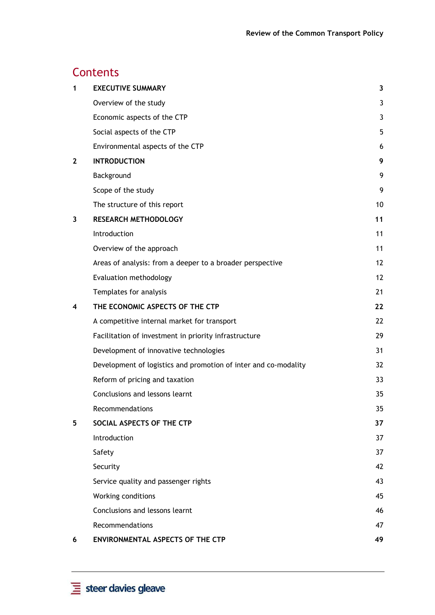# **Contents**

| 1            | <b>EXECUTIVE SUMMARY</b>                                        | 3  |
|--------------|-----------------------------------------------------------------|----|
|              | Overview of the study                                           | 3  |
|              | Economic aspects of the CTP                                     | 3  |
|              | Social aspects of the CTP                                       | 5  |
|              | Environmental aspects of the CTP                                | 6  |
| $\mathbf{2}$ | <b>INTRODUCTION</b>                                             | 9  |
|              | Background                                                      | 9  |
|              | Scope of the study                                              | 9  |
|              | The structure of this report                                    | 10 |
| 3            | <b>RESEARCH METHODOLOGY</b>                                     | 11 |
|              | Introduction                                                    | 11 |
|              | Overview of the approach                                        | 11 |
|              | Areas of analysis: from a deeper to a broader perspective       | 12 |
|              | Evaluation methodology                                          | 12 |
|              | Templates for analysis                                          | 21 |
| 4            | THE ECONOMIC ASPECTS OF THE CTP                                 | 22 |
|              | A competitive internal market for transport                     | 22 |
|              | Facilitation of investment in priority infrastructure           | 29 |
|              | Development of innovative technologies                          | 31 |
|              | Development of logistics and promotion of inter and co-modality | 32 |
|              | Reform of pricing and taxation                                  | 33 |
|              | Conclusions and lessons learnt                                  | 35 |
|              | Recommendations                                                 | 35 |
| 5            | SOCIAL ASPECTS OF THE CTP                                       | 37 |
|              | Introduction                                                    | 37 |
|              | Safety                                                          | 37 |
|              | Security                                                        | 42 |
|              | Service quality and passenger rights                            | 43 |
|              | Working conditions                                              | 45 |
|              | Conclusions and lessons learnt                                  | 46 |
|              | Recommendations                                                 | 47 |
| 6            | <b>ENVIRONMENTAL ASPECTS OF THE CTP</b>                         | 49 |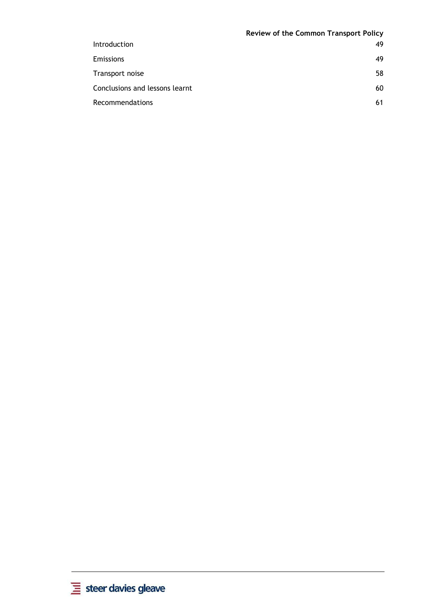|                                | Review of the Common Transport Policy |
|--------------------------------|---------------------------------------|
| <b>Introduction</b>            | 49                                    |
| Emissions                      | 49                                    |
| Transport noise                | 58                                    |
| Conclusions and lessons learnt | 60                                    |
| <b>Recommendations</b>         | 61                                    |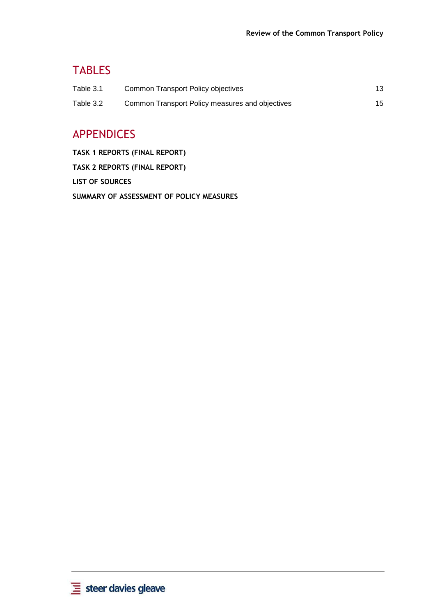# TABLES

| Table 3.1 | Common Transport Policy objectives              | 13 |
|-----------|-------------------------------------------------|----|
| Table 3.2 | Common Transport Policy measures and objectives | 15 |

# APPENDICES

**TASK 1 REPORTS (FINAL REPORT) TASK 2 REPORTS (FINAL REPORT) LIST OF SOURCES SUMMARY OF ASSESSMENT OF POLICY MEASURES**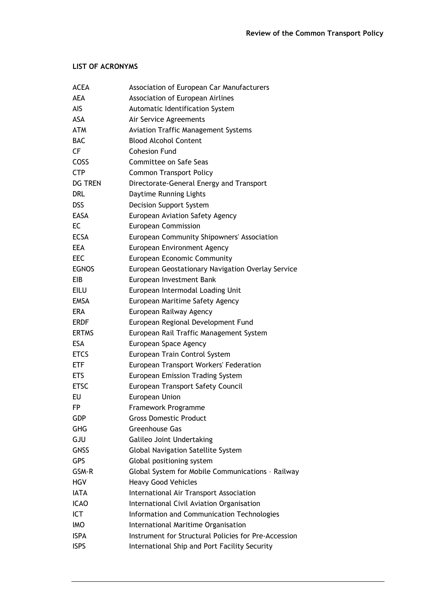### **LIST OF ACRONYMS**

| <b>ACEA</b>    | Association of European Car Manufacturers            |
|----------------|------------------------------------------------------|
| <b>AEA</b>     | Association of European Airlines                     |
| AIS            | Automatic Identification System                      |
| <b>ASA</b>     | Air Service Agreements                               |
| <b>ATM</b>     | <b>Aviation Traffic Management Systems</b>           |
| <b>BAC</b>     | <b>Blood Alcohol Content</b>                         |
| CF             | <b>Cohesion Fund</b>                                 |
| COSS           | Committee on Safe Seas                               |
| <b>CTP</b>     | <b>Common Transport Policy</b>                       |
| <b>DG TREN</b> | Directorate-General Energy and Transport             |
| <b>DRL</b>     | Daytime Running Lights                               |
| <b>DSS</b>     | Decision Support System                              |
| <b>EASA</b>    | European Aviation Safety Agency                      |
| EC             | <b>European Commission</b>                           |
| <b>ECSA</b>    | European Community Shipowners' Association           |
| <b>EEA</b>     | European Environment Agency                          |
| EEC            | European Economic Community                          |
| <b>EGNOS</b>   | European Geostationary Navigation Overlay Service    |
| EIB            | European Investment Bank                             |
| <b>EILU</b>    | European Intermodal Loading Unit                     |
| <b>EMSA</b>    | European Maritime Safety Agency                      |
| <b>ERA</b>     | European Railway Agency                              |
| <b>ERDF</b>    | European Regional Development Fund                   |
| <b>ERTMS</b>   | European Rail Traffic Management System              |
| <b>ESA</b>     | European Space Agency                                |
| <b>ETCS</b>    | European Train Control System                        |
| <b>ETF</b>     | European Transport Workers' Federation               |
| <b>ETS</b>     | European Emission Trading System                     |
| <b>ETSC</b>    | European Transport Safety Council                    |
| EU             | European Union                                       |
| FP             | Framework Programme                                  |
| <b>GDP</b>     | <b>Gross Domestic Product</b>                        |
| <b>GHG</b>     | Greenhouse Gas                                       |
| GJU            | Galileo Joint Undertaking                            |
| <b>GNSS</b>    | Global Navigation Satellite System                   |
| <b>GPS</b>     | Global positioning system                            |
| GSM-R          | Global System for Mobile Communications - Railway    |
| <b>HGV</b>     | <b>Heavy Good Vehicles</b>                           |
| <b>IATA</b>    | International Air Transport Association              |
| <b>ICAO</b>    | International Civil Aviation Organisation            |
| ICT            | Information and Communication Technologies           |
| <b>IMO</b>     | International Maritime Organisation                  |
| <b>ISPA</b>    | Instrument for Structural Policies for Pre-Accession |
| <b>ISPS</b>    | International Ship and Port Facility Security        |
|                |                                                      |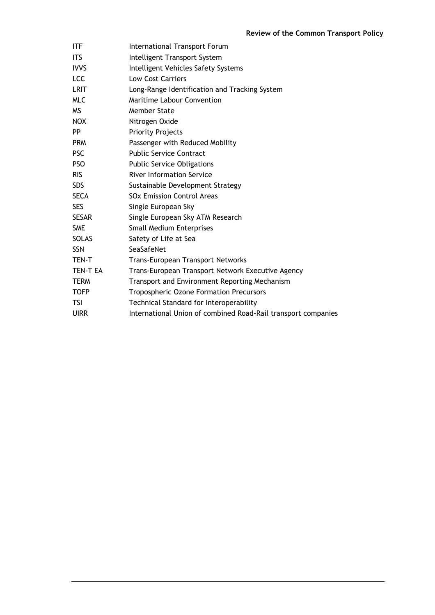| <b>ITF</b>   | <b>International Transport Forum</b>                          |
|--------------|---------------------------------------------------------------|
| <b>ITS</b>   | Intelligent Transport System                                  |
| <b>IVVS</b>  | Intelligent Vehicles Safety Systems                           |
| <b>LCC</b>   | <b>Low Cost Carriers</b>                                      |
| <b>LRIT</b>  | Long-Range Identification and Tracking System                 |
| <b>MLC</b>   | <b>Maritime Labour Convention</b>                             |
| <b>MS</b>    | Member State                                                  |
| <b>NOX</b>   | Nitrogen Oxide                                                |
| <b>PP</b>    | <b>Priority Projects</b>                                      |
| <b>PRM</b>   | Passenger with Reduced Mobility                               |
| <b>PSC</b>   | <b>Public Service Contract</b>                                |
| <b>PSO</b>   | <b>Public Service Obligations</b>                             |
| <b>RIS</b>   | <b>River Information Service</b>                              |
| <b>SDS</b>   | Sustainable Development Strategy                              |
| <b>SECA</b>  | <b>SOx Emission Control Areas</b>                             |
| <b>SES</b>   | Single European Sky                                           |
| <b>SESAR</b> | Single European Sky ATM Research                              |
| <b>SME</b>   | Small Medium Enterprises                                      |
| <b>SOLAS</b> | Safety of Life at Sea                                         |
| <b>SSN</b>   | SeaSafeNet                                                    |
| TEN-T        | <b>Trans-European Transport Networks</b>                      |
| TEN-T EA     | Trans-European Transport Network Executive Agency             |
| <b>TERM</b>  | Transport and Environment Reporting Mechanism                 |
| <b>TOFP</b>  | <b>Tropospheric Ozone Formation Precursors</b>                |
| <b>TSI</b>   | Technical Standard for Interoperability                       |
| <b>UIRR</b>  | International Union of combined Road-Rail transport companies |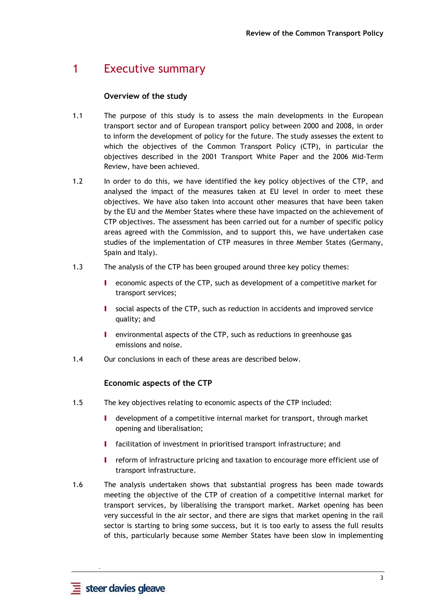# 1 Executive summary

# **Overview of the study**

- 1.1 The purpose of this study is to assess the main developments in the European transport sector and of European transport policy between 2000 and 2008, in order to inform the development of policy for the future. The study assesses the extent to which the objectives of the Common Transport Policy (CTP), in particular the objectives described in the 2001 Transport White Paper and the 2006 Mid-Term Review, have been achieved.
- 1.2 In order to do this, we have identified the key policy objectives of the CTP, and analysed the impact of the measures taken at EU level in order to meet these objectives. We have also taken into account other measures that have been taken by the EU and the Member States where these have impacted on the achievement of CTP objectives. The assessment has been carried out for a number of specific policy areas agreed with the Commission, and to support this, we have undertaken case studies of the implementation of CTP measures in three Member States (Germany, Spain and Italy).
- 1.3 The analysis of the CTP has been grouped around three key policy themes:
	- I economic aspects of the CTP, such as development of a competitive market for transport services;
	- I social aspects of the CTP, such as reduction in accidents and improved service quality; and
	- I environmental aspects of the CTP, such as reductions in greenhouse gas emissions and noise.
- 1.4 Our conclusions in each of these areas are described below.

# **Economic aspects of the CTP**

- 1.5 The key objectives relating to economic aspects of the CTP included:
	- I development of a competitive internal market for transport, through market opening and liberalisation;
	- I facilitation of investment in prioritised transport infrastructure; and
	- I reform of infrastructure pricing and taxation to encourage more efficient use of transport infrastructure.
- 1.6 The analysis undertaken shows that substantial progress has been made towards meeting the objective of the CTP of creation of a competitive internal market for transport services, by liberalising the transport market. Market opening has been very successful in the air sector, and there are signs that market opening in the rail sector is starting to bring some success, but it is too early to assess the full results of this, particularly because some Member States have been slow in implementing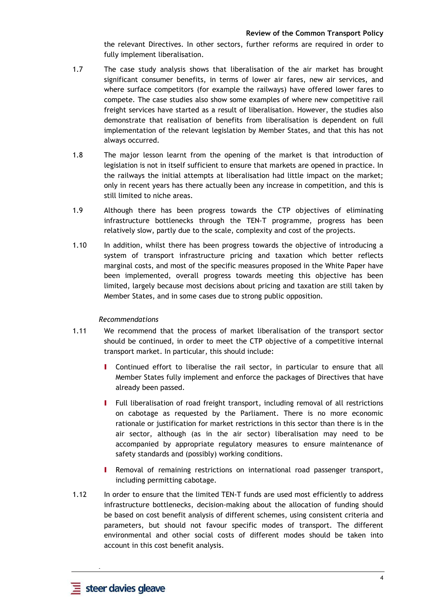the relevant Directives. In other sectors, further reforms are required in order to fully implement liberalisation.

- 1.7 The case study analysis shows that liberalisation of the air market has brought significant consumer benefits, in terms of lower air fares, new air services, and where surface competitors (for example the railways) have offered lower fares to compete. The case studies also show some examples of where new competitive rail freight services have started as a result of liberalisation. However, the studies also demonstrate that realisation of benefits from liberalisation is dependent on full implementation of the relevant legislation by Member States, and that this has not always occurred.
- 1.8 The major lesson learnt from the opening of the market is that introduction of legislation is not in itself sufficient to ensure that markets are opened in practice. In the railways the initial attempts at liberalisation had little impact on the market; only in recent years has there actually been any increase in competition, and this is still limited to niche areas.
- 1.9 Although there has been progress towards the CTP objectives of eliminating infrastructure bottlenecks through the TEN-T programme, progress has been relatively slow, partly due to the scale, complexity and cost of the projects.
- 1.10 In addition, whilst there has been progress towards the objective of introducing a system of transport infrastructure pricing and taxation which better reflects marginal costs, and most of the specific measures proposed in the White Paper have been implemented, overall progress towards meeting this objective has been limited, largely because most decisions about pricing and taxation are still taken by Member States, and in some cases due to strong public opposition.

#### *Recommendations*

- 1.11 We recommend that the process of market liberalisation of the transport sector should be continued, in order to meet the CTP objective of a competitive internal transport market. In particular, this should include:
	- I Continued effort to liberalise the rail sector, in particular to ensure that all Member States fully implement and enforce the packages of Directives that have already been passed.
	- I Full liberalisation of road freight transport, including removal of all restrictions on cabotage as requested by the Parliament. There is no more economic rationale or justification for market restrictions in this sector than there is in the air sector, although (as in the air sector) liberalisation may need to be accompanied by appropriate regulatory measures to ensure maintenance of safety standards and (possibly) working conditions.
	- I Removal of remaining restrictions on international road passenger transport, including permitting cabotage.
- 1.12 In order to ensure that the limited TEN-T funds are used most efficiently to address infrastructure bottlenecks, decision-making about the allocation of funding should be based on cost benefit analysis of different schemes, using consistent criteria and parameters, but should not favour specific modes of transport. The different environmental and other social costs of different modes should be taken into account in this cost benefit analysis.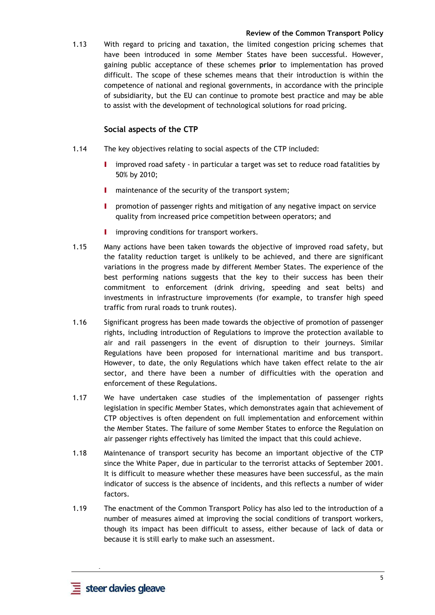1.13 With regard to pricing and taxation, the limited congestion pricing schemes that have been introduced in some Member States have been successful. However, gaining public acceptance of these schemes **prior** to implementation has proved difficult. The scope of these schemes means that their introduction is within the competence of national and regional governments, in accordance with the principle of subsidiarity, but the EU can continue to promote best practice and may be able to assist with the development of technological solutions for road pricing.

### **Social aspects of the CTP**

- 1.14 The key objectives relating to social aspects of the CTP included:
	- I improved road safety in particular a target was set to reduce road fatalities by 50% by 2010;
	- I maintenance of the security of the transport system;
	- I promotion of passenger rights and mitigation of any negative impact on service quality from increased price competition between operators; and
	- **I** improving conditions for transport workers.
- 1.15 Many actions have been taken towards the objective of improved road safety, but the fatality reduction target is unlikely to be achieved, and there are significant variations in the progress made by different Member States. The experience of the best performing nations suggests that the key to their success has been their commitment to enforcement (drink driving, speeding and seat belts) and investments in infrastructure improvements (for example, to transfer high speed traffic from rural roads to trunk routes).
- 1.16 Significant progress has been made towards the objective of promotion of passenger rights, including introduction of Regulations to improve the protection available to air and rail passengers in the event of disruption to their journeys. Similar Regulations have been proposed for international maritime and bus transport. However, to date, the only Regulations which have taken effect relate to the air sector, and there have been a number of difficulties with the operation and enforcement of these Regulations.
- 1.17 We have undertaken case studies of the implementation of passenger rights legislation in specific Member States, which demonstrates again that achievement of CTP objectives is often dependent on full implementation and enforcement within the Member States. The failure of some Member States to enforce the Regulation on air passenger rights effectively has limited the impact that this could achieve.
- 1.18 Maintenance of transport security has become an important objective of the CTP since the White Paper, due in particular to the terrorist attacks of September 2001. It is difficult to measure whether these measures have been successful, as the main indicator of success is the absence of incidents, and this reflects a number of wider factors.
- 1.19 The enactment of the Common Transport Policy has also led to the introduction of a number of measures aimed at improving the social conditions of transport workers, though its impact has been difficult to assess, either because of lack of data or because it is still early to make such an assessment.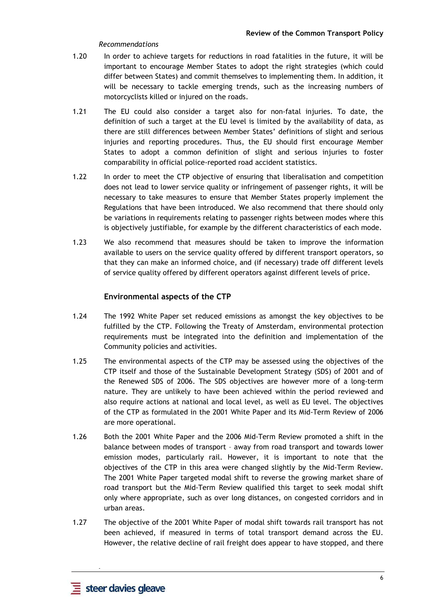#### *Recommendations*

- 1.20 In order to achieve targets for reductions in road fatalities in the future, it will be important to encourage Member States to adopt the right strategies (which could differ between States) and commit themselves to implementing them. In addition, it will be necessary to tackle emerging trends, such as the increasing numbers of motorcyclists killed or injured on the roads.
- 1.21 The EU could also consider a target also for non-fatal injuries. To date, the definition of such a target at the EU level is limited by the availability of data, as there are still differences between Member States' definitions of slight and serious injuries and reporting procedures. Thus, the EU should first encourage Member States to adopt a common definition of slight and serious injuries to foster comparability in official police-reported road accident statistics.
- 1.22 In order to meet the CTP objective of ensuring that liberalisation and competition does not lead to lower service quality or infringement of passenger rights, it will be necessary to take measures to ensure that Member States properly implement the Regulations that have been introduced. We also recommend that there should only be variations in requirements relating to passenger rights between modes where this is objectively justifiable, for example by the different characteristics of each mode.
- 1.23 We also recommend that measures should be taken to improve the information available to users on the service quality offered by different transport operators, so that they can make an informed choice, and (if necessary) trade off different levels of service quality offered by different operators against different levels of price.

# **Environmental aspects of the CTP**

- 1.24 The 1992 White Paper set reduced emissions as amongst the key objectives to be fulfilled by the CTP. Following the Treaty of Amsterdam, environmental protection requirements must be integrated into the definition and implementation of the Community policies and activities.
- 1.25 The environmental aspects of the CTP may be assessed using the objectives of the CTP itself and those of the Sustainable Development Strategy (SDS) of 2001 and of the Renewed SDS of 2006. The SDS objectives are however more of a long-term nature. They are unlikely to have been achieved within the period reviewed and also require actions at national and local level, as well as EU level. The objectives of the CTP as formulated in the 2001 White Paper and its Mid-Term Review of 2006 are more operational.
- 1.26 Both the 2001 White Paper and the 2006 Mid-Term Review promoted a shift in the balance between modes of transport – away from road transport and towards lower emission modes, particularly rail. However, it is important to note that the objectives of the CTP in this area were changed slightly by the Mid-Term Review. The 2001 White Paper targeted modal shift to reverse the growing market share of road transport but the Mid-Term Review qualified this target to seek modal shift only where appropriate, such as over long distances, on congested corridors and in urban areas.
- 1.27 The objective of the 2001 White Paper of modal shift towards rail transport has not been achieved, if measured in terms of total transport demand across the EU. However, the relative decline of rail freight does appear to have stopped, and there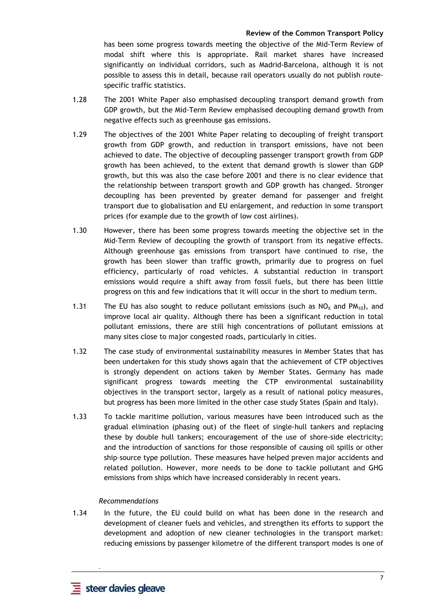has been some progress towards meeting the objective of the Mid-Term Review of modal shift where this is appropriate. Rail market shares have increased significantly on individual corridors, such as Madrid-Barcelona, although it is not possible to assess this in detail, because rail operators usually do not publish routespecific traffic statistics.

- 1.28 The 2001 White Paper also emphasised decoupling transport demand growth from GDP growth, but the Mid-Term Review emphasised decoupling demand growth from negative effects such as greenhouse gas emissions.
- 1.29 The objectives of the 2001 White Paper relating to decoupling of freight transport growth from GDP growth, and reduction in transport emissions, have not been achieved to date. The objective of decoupling passenger transport growth from GDP growth has been achieved, to the extent that demand growth is slower than GDP growth, but this was also the case before 2001 and there is no clear evidence that the relationship between transport growth and GDP growth has changed. Stronger decoupling has been prevented by greater demand for passenger and freight transport due to globalisation and EU enlargement, and reduction in some transport prices (for example due to the growth of low cost airlines).
- 1.30 However, there has been some progress towards meeting the objective set in the Mid-Term Review of decoupling the growth of transport from its negative effects. Although greenhouse gas emissions from transport have continued to rise, the growth has been slower than traffic growth, primarily due to progress on fuel efficiency, particularly of road vehicles. A substantial reduction in transport emissions would require a shift away from fossil fuels, but there has been little progress on this and few indications that it will occur in the short to medium term.
- 1.31 The EU has also sought to reduce pollutant emissions (such as  $NO<sub>X</sub>$  and  $PM<sub>10</sub>$ ), and improve local air quality. Although there has been a significant reduction in total pollutant emissions, there are still high concentrations of pollutant emissions at many sites close to major congested roads, particularly in cities.
- 1.32 The case study of environmental sustainability measures in Member States that has been undertaken for this study shows again that the achievement of CTP objectives is strongly dependent on actions taken by Member States. Germany has made significant progress towards meeting the CTP environmental sustainability objectives in the transport sector, largely as a result of national policy measures, but progress has been more limited in the other case study States (Spain and Italy).
- 1.33 To tackle maritime pollution, various measures have been introduced such as the gradual elimination (phasing out) of the fleet of single-hull tankers and replacing these by double hull tankers; encouragement of the use of shore-side electricity; and the introduction of sanctions for those responsible of causing oil spills or other ship–source type pollution. These measures have helped preven major accidents and related pollution. However, more needs to be done to tackle pollutant and GHG emissions from ships which have increased considerably in recent years.

#### *Recommendations*

1.34 In the future, the EU could build on what has been done in the research and development of cleaner fuels and vehicles, and strengthen its efforts to support the development and adoption of new cleaner technologies in the transport market: reducing emissions by passenger kilometre of the different transport modes is one of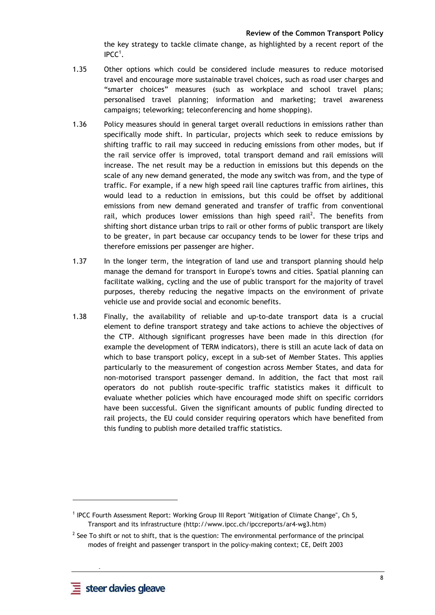the key strategy to tackle climate change, as highlighted by a recent report of the  $\mathsf{IPCC}^1$ .

- 1.35 Other options which could be considered include measures to reduce motorised travel and encourage more sustainable travel choices, such as road user charges and "smarter choices" measures (such as workplace and school travel plans; personalised travel planning; information and marketing; travel awareness campaigns; teleworking; teleconferencing and home shopping).
- 1.36 Policy measures should in general target overall reductions in emissions rather than specifically mode shift. In particular, projects which seek to reduce emissions by shifting traffic to rail may succeed in reducing emissions from other modes, but if the rail service offer is improved, total transport demand and rail emissions will increase. The net result may be a reduction in emissions but this depends on the scale of any new demand generated, the mode any switch was from, and the type of traffic. For example, if a new high speed rail line captures traffic from airlines, this would lead to a reduction in emissions, but this could be offset by additional emissions from new demand generated and transfer of traffic from conventional rail, which produces lower emissions than high speed rail<sup>2</sup>. The benefits from shifting short distance urban trips to rail or other forms of public transport are likely to be greater, in part because car occupancy tends to be lower for these trips and therefore emissions per passenger are higher.
- 1.37 In the longer term, the integration of land use and transport planning should help manage the demand for transport in Europe's towns and cities. Spatial planning can facilitate walking, cycling and the use of public transport for the majority of travel purposes, thereby reducing the negative impacts on the environment of private vehicle use and provide social and economic benefits.
- 1.38 Finally, the availability of reliable and up-to-date transport data is a crucial element to define transport strategy and take actions to achieve the objectives of the CTP. Although significant progresses have been made in this direction (for example the development of TERM indicators), there is still an acute lack of data on which to base transport policy, except in a sub-set of Member States. This applies particularly to the measurement of congestion across Member States, and data for non-motorised transport passenger demand. In addition, the fact that most rail operators do not publish route-specific traffic statistics makes it difficult to evaluate whether policies which have encouraged mode shift on specific corridors have been successful. Given the significant amounts of public funding directed to rail projects, the EU could consider requiring operators which have benefited from this funding to publish more detailed traffic statistics.

 **-** 

l

<sup>&</sup>lt;sup>1</sup> IPCC Fourth Assessment Report: Working Group III Report "Mitigation of Climate Change", Ch 5, Transport and its infrastructure (http://www.ipcc.ch/ipccreports/ar4-wg3.htm)

 $<sup>2</sup>$  See To shift or not to shift, that is the question: The environmental performance of the principal</sup> modes of freight and passenger transport in the policy-making context; CE, Delft 2003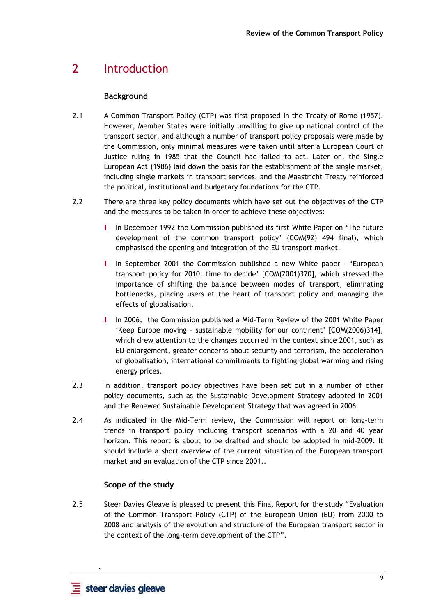# 2 Introduction

# **Background**

- 2.1 A Common Transport Policy (CTP) was first proposed in the Treaty of Rome (1957). However, Member States were initially unwilling to give up national control of the transport sector, and although a number of transport policy proposals were made by the Commission, only minimal measures were taken until after a European Court of Justice ruling in 1985 that the Council had failed to act. Later on, the Single European Act (1986) laid down the basis for the establishment of the single market, including single markets in transport services, and the Maastricht Treaty reinforced the political, institutional and budgetary foundations for the CTP.
- 2.2 There are three key policy documents which have set out the objectives of the CTP and the measures to be taken in order to achieve these objectives:
	- In December 1992 the Commission published its first White Paper on 'The future development of the common transport policy' (COM(92) 494 final), which emphasised the opening and integration of the EU transport market.
	- I In September 2001 the Commission published a new White paper 'European transport policy for 2010: time to decide' [COM(2001)370], which stressed the importance of shifting the balance between modes of transport, eliminating bottlenecks, placing users at the heart of transport policy and managing the effects of globalisation.
	- I In 2006, the Commission published a Mid-Term Review of the 2001 White Paper 'Keep Europe moving – sustainable mobility for our continent' [COM(2006)314], which drew attention to the changes occurred in the context since 2001, such as EU enlargement, greater concerns about security and terrorism, the acceleration of globalisation, international commitments to fighting global warming and rising energy prices.
- 2.3 In addition, transport policy objectives have been set out in a number of other policy documents, such as the Sustainable Development Strategy adopted in 2001 and the Renewed Sustainable Development Strategy that was agreed in 2006.
- 2.4 As indicated in the Mid-Term review, the Commission will report on long-term trends in transport policy including transport scenarios with a 20 and 40 year horizon. This report is about to be drafted and should be adopted in mid-2009. It should include a short overview of the current situation of the European transport market and an evaluation of the CTP since 2001..

# **Scope of the study**

2.5 Steer Davies Gleave is pleased to present this Final Report for the study "Evaluation of the Common Transport Policy (CTP) of the European Union (EU) from 2000 to 2008 and analysis of the evolution and structure of the European transport sector in the context of the long-term development of the CTP".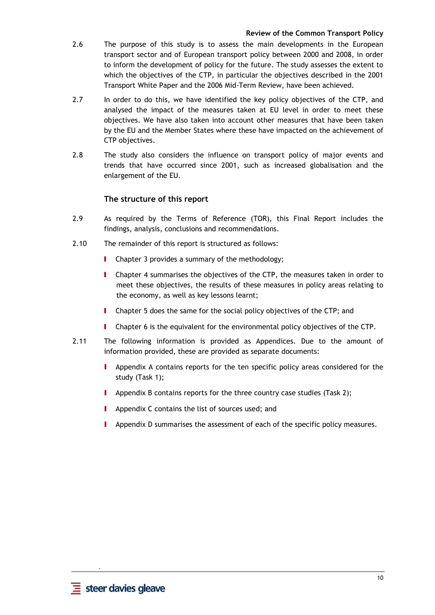- 2.6 The purpose of this study is to assess the main developments in the European transport sector and of European transport policy between 2000 and 2008, in order to inform the development of policy for the future. The study assesses the extent to which the objectives of the CTP, in particular the objectives described in the 2001 Transport White Paper and the 2006 Mid-Term Review, have been achieved.
- 2.7 In order to do this, we have identified the key policy objectives of the CTP, and analysed the impact of the measures taken at EU level in order to meet these objectives. We have also taken into account other measures that have been taken by the EU and the Member States where these have impacted on the achievement of CTP objectives.
- 2.8 The study also considers the influence on transport policy of major events and trends that have occurred since 2001, such as increased globalisation and the enlargement of the EU.

# **The structure of this report**

- 2.9 As required by the Terms of Reference (TOR), this Final Report includes the findings, analysis, conclusions and recommendations.
- 2.10 The remainder of this report is structured as follows:
	- **I** Chapter 3 provides a summary of the methodology;
	- I Chapter 4 summarises the objectives of the CTP, the measures taken in order to meet these objectives, the results of these measures in policy areas relating to the economy, as well as key lessons learnt;
	- I Chapter 5 does the same for the social policy objectives of the CTP; and
	- I Chapter 6 is the equivalent for the environmental policy objectives of the CTP.
- 2.11 The following information is provided as Appendices. Due to the amount of information provided, these are provided as separate documents:
	- I Appendix A contains reports for the ten specific policy areas considered for the study (Task 1);
	- **I** Appendix B contains reports for the three country case studies (Task 2);
	- **I** Appendix C contains the list of sources used; and
	- **I** Appendix D summarises the assessment of each of the specific policy measures.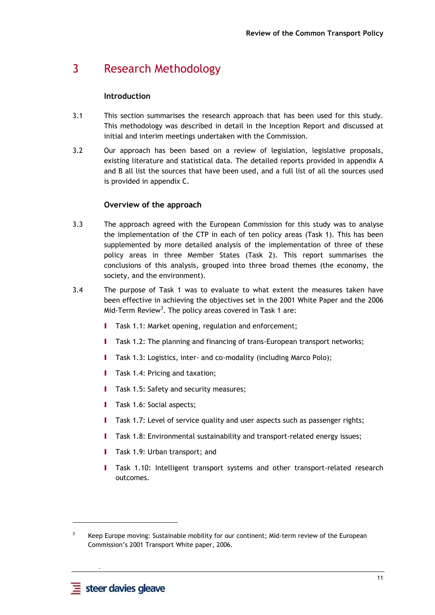# 3 Research Methodology

# **Introduction**

- 3.1 This section summarises the research approach that has been used for this study. This methodology was described in detail in the Inception Report and discussed at initial and interim meetings undertaken with the Commission.
- 3.2 Our approach has been based on a review of legislation, legislative proposals, existing literature and statistical data. The detailed reports provided in appendix A and B all list the sources that have been used, and a full list of all the sources used is provided in appendix C.

# **Overview of the approach**

- 3.3 The approach agreed with the European Commission for this study was to analyse the implementation of the CTP in each of ten policy areas (Task 1). This has been supplemented by more detailed analysis of the implementation of three of these policy areas in three Member States (Task 2). This report summarises the conclusions of this analysis, grouped into three broad themes (the economy, the society, and the environment).
- 3.4 The purpose of Task 1 was to evaluate to what extent the measures taken have been effective in achieving the objectives set in the 2001 White Paper and the 2006 Mid-Term Review<sup>3</sup>. The policy areas covered in Task 1 are:
	- Task 1.1: Market opening, regulation and enforcement;
	- I Task 1.2: The planning and financing of trans-European transport networks;
	- **I** Task 1.3: Logistics, inter- and co-modality (including Marco Polo);
	- **I** Task 1.4: Pricing and taxation:
	- **I** Task 1.5: Safety and security measures;
	- **I** Task 1.6: Social aspects;
	- I Task 1.7: Level of service quality and user aspects such as passenger rights;
	- I Task 1.8: Environmental sustainability and transport-related energy issues;
	- **I** Task 1.9: Urban transport; and
	- I Task 1.10: Intelligent transport systems and other transport-related research outcomes.

 **-** 

l

<sup>3</sup> Keep Europe moving: Sustainable mobility for our continent; Mid-term review of the European Commission's 2001 Transport White paper, 2006.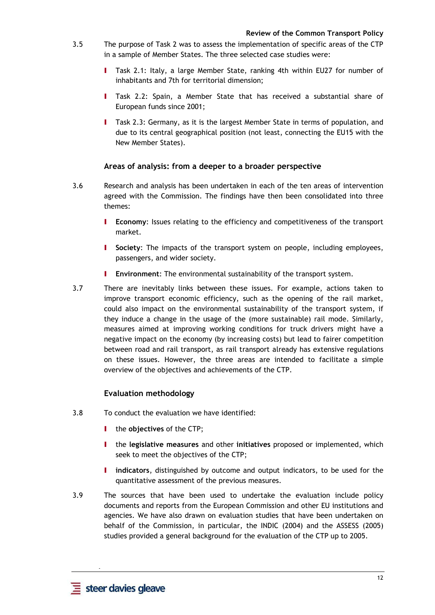- 3.5 The purpose of Task 2 was to assess the implementation of specific areas of the CTP in a sample of Member States. The three selected case studies were:
	- I Task 2.1: Italy, a large Member State, ranking 4th within EU27 for number of inhabitants and 7th for territorial dimension;
	- Task 2.2: Spain, a Member State that has received a substantial share of European funds since 2001;
	- I Task 2.3: Germany, as it is the largest Member State in terms of population, and due to its central geographical position (not least, connecting the EU15 with the New Member States).

# **Areas of analysis: from a deeper to a broader perspective**

- 3.6 Research and analysis has been undertaken in each of the ten areas of intervention agreed with the Commission. The findings have then been consolidated into three themes:
	- I **Economy**: Issues relating to the efficiency and competitiveness of the transport market.
	- I **Society**: The impacts of the transport system on people, including employees, passengers, and wider society.
	- I **Environment**: The environmental sustainability of the transport system.
- 3.7 There are inevitably links between these issues. For example, actions taken to improve transport economic efficiency, such as the opening of the rail market, could also impact on the environmental sustainability of the transport system, if they induce a change in the usage of the (more sustainable) rail mode. Similarly, measures aimed at improving working conditions for truck drivers might have a negative impact on the economy (by increasing costs) but lead to fairer competition between road and rail transport, as rail transport already has extensive regulations on these issues. However, the three areas are intended to facilitate a simple overview of the objectives and achievements of the CTP.

# **Evaluation methodology**

- 3.8 To conduct the evaluation we have identified:
	- I the **objectives** of the CTP;
	- I the **legislative measures** and other **initiatives** proposed or implemented, which seek to meet the objectives of the CTP;
	- I **indicators**, distinguished by outcome and output indicators, to be used for the quantitative assessment of the previous measures.
- 3.9 The sources that have been used to undertake the evaluation include policy documents and reports from the European Commission and other EU institutions and agencies. We have also drawn on evaluation studies that have been undertaken on behalf of the Commission, in particular, the INDIC (2004) and the ASSESS (2005) studies provided a general background for the evaluation of the CTP up to 2005.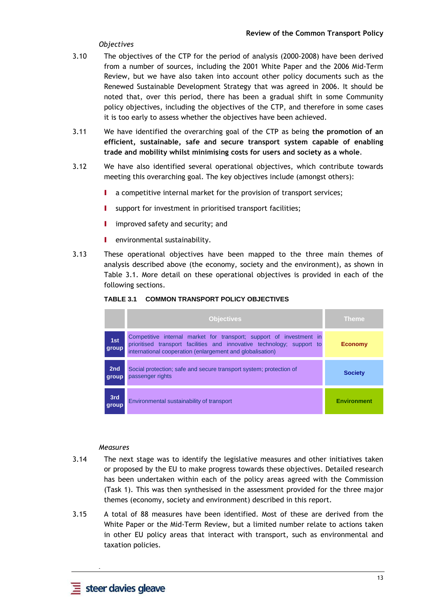# *Objectives*

- 3.10 The objectives of the CTP for the period of analysis (2000-2008) have been derived from a number of sources, including the 2001 White Paper and the 2006 Mid-Term Review, but we have also taken into account other policy documents such as the Renewed Sustainable Development Strategy that was agreed in 2006. It should be noted that, over this period, there has been a gradual shift in some Community policy objectives, including the objectives of the CTP, and therefore in some cases it is too early to assess whether the objectives have been achieved.
- 3.11 We have identified the overarching goal of the CTP as being **the promotion of an efficient, sustainable, safe and secure transport system capable of enabling trade and mobility whilst minimising costs for users and society as a whole**.
- 3.12 We have also identified several operational objectives, which contribute towards meeting this overarching goal. The key objectives include (amongst others):
	- I a competitive internal market for the provision of transport services;
	- **I** support for investment in prioritised transport facilities;
	- **I** improved safety and security; and
	- **I** environmental sustainability.
- 3.13 These operational objectives have been mapped to the three main themes of analysis described above (the economy, society and the environment), as shown in Table 3.1. More detail on these operational objectives is provided in each of the following sections.

|                          | <b>Objectives</b>                                                                                                                                                                                          | <b>Theme</b>       |
|--------------------------|------------------------------------------------------------------------------------------------------------------------------------------------------------------------------------------------------------|--------------------|
| 1st<br>group             | Competitive internal market for transport; support of investment in<br>prioritised transport facilities and innovative technology; support to<br>international cooperation (enlargement and globalisation) | <b>Economy</b>     |
| 2 <sub>nd</sub><br>group | Social protection; safe and secure transport system; protection of<br>passenger rights                                                                                                                     | <b>Society</b>     |
| 3rd<br>group             | Environmental sustainability of transport                                                                                                                                                                  | <b>Environment</b> |

#### **TABLE 3.1 COMMON TRANSPORT POLICY OBJECTIVES**

#### *Measures*

- 3.14 The next stage was to identify the legislative measures and other initiatives taken or proposed by the EU to make progress towards these objectives. Detailed research has been undertaken within each of the policy areas agreed with the Commission (Task 1). This was then synthesised in the assessment provided for the three major themes (economy, society and environment) described in this report.
- 3.15 A total of 88 measures have been identified. Most of these are derived from the White Paper or the Mid-Term Review, but a limited number relate to actions taken in other EU policy areas that interact with transport, such as environmental and taxation policies.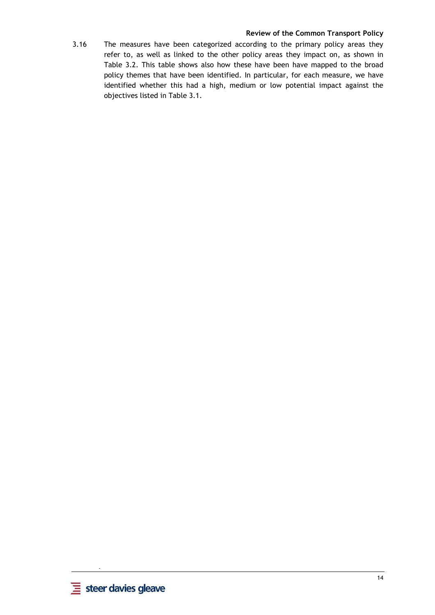3.16 The measures have been categorized according to the primary policy areas they refer to, as well as linked to the other policy areas they impact on, as shown in Table 3.2. This table shows also how these have been have mapped to the broad policy themes that have been identified. In particular, for each measure, we have identified whether this had a high, medium or low potential impact against the objectives listed in Table 3.1.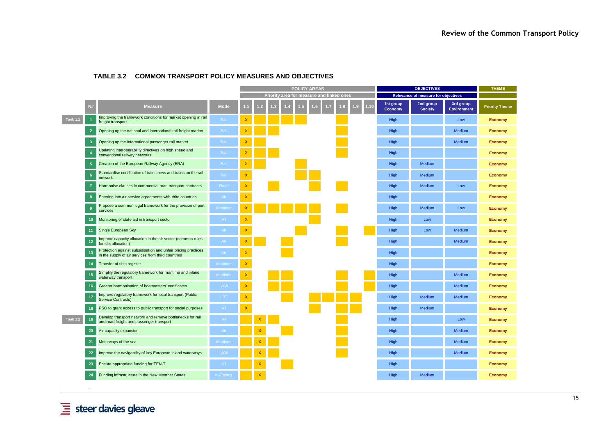|                 |                |                                                                                                                     |             | <b>POLICY AREAS</b>       |                |   |  |     |                |                                           | <b>OBJECTIVES</b> |             | <b>THEME</b>                |                                     |                                 |                       |
|-----------------|----------------|---------------------------------------------------------------------------------------------------------------------|-------------|---------------------------|----------------|---|--|-----|----------------|-------------------------------------------|-------------------|-------------|-----------------------------|-------------------------------------|---------------------------------|-----------------------|
|                 |                |                                                                                                                     |             |                           |                |   |  |     |                | Priority area for measure and linked ones |                   |             |                             | Relevance of measure for objectives |                                 |                       |
|                 | <b>N#</b>      | <b>Measure</b>                                                                                                      | <b>Mode</b> |                           | $\overline{2}$ | B |  | . 5 | 6 <sub>6</sub> | 1.7                                       | $\overline{.3}$   | 1.9<br>1.10 | 1st group<br><b>Economy</b> | 2nd group<br><b>Society</b>         | 3rd group<br><b>Environment</b> | <b>Priority Theme</b> |
| <b>Task 1.1</b> |                | Improving the framework conditions for market opening in rail<br>freight transport                                  | Rail        | X                         |                |   |  |     |                |                                           |                   |             | High                        |                                     | Low                             | <b>Economy</b>        |
|                 | $\overline{2}$ | Opening up the national and international rail freight market                                                       | Rail        |                           |                |   |  |     |                |                                           |                   |             | High                        |                                     | Medium                          | <b>Economy</b>        |
|                 | -3             | Opening up the international passenger rail market                                                                  | Rail        |                           |                |   |  |     |                |                                           |                   |             | High                        |                                     | Medium                          | <b>Economy</b>        |
|                 |                | Updating interoperability directives on high speed and<br>conventional railway networks                             | Rail        |                           |                |   |  |     |                |                                           |                   |             | High                        |                                     |                                 | <b>Economy</b>        |
|                 |                | Creation of the European Railway Agency (ERA)                                                                       | Rail        |                           |                |   |  |     |                |                                           |                   |             | High                        | Medium                              |                                 | <b>Economy</b>        |
|                 | 6              | Standardise certification of train crews and trains on the rail<br>network                                          | Rail        | $\mathsf X$               |                |   |  |     |                |                                           |                   |             | High                        | Medium                              |                                 | <b>Economy</b>        |
|                 |                | Harmonise clauses in commercial road transport contracts                                                            | Road        | $\mathsf X$               |                |   |  |     |                |                                           |                   |             | High                        | Medium                              | Low                             | <b>Economy</b>        |
|                 | -8             | Entering into air service agreements with third countries                                                           | Air         | $\mathsf{x}$              |                |   |  |     |                |                                           |                   |             | High                        |                                     |                                 | <b>Economy</b>        |
|                 | 9              | Propose a common legal framework for the provision of port<br>services                                              | Maritime    | $\boldsymbol{\mathsf{x}}$ |                |   |  |     |                |                                           |                   |             | High                        | Medium                              | Low                             | <b>Economy</b>        |
|                 | 10             | Monitoring of state aid in transport sector                                                                         | All         | $\boldsymbol{\mathsf{x}}$ |                |   |  |     |                |                                           |                   |             | High                        | Low                                 |                                 | <b>Economy</b>        |
|                 | 11             | Single European Sky                                                                                                 | Air         | $\boldsymbol{\mathsf{X}}$ |                |   |  |     |                |                                           |                   |             | High                        | Low                                 | Medium                          | <b>Economy</b>        |
|                 | 12             | Improve capacity allocation in the air sector (common rules<br>for slot allocation)                                 | Air         | $\pmb{\mathsf{X}}$        |                |   |  |     |                |                                           |                   |             | High                        |                                     | Medium                          | <b>Economy</b>        |
|                 | 13             | Protection against subsidisation and unfair pricing practices<br>in the supply of air services from third countries | Air         | $\mathsf X$               |                |   |  |     |                |                                           |                   |             | High                        |                                     |                                 | <b>Economy</b>        |
|                 | 14             | Transfer of ship register                                                                                           | Maritime    | $\mathsf X$               |                |   |  |     |                |                                           |                   |             | High                        |                                     |                                 | <b>Economy</b>        |
|                 | 15             | Simplify the regulatory framework for maritime and inland<br>waterway transport                                     | Maritime    | $\mathsf X$               |                |   |  |     |                |                                           |                   |             | High                        |                                     | Medium                          | <b>Economy</b>        |
|                 | 16             | Greater harmonisation of boatmasters' certificates                                                                  | <b>IWW</b>  | $\mathsf X$               |                |   |  |     |                |                                           |                   |             | High                        |                                     | Medium                          | <b>Economy</b>        |
|                 | 17             | Improve regulatory framework for local transport (Public<br><b>Service Contracts)</b>                               | LPT         | $\mathsf X$               |                |   |  |     |                |                                           |                   |             | High                        | Medium                              | Medium                          | <b>Economy</b>        |
|                 | 18             | PSO to grant access to public transport for social purposes                                                         | AII         | $\mathsf{x}$              |                |   |  |     |                |                                           |                   |             | High                        | Medium                              |                                 | <b>Economy</b>        |
| <b>Task 1.2</b> | 19             | Develop transport network and remove bottlenecks for rail<br>and road freight and passenger transport               | AII         |                           |                |   |  |     |                |                                           |                   |             | High                        |                                     | Low                             | <b>Economy</b>        |
|                 | 20             | Air capacity expansion                                                                                              | Air         |                           |                |   |  |     |                |                                           |                   |             | High                        |                                     | Medium                          | <b>Economy</b>        |
|                 | 21             | Motorways of the sea                                                                                                | Maritime    |                           |                |   |  |     |                |                                           |                   |             | High                        |                                     | Medium                          | <b>Economy</b>        |
|                 | 22             | Improve the navigability of key European inland waterways                                                           | <b>IWW</b>  |                           |                |   |  |     |                |                                           |                   |             | High                        |                                     | Medium                          | <b>Economy</b>        |
|                 | 23             | Ensure appropriate funding for TEN-T                                                                                | AII         |                           |                |   |  |     |                |                                           |                   |             | High                        |                                     |                                 | <b>Economy</b>        |
|                 | 24             | Funding infrastructure in the New Member States                                                                     | All/Enlard  |                           |                |   |  |     |                |                                           |                   |             | High                        | Medium                              |                                 | <b>Economy</b>        |

#### **TABLE 3.2 COMMON TRANSPORT POLICY MEASURES AND OBJECTIVES**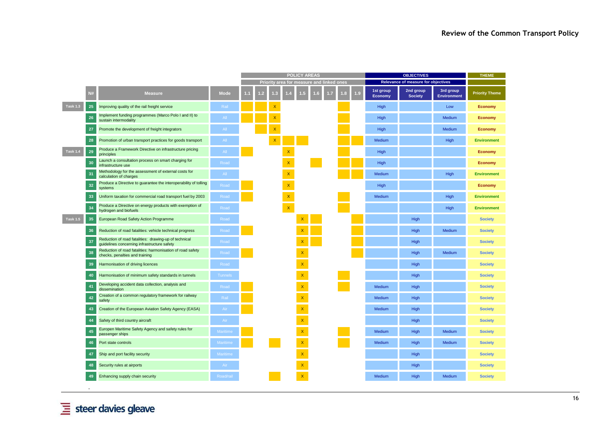|                 |           |                                                                                                      |                 | <b>POLICY AREAS</b><br><b>OBJECTIVES</b> |    |   |                    |                                           | <b>THEME</b> |    |     |                             |                                     |                                 |                       |
|-----------------|-----------|------------------------------------------------------------------------------------------------------|-----------------|------------------------------------------|----|---|--------------------|-------------------------------------------|--------------|----|-----|-----------------------------|-------------------------------------|---------------------------------|-----------------------|
|                 |           |                                                                                                      |                 |                                          |    |   |                    | Priority area for measure and linked ones |              |    |     |                             | Relevance of measure for objectives |                                 |                       |
|                 | <b>N#</b> | <b>Measure</b>                                                                                       | <b>Mode</b>     |                                          | -2 | ĸ |                    |                                           | $\mathbb{R}$ | W. | 1.9 | 1st group<br><b>Economy</b> | 2nd group<br><b>Society</b>         | 3rd group<br><b>Environment</b> | <b>Priority Theme</b> |
| <b>Task 1.3</b> | 25        | Improving quality of the rail freight service                                                        | Rail            |                                          |    |   |                    |                                           |              |    |     | High                        |                                     | Low                             | Economy               |
|                 | 26        | Implement funding programmes (Marco Polo I and II) to<br>sustain intermodality                       | All             |                                          |    |   |                    |                                           |              |    |     | High                        |                                     | Medium                          | <b>Economy</b>        |
|                 | 27        | Promote the development of freight integrators                                                       | All             |                                          |    |   |                    |                                           |              |    |     | High                        |                                     | Medium                          | Economy               |
|                 | 28        | Promotion of urban transport practices for goods transport                                           | All             |                                          |    |   |                    |                                           |              |    |     | Medium                      |                                     | High                            | <b>Environment</b>    |
| <b>Task 1.4</b> | 29        | Produce a Framework Directive on infrastructure pricing<br>principles                                | All             |                                          |    |   | $\mathsf X$        |                                           |              |    |     | High                        |                                     |                                 | Economy               |
|                 | 30        | Launch a consultation process on smart charging for<br>infrastructure use                            | Road            |                                          |    |   | $\mathsf X$        |                                           |              |    |     | High                        |                                     |                                 | Economy               |
|                 | 31        | Methodology for the assessment of external costs for<br>calculation of charges                       | All             |                                          |    |   | $\mathsf X$        |                                           |              |    |     | Medium                      |                                     | High                            | <b>Environment</b>    |
|                 | 32        | Produce a Directive to guarantee the interoperability of tolling<br>systems                          | Road            |                                          |    |   | $\bar{\mathsf{X}}$ |                                           |              |    |     | High                        |                                     |                                 | <b>Economy</b>        |
|                 | 33        | Uniform taxation for commercial road transport fuel by 2003                                          | Road            |                                          |    |   | $\bar{\mathsf{X}}$ |                                           |              |    |     | Medium                      |                                     | High                            | <b>Environment</b>    |
|                 | 34        | Produce a Directive on energy products with exemption of<br>hydrogen and biofuels                    | Road            |                                          |    |   | $\bar{\mathbf{x}}$ |                                           |              |    |     |                             |                                     | High                            | <b>Environment</b>    |
| <b>Task 1.5</b> | 35        | European Road Safety Action Programme                                                                | Road            |                                          |    |   |                    | X                                         |              |    |     |                             | High                                |                                 | <b>Society</b>        |
|                 | 36        | Reduction of road fatalities: vehicle technical progress                                             | Road            |                                          |    |   |                    | X                                         |              |    |     |                             | High                                | Medium                          | <b>Society</b>        |
|                 | -37       | Reduction of road fatalities: drawing-up of technical<br>guidelines concerning infrastructure safety | Road            |                                          |    |   |                    | $\boldsymbol{\mathsf{X}}$                 |              |    |     |                             | High                                |                                 | <b>Society</b>        |
|                 | 38        | Reduction of road fatalities: harmonisation of road safety<br>checks, penalties and training         | Road            |                                          |    |   |                    | X                                         |              |    |     |                             | High                                | Medium                          | <b>Society</b>        |
|                 | 39        | Harmonisation of driving licences                                                                    | Road            |                                          |    |   |                    | X                                         |              |    |     |                             | High                                |                                 | <b>Society</b>        |
|                 | 40        | Harmonisation of minimum safety standards in tunnels                                                 | <b>Tunnels</b>  |                                          |    |   |                    | X                                         |              |    |     |                             | High                                |                                 | <b>Society</b>        |
|                 | -41       | Developing accident data collection, analysis and<br>dissemination                                   | Road            |                                          |    |   |                    | X                                         |              |    |     | Medium                      | High                                |                                 | <b>Society</b>        |
|                 | 42        | Creation of a common regulatory framework for railway<br>safety                                      | Rail            |                                          |    |   |                    | X                                         |              |    |     | Medium                      | High                                |                                 | <b>Society</b>        |
|                 | 43        | Creation of the European Aviation Safety Agency (EASA)                                               | Air             |                                          |    |   |                    | X                                         |              |    |     | Medium                      | High                                |                                 | <b>Society</b>        |
|                 | 44        | Safety of third country aircraft                                                                     | Air             |                                          |    |   |                    | $\boldsymbol{\mathsf{X}}$                 |              |    |     |                             | High                                |                                 | <b>Society</b>        |
|                 | 45        | Europen Maritime Safety Agency and safety rules for<br>passenger ships                               | <b>Maritime</b> |                                          |    |   |                    | X                                         |              |    |     | Medium                      | High                                | Medium                          | <b>Society</b>        |
|                 | 46        | Port state controls                                                                                  | Maritime        |                                          |    |   |                    | X                                         |              |    |     | Medium                      | High                                | Medium                          | <b>Society</b>        |
|                 | 47        | Ship and port facility security                                                                      | Maritime        |                                          |    |   |                    | X                                         |              |    |     |                             | High                                |                                 | <b>Society</b>        |
|                 | 48        | Security rules at airports                                                                           | Air             |                                          |    |   |                    | $\mathsf X$                               |              |    |     |                             | High                                |                                 | <b>Society</b>        |
|                 | 49        | Enhancing supply chain security                                                                      | Road/rail       |                                          |    |   |                    |                                           |              |    |     | Medium                      | High                                | Medium                          | <b>Society</b>        |
|                 |           |                                                                                                      |                 |                                          |    |   |                    |                                           |              |    |     |                             |                                     |                                 |                       |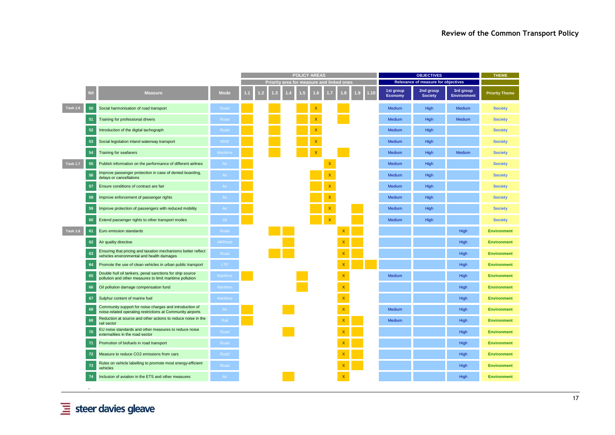|                 |    |                                                                                                                       |             | <b>OBJECTIVES</b><br><b>POLICY AREAS</b> |  |  |  |                                          |     | <b>THEME</b>              |     |      |                                     |                             |                                 |                       |
|-----------------|----|-----------------------------------------------------------------------------------------------------------------------|-------------|------------------------------------------|--|--|--|------------------------------------------|-----|---------------------------|-----|------|-------------------------------------|-----------------------------|---------------------------------|-----------------------|
|                 |    |                                                                                                                       |             |                                          |  |  |  | Priority area for measure and linked one |     |                           |     |      | Relevance of measure for objectives |                             |                                 |                       |
|                 | N# | <b>Measure</b>                                                                                                        | <b>Mode</b> |                                          |  |  |  |                                          | LG. |                           | LC) | 1.10 | 1st group<br><b>Economy</b>         | 2nd group<br><b>Society</b> | 3rd group<br><b>Environment</b> | <b>Priority Theme</b> |
| <b>Task 1.6</b> | 50 | Social harmonisation of road transport                                                                                | Road        |                                          |  |  |  |                                          |     |                           |     |      | Medium                              | High                        | Medium                          | <b>Society</b>        |
|                 | 51 | Training for professional drivers                                                                                     | Road        |                                          |  |  |  |                                          |     |                           |     |      | <b>Medium</b>                       | High                        | Medium                          | <b>Society</b>        |
|                 | 52 | Introduction of the digital tachograph                                                                                | Road        |                                          |  |  |  |                                          |     |                           |     |      | Medium                              | High                        |                                 | <b>Society</b>        |
|                 | 53 | Social legislation inland waterway transport                                                                          | <b>IWW</b>  |                                          |  |  |  |                                          |     |                           |     |      | Medium                              | High                        |                                 | <b>Society</b>        |
|                 | 54 | <b>Training for seafarers</b>                                                                                         | Maritime    |                                          |  |  |  |                                          |     |                           |     |      | <b>Medium</b>                       | High                        | Medium                          | <b>Society</b>        |
| <b>Task 1.7</b> | 55 | Publish information on the performance of different airlines                                                          | Air         |                                          |  |  |  |                                          |     |                           |     |      | Medium                              | High                        |                                 | <b>Society</b>        |
|                 | 56 | Improve passenger protection in case of denied boarding,<br>delays or cancellations                                   | Air         |                                          |  |  |  |                                          |     |                           |     |      | Medium                              | High                        |                                 | <b>Society</b>        |
|                 | 57 | Ensure conditions of contract are fair                                                                                | Air         |                                          |  |  |  |                                          |     |                           |     |      | Medium                              | High                        |                                 | <b>Society</b>        |
|                 | 58 | Improve enforcement of passenger rights                                                                               | Air         |                                          |  |  |  |                                          |     |                           |     |      | Medium                              | High                        |                                 | <b>Society</b>        |
|                 | 59 | Improve protection of passengers with reduced mobility                                                                | Air         |                                          |  |  |  |                                          |     |                           |     |      | Medium                              | High                        |                                 | <b>Society</b>        |
|                 | 60 | Extend passenger rights to other transport modes                                                                      | All         |                                          |  |  |  |                                          |     |                           |     |      | Medium                              | High                        |                                 | <b>Society</b>        |
| <b>Task 1.8</b> | 61 | Euro emission standards                                                                                               | Road        |                                          |  |  |  |                                          |     | $\boldsymbol{\mathsf{x}}$ |     |      |                                     |                             | High                            | <b>Environment</b>    |
|                 | 62 | Air quality directive                                                                                                 | All/Road    |                                          |  |  |  |                                          |     | $\mathsf{X}$              |     |      |                                     |                             | High                            | <b>Environment</b>    |
|                 | 63 | Ensuring that pricing and taxation mechanisms better reflect<br>vehicles environmental and health damages             | Road        |                                          |  |  |  |                                          |     | $\mathsf{X}$              |     |      |                                     |                             | High                            | <b>Environment</b>    |
|                 | 64 | Promote the use of clean vehicles in urban public transport                                                           | <b>LTP</b>  |                                          |  |  |  |                                          |     | $\mathsf{x}$              |     |      |                                     |                             | High                            | <b>Environment</b>    |
|                 | 65 | Double hull oil tankers, penal sanctions for ship source<br>pollution and other measures to limit maritime pollution  | Maritime    |                                          |  |  |  |                                          |     | $\bar{\mathsf{X}}$        |     |      | Medium                              |                             | High                            | <b>Environment</b>    |
|                 | 66 | Oil pollution damage compensation fund                                                                                | Maritime    |                                          |  |  |  |                                          |     | $\bar{\mathsf{X}}$        |     |      |                                     |                             | High                            | <b>Environment</b>    |
|                 | 67 | Sulphur content of marine fuel                                                                                        | Maritime    |                                          |  |  |  |                                          |     | $\mathsf X$               |     |      |                                     |                             | High                            | <b>Environment</b>    |
|                 | 68 | Community support for noise charges and introduction of<br>noise-related operating restrictions at Community airports | Air         |                                          |  |  |  |                                          |     | $\bar{\mathsf{X}}$        |     |      | Medium                              |                             | High                            | <b>Environment</b>    |
|                 | 69 | Reduction at source and other actions to reduce noise in the<br>rail sector                                           | Rail        |                                          |  |  |  |                                          |     | $\mathsf X$               |     |      | Medium                              |                             | High                            | <b>Environment</b>    |
|                 | 70 | EU noise standards and other measures to reduce noise<br>externalities in the road sector                             | Road        |                                          |  |  |  |                                          |     | $\mathsf X$               |     |      |                                     |                             | High                            | <b>Environment</b>    |
|                 |    | Promotion of biofuels in road transport                                                                               | Road        |                                          |  |  |  |                                          |     | $\mathsf{x}$              |     |      |                                     |                             | High                            | <b>Environment</b>    |
|                 | 72 | Measure to reduce CO2 emissions from cars                                                                             | Road        |                                          |  |  |  |                                          |     | $\overline{\mathsf{x}}$   |     |      |                                     |                             | High                            | <b>Environment</b>    |
|                 | 73 | Rules on vehicle labelling to promote most energy-efficient<br>vehicles                                               | Road        |                                          |  |  |  |                                          |     | X                         |     |      |                                     |                             | High                            | <b>Environment</b>    |
|                 |    | Inclusion of aviation in the ETS and other measures                                                                   | Air         |                                          |  |  |  |                                          |     | $\overline{\mathsf{x}}$   |     |      |                                     |                             | High                            | <b>Environment</b>    |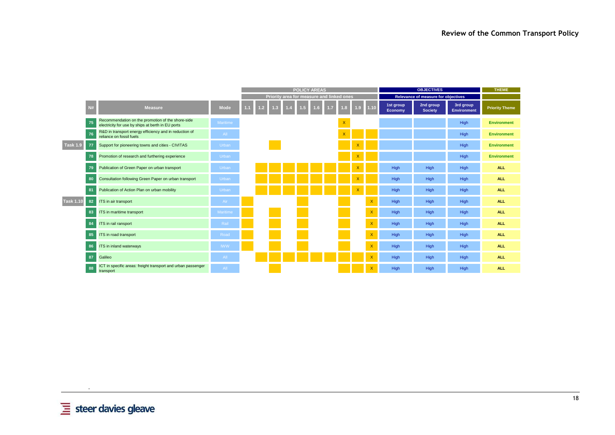|                  |                                                                                                              |             |     |                                    |     | <b>POLICY AREAS</b>                       |                 |                         |                  |                           |                      | <b>OBJECTIVES</b>                   |                                 | <b>THEME</b>          |
|------------------|--------------------------------------------------------------------------------------------------------------|-------------|-----|------------------------------------|-----|-------------------------------------------|-----------------|-------------------------|------------------|---------------------------|----------------------|-------------------------------------|---------------------------------|-----------------------|
|                  |                                                                                                              |             |     |                                    |     | Priority area for measure and linked ones |                 |                         |                  |                           |                      | Relevance of measure for objectives |                                 |                       |
|                  | N#<br><b>Measure</b>                                                                                         | <b>Mode</b> | 1.1 | 1.2 <sub>2</sub><br>$\overline{3}$ | 1.5 | 1.6 <sub>1</sub>                          | $\overline{.7}$ |                         | 1.9 <sub>1</sub> | $1.10$                    | 1st group<br>Economy | 2nd group<br><b>Society</b>         | 3rd group<br><b>Environment</b> | <b>Priority Theme</b> |
|                  | Recommendation on the promotion of the shore-side<br>75<br>electricity for use by ships at berth in EU ports | Maritime    |     |                                    |     |                                           |                 | $\overline{\mathsf{x}}$ |                  |                           |                      |                                     | High                            | <b>Environment</b>    |
|                  | R&D in transport energy efficiency and in reduction of<br>76<br>reliance on fossil fuels                     | All         |     |                                    |     |                                           |                 | $\overline{\mathsf{x}}$ |                  |                           |                      |                                     | High                            | <b>Environment</b>    |
| <b>Task 1.9</b>  | Support for pioneering towns and cities - CIVITAS<br>77                                                      | Urban       |     |                                    |     |                                           |                 |                         |                  |                           |                      |                                     | High                            | <b>Environment</b>    |
|                  | Promotion of research and furthering experience<br>78                                                        | Urban       |     |                                    |     |                                           |                 |                         | X                |                           |                      |                                     | High                            | <b>Environment</b>    |
|                  | Publication of Green Paper on urban transport<br>79                                                          | Urban       |     |                                    |     |                                           |                 |                         |                  |                           | High                 | High                                | High                            | <b>ALL</b>            |
|                  | Consultation following Green Paper on urban transport<br>80                                                  | Urban       |     |                                    |     |                                           |                 |                         |                  |                           | High                 | High                                | High                            | <b>ALL</b>            |
|                  | Publication of Action Plan on urban mobility<br>81                                                           | Urban       |     |                                    |     |                                           |                 |                         |                  |                           | High                 | High                                | High                            | <b>ALL</b>            |
| <b>Task 1.10</b> | ITS in air transport<br>82                                                                                   | Air         |     |                                    |     |                                           |                 |                         |                  | $\mathsf{X}$              | High                 | High                                | High                            | <b>ALL</b>            |
|                  | ITS in maritime transport<br>83                                                                              | Maritime    |     |                                    |     |                                           |                 |                         |                  | $\overline{\mathsf{x}}$   | High                 | High                                | High                            | <b>ALL</b>            |
|                  | ITS in rail ransport<br>84                                                                                   | Rail        |     |                                    |     |                                           |                 |                         |                  | $\overline{\mathsf{x}}$   | High                 | High                                | High                            | <b>ALL</b>            |
|                  | ITS in road transport<br>85                                                                                  | Road        |     |                                    |     |                                           |                 |                         |                  | $\overline{\mathsf{x}}$   | High                 | High                                | High                            | <b>ALL</b>            |
|                  | ITS in inland waterways<br>86                                                                                | <b>IWW</b>  |     |                                    |     |                                           |                 |                         |                  | $\mathsf{X}$              | High                 | High                                | High                            | <b>ALL</b>            |
|                  | Galileo<br>87                                                                                                | AII         |     |                                    |     |                                           |                 |                         |                  | Х                         | High                 | High                                | High                            | <b>ALL</b>            |
|                  | ICT in specific areas: freight transport and urban passenger<br>88<br>transport                              | AII         |     |                                    |     |                                           |                 |                         |                  | $\boldsymbol{\mathsf{x}}$ | High                 | High                                | High                            | <b>ALL</b>            |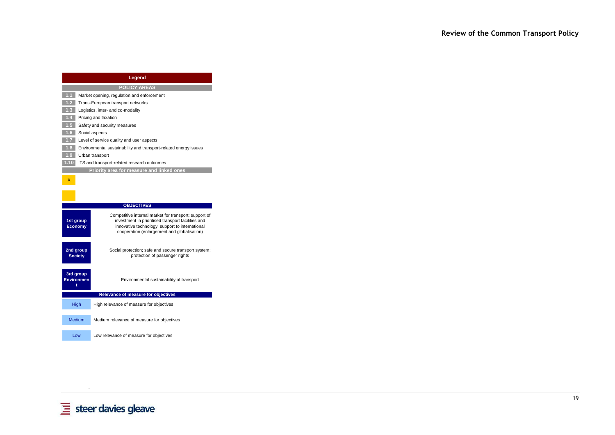|                                                       | Legend                                                                                                      |  |  |  |  |  |  |  |  |
|-------------------------------------------------------|-------------------------------------------------------------------------------------------------------------|--|--|--|--|--|--|--|--|
|                                                       | <b>POLICY AREAS</b>                                                                                         |  |  |  |  |  |  |  |  |
| 1.1                                                   | Market opening, regulation and enforcement                                                                  |  |  |  |  |  |  |  |  |
| 1.2 <sub>1</sub>                                      | Trans-European transport networks                                                                           |  |  |  |  |  |  |  |  |
| 1.3 <sup>°</sup><br>Logistics, inter- and co-modality |                                                                                                             |  |  |  |  |  |  |  |  |
| Pricing and taxation                                  |                                                                                                             |  |  |  |  |  |  |  |  |
| Safety and security measures                          |                                                                                                             |  |  |  |  |  |  |  |  |
|                                                       | Social aspects                                                                                              |  |  |  |  |  |  |  |  |
|                                                       | Level of service quality and user aspects                                                                   |  |  |  |  |  |  |  |  |
| 1.8                                                   | Environmental sustainability and transport-related energy issues                                            |  |  |  |  |  |  |  |  |
| 1.9                                                   | Urban transport                                                                                             |  |  |  |  |  |  |  |  |
| 1.10                                                  | ITS and transport-related research outcomes                                                                 |  |  |  |  |  |  |  |  |
|                                                       | Priority area for measure and linked ones                                                                   |  |  |  |  |  |  |  |  |
| X.                                                    |                                                                                                             |  |  |  |  |  |  |  |  |
|                                                       |                                                                                                             |  |  |  |  |  |  |  |  |
|                                                       |                                                                                                             |  |  |  |  |  |  |  |  |
|                                                       | <b>OBJECTIVES</b>                                                                                           |  |  |  |  |  |  |  |  |
|                                                       |                                                                                                             |  |  |  |  |  |  |  |  |
| 1st group                                             | Competitive internal market for transport; support of<br>investment in prioritised transport facilities and |  |  |  |  |  |  |  |  |
| <b>Economy</b>                                        | innovative technology; support to international                                                             |  |  |  |  |  |  |  |  |
|                                                       | cooperation (enlargement and globalisation)                                                                 |  |  |  |  |  |  |  |  |
|                                                       |                                                                                                             |  |  |  |  |  |  |  |  |
| 2nd group                                             | Social protection; safe and secure transport system;                                                        |  |  |  |  |  |  |  |  |
| <b>Society</b>                                        | protection of passenger rights                                                                              |  |  |  |  |  |  |  |  |
|                                                       |                                                                                                             |  |  |  |  |  |  |  |  |
| 3rd group                                             |                                                                                                             |  |  |  |  |  |  |  |  |
| <b>Environmen</b>                                     | Environmental sustainability of transport                                                                   |  |  |  |  |  |  |  |  |
| t                                                     |                                                                                                             |  |  |  |  |  |  |  |  |
|                                                       | Relevance of measure for objectives                                                                         |  |  |  |  |  |  |  |  |
| <b>High</b>                                           | High relevance of measure for objectives                                                                    |  |  |  |  |  |  |  |  |
|                                                       |                                                                                                             |  |  |  |  |  |  |  |  |
| Medium                                                | Medium relevance of measure for objectives                                                                  |  |  |  |  |  |  |  |  |
|                                                       |                                                                                                             |  |  |  |  |  |  |  |  |
|                                                       | Low<br>Low relevance of measure for objectives                                                              |  |  |  |  |  |  |  |  |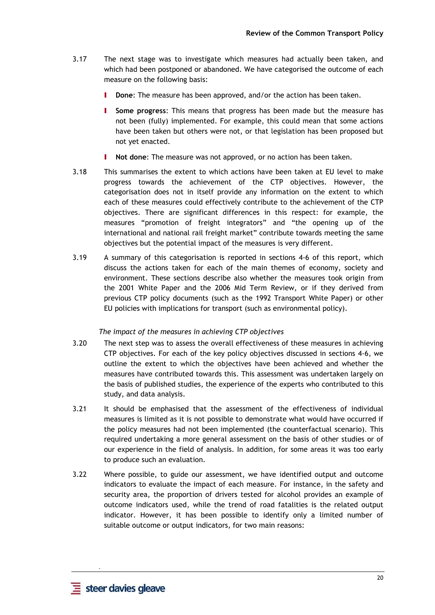- 3.17 The next stage was to investigate which measures had actually been taken, and which had been postponed or abandoned. We have categorised the outcome of each measure on the following basis:
	- **I** Done: The measure has been approved, and/or the action has been taken.
	- I **Some progress**: This means that progress has been made but the measure has not been (fully) implemented. For example, this could mean that some actions have been taken but others were not, or that legislation has been proposed but not yet enacted.
	- Not done: The measure was not approved, or no action has been taken.
- 3.18 This summarises the extent to which actions have been taken at EU level to make progress towards the achievement of the CTP objectives. However, the categorisation does not in itself provide any information on the extent to which each of these measures could effectively contribute to the achievement of the CTP objectives. There are significant differences in this respect: for example, the measures "promotion of freight integrators" and "the opening up of the international and national rail freight market" contribute towards meeting the same objectives but the potential impact of the measures is very different.
- 3.19 A summary of this categorisation is reported in sections 4-6 of this report, which discuss the actions taken for each of the main themes of economy, society and environment. These sections describe also whether the measures took origin from the 2001 White Paper and the 2006 Mid Term Review, or if they derived from previous CTP policy documents (such as the 1992 Transport White Paper) or other EU policies with implications for transport (such as environmental policy).

#### *The impact of the measures in achieving CTP objectives*

- 3.20 The next step was to assess the overall effectiveness of these measures in achieving CTP objectives. For each of the key policy objectives discussed in sections 4-6, we outline the extent to which the objectives have been achieved and whether the measures have contributed towards this. This assessment was undertaken largely on the basis of published studies, the experience of the experts who contributed to this study, and data analysis.
- 3.21 It should be emphasised that the assessment of the effectiveness of individual measures is limited as it is not possible to demonstrate what would have occurred if the policy measures had not been implemented (the counterfactual scenario). This required undertaking a more general assessment on the basis of other studies or of our experience in the field of analysis. In addition, for some areas it was too early to produce such an evaluation.
- 3.22 Where possible, to guide our assessment, we have identified output and outcome indicators to evaluate the impact of each measure. For instance, in the safety and security area, the proportion of drivers tested for alcohol provides an example of outcome indicators used, while the trend of road fatalities is the related output indicator. However, it has been possible to identify only a limited number of suitable outcome or output indicators, for two main reasons: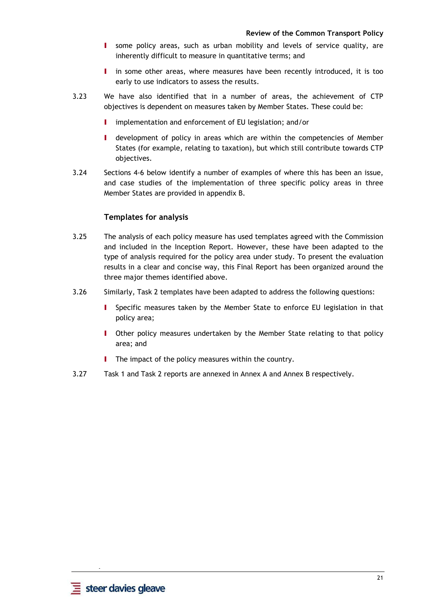- I some policy areas, such as urban mobility and levels of service quality, are inherently difficult to measure in quantitative terms; and
- I in some other areas, where measures have been recently introduced, it is too early to use indicators to assess the results.
- 3.23 We have also identified that in a number of areas, the achievement of CTP objectives is dependent on measures taken by Member States. These could be:
	- I implementation and enforcement of EU legislation; and/or
	- I development of policy in areas which are within the competencies of Member States (for example, relating to taxation), but which still contribute towards CTP objectives.
- 3.24 Sections 4-6 below identify a number of examples of where this has been an issue, and case studies of the implementation of three specific policy areas in three Member States are provided in appendix B.

### **Templates for analysis**

- 3.25 The analysis of each policy measure has used templates agreed with the Commission and included in the Inception Report. However, these have been adapted to the type of analysis required for the policy area under study. To present the evaluation results in a clear and concise way, this Final Report has been organized around the three major themes identified above.
- 3.26 Similarly, Task 2 templates have been adapted to address the following questions:
	- I Specific measures taken by the Member State to enforce EU legislation in that policy area;
	- I Other policy measures undertaken by the Member State relating to that policy area; and
	- **I** The impact of the policy measures within the country.
- 3.27 Task 1 and Task 2 reports are annexed in Annex A and Annex B respectively.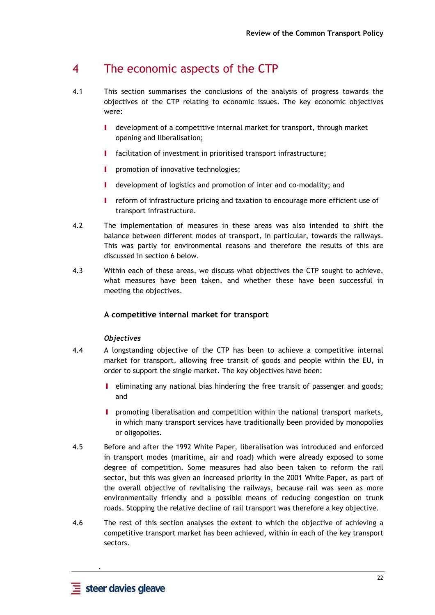# 4 The economic aspects of the CTP

- 4.1 This section summarises the conclusions of the analysis of progress towards the objectives of the CTP relating to economic issues. The key economic objectives were:
	- I development of a competitive internal market for transport, through market opening and liberalisation;
	- I facilitation of investment in prioritised transport infrastructure;
	- **I** promotion of innovative technologies;
	- I development of logistics and promotion of inter and co-modality; and
	- I reform of infrastructure pricing and taxation to encourage more efficient use of transport infrastructure.
- 4.2 The implementation of measures in these areas was also intended to shift the balance between different modes of transport, in particular, towards the railways. This was partly for environmental reasons and therefore the results of this are discussed in section 6 below.
- 4.3 Within each of these areas, we discuss what objectives the CTP sought to achieve, what measures have been taken, and whether these have been successful in meeting the objectives.

# **A competitive internal market for transport**

# *Objectives*

- 4.4 A longstanding objective of the CTP has been to achieve a competitive internal market for transport, allowing free transit of goods and people within the EU, in order to support the single market. The key objectives have been:
	- I eliminating any national bias hindering the free transit of passenger and goods; and
	- I promoting liberalisation and competition within the national transport markets, in which many transport services have traditionally been provided by monopolies or oligopolies.
- 4.5 Before and after the 1992 White Paper, liberalisation was introduced and enforced in transport modes (maritime, air and road) which were already exposed to some degree of competition. Some measures had also been taken to reform the rail sector, but this was given an increased priority in the 2001 White Paper, as part of the overall objective of revitalising the railways, because rail was seen as more environmentally friendly and a possible means of reducing congestion on trunk roads. Stopping the relative decline of rail transport was therefore a key objective.
- 4.6 The rest of this section analyses the extent to which the objective of achieving a competitive transport market has been achieved, within in each of the key transport sectors.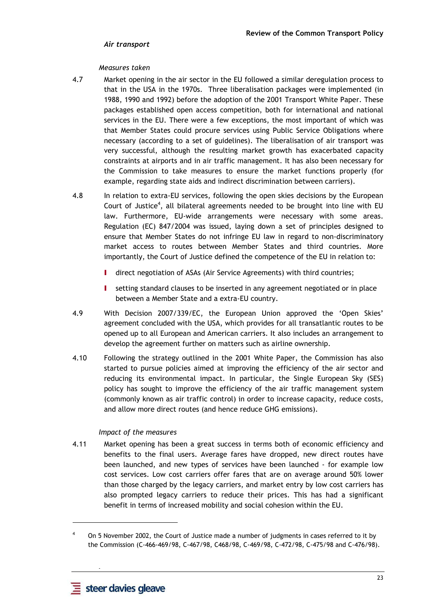### *Air transport*

#### *Measures taken*

- 4.7 Market opening in the air sector in the EU followed a similar deregulation process to that in the USA in the 1970s. Three liberalisation packages were implemented (in 1988, 1990 and 1992) before the adoption of the 2001 Transport White Paper. These packages established open access competition, both for international and national services in the EU. There were a few exceptions, the most important of which was that Member States could procure services using Public Service Obligations where necessary (according to a set of guidelines). The liberalisation of air transport was very successful, although the resulting market growth has exacerbated capacity constraints at airports and in air traffic management. It has also been necessary for the Commission to take measures to ensure the market functions properly (for example, regarding state aids and indirect discrimination between carriers).
- 4.8 In relation to extra-EU services, following the open skies decisions by the European Court of Justice<sup>4</sup>, all bilateral agreements needed to be brought into line with EU law. Furthermore, EU-wide arrangements were necessary with some areas. Regulation (EC) 847/2004 was issued, laying down a set of principles designed to ensure that Member States do not infringe EU law in regard to non-discriminatory market access to routes between Member States and third countries. More importantly, the Court of Justice defined the competence of the EU in relation to:
	- I direct negotiation of ASAs (Air Service Agreements) with third countries;
	- I setting standard clauses to be inserted in any agreement negotiated or in place between a Member State and a extra-EU country.
- 4.9 With Decision 2007/339/EC, the European Union approved the 'Open Skies' agreement concluded with the USA, which provides for all transatlantic routes to be opened up to all European and American carriers. It also includes an arrangement to develop the agreement further on matters such as airline ownership.
- 4.10 Following the strategy outlined in the 2001 White Paper, the Commission has also started to pursue policies aimed at improving the efficiency of the air sector and reducing its environmental impact. In particular, the Single European Sky (SES) policy has sought to improve the efficiency of the air traffic management system (commonly known as air traffic control) in order to increase capacity, reduce costs, and allow more direct routes (and hence reduce GHG emissions).

#### *Impact of the measures*

4.11 Market opening has been a great success in terms both of economic efficiency and benefits to the final users. Average fares have dropped, new direct routes have been launched, and new types of services have been launched - for example low cost services. Low cost carriers offer fares that are on average around 50% lower than those charged by the legacy carriers, and market entry by low cost carriers has also prompted legacy carriers to reduce their prices. This has had a significant benefit in terms of increased mobility and social cohesion within the EU.

 **-** 

l

<sup>4</sup> On 5 November 2002, the Court of Justice made a number of judgments in cases referred to it by the Commission (C-466-469/98, C-467/98, C468/98, C-469/98, C-472/98, C-475/98 and C-476/98).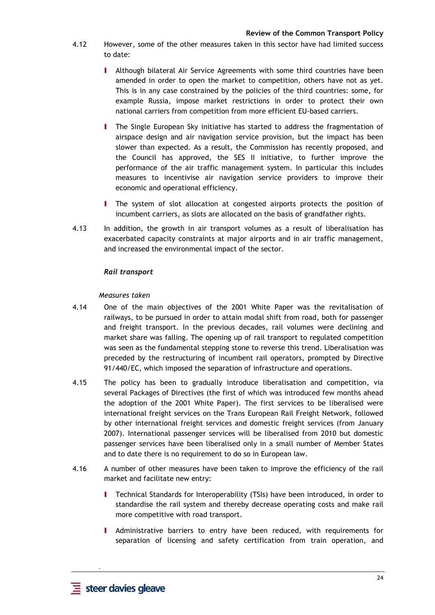- 4.12 However, some of the other measures taken in this sector have had limited success to date:
	- I Although bilateral Air Service Agreements with some third countries have been amended in order to open the market to competition, others have not as yet. This is in any case constrained by the policies of the third countries: some, for example Russia, impose market restrictions in order to protect their own national carriers from competition from more efficient EU-based carriers.
	- I The Single European Sky initiative has started to address the fragmentation of airspace design and air navigation service provision, but the impact has been slower than expected. As a result, the Commission has recently proposed, and the Council has approved, the SES II initiative, to further improve the performance of the air traffic management system. In particular this includes measures to incentivise air navigation service providers to improve their economic and operational efficiency.
	- I The system of slot allocation at congested airports protects the position of incumbent carriers, as slots are allocated on the basis of grandfather rights.
- 4.13 In addition, the growth in air transport volumes as a result of liberalisation has exacerbated capacity constraints at major airports and in air traffic management, and increased the environmental impact of the sector.

# *Rail transport*

#### *Measures taken*

- 4.14 One of the main objectives of the 2001 White Paper was the revitalisation of railways, to be pursued in order to attain modal shift from road, both for passenger and freight transport. In the previous decades, rail volumes were declining and market share was falling. The opening up of rail transport to regulated competition was seen as the fundamental stepping stone to reverse this trend. Liberalisation was preceded by the restructuring of incumbent rail operators, prompted by Directive 91/440/EC, which imposed the separation of infrastructure and operations.
- 4.15 The policy has been to gradually introduce liberalisation and competition, via several Packages of Directives (the first of which was introduced few months ahead the adoption of the 2001 White Paper). The first services to be liberalised were international freight services on the Trans European Rail Freight Network, followed by other international freight services and domestic freight services (from January 2007). International passenger services will be liberalised from 2010 but domestic passenger services have been liberalised only in a small number of Member States and to date there is no requirement to do so in European law.
- 4.16 A number of other measures have been taken to improve the efficiency of the rail market and facilitate new entry:
	- I Technical Standards for Interoperability (TSIs) have been introduced, in order to standardise the rail system and thereby decrease operating costs and make rail more competitive with road transport.
	- I Administrative barriers to entry have been reduced, with requirements for separation of licensing and safety certification from train operation, and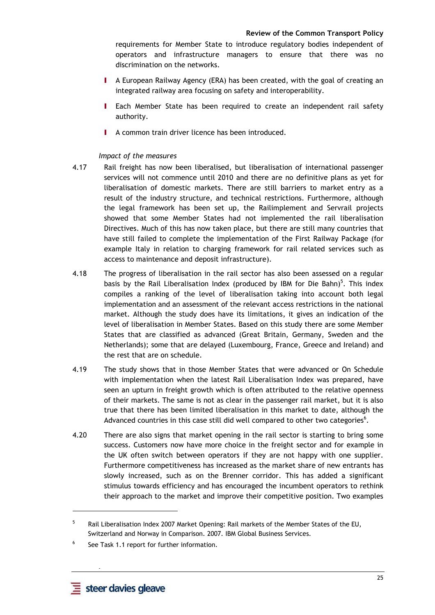requirements for Member State to introduce regulatory bodies independent of operators and infrastructure managers to ensure that there was no discrimination on the networks.

- I A European Railway Agency (ERA) has been created, with the goal of creating an integrated railway area focusing on safety and interoperability.
- Each Member State has been required to create an independent rail safety authority.
- I A common train driver licence has been introduced.

#### *Impact of the measures*

- 4.17 Rail freight has now been liberalised, but liberalisation of international passenger services will not commence until 2010 and there are no definitive plans as yet for liberalisation of domestic markets. There are still barriers to market entry as a result of the industry structure, and technical restrictions. Furthermore, although the legal framework has been set up, the Railimplement and Servrail projects showed that some Member States had not implemented the rail liberalisation Directives. Much of this has now taken place, but there are still many countries that have still failed to complete the implementation of the First Railway Package (for example Italy in relation to charging framework for rail related services such as access to maintenance and deposit infrastructure).
- 4.18 The progress of liberalisation in the rail sector has also been assessed on a regular basis by the Rail Liberalisation Index (produced by IBM for Die Bahn)<sup>5</sup>. This index compiles a ranking of the level of liberalisation taking into account both legal implementation and an assessment of the relevant access restrictions in the national market. Although the study does have its limitations, it gives an indication of the level of liberalisation in Member States. Based on this study there are some Member States that are classified as advanced (Great Britain, Germany, Sweden and the Netherlands); some that are delayed (Luxembourg, France, Greece and Ireland) and the rest that are on schedule.
- 4.19 The study shows that in those Member States that were advanced or On Schedule with implementation when the latest Rail Liberalisation Index was prepared, have seen an upturn in freight growth which is often attributed to the relative openness of their markets. The same is not as clear in the passenger rail market, but it is also true that there has been limited liberalisation in this market to date, although the Advanced countries in this case still did well compared to other two categories<sup>6</sup>.
- 4.20 There are also signs that market opening in the rail sector is starting to bring some success. Customers now have more choice in the freight sector and for example in the UK often switch between operators if they are not happy with one supplier. Furthermore competitiveness has increased as the market share of new entrants has slowly increased, such as on the Brenner corridor. This has added a significant stimulus towards efficiency and has encouraged the incumbent operators to rethink their approach to the market and improve their competitive position. Two examples

 **-** 

 $\overline{a}$ 

<sup>5</sup> Rail Liberalisation Index 2007 Market Opening: Rail markets of the Member States of the EU, Switzerland and Norway in Comparison. 2007. IBM Global Business Services.

<sup>6</sup> See Task 1.1 report for further information.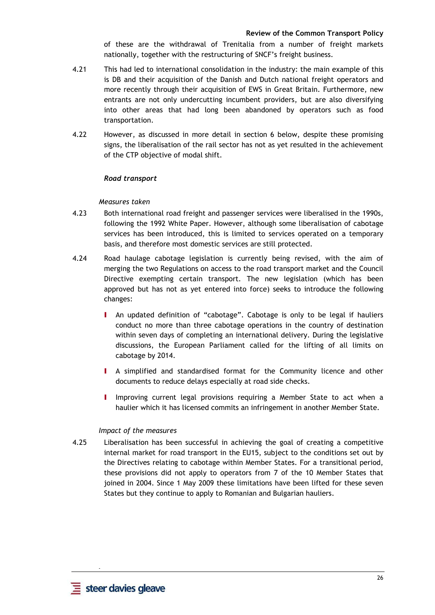of these are the withdrawal of Trenitalia from a number of freight markets nationally, together with the restructuring of SNCF's freight business.

- 4.21 This had led to international consolidation in the industry: the main example of this is DB and their acquisition of the Danish and Dutch national freight operators and more recently through their acquisition of EWS in Great Britain. Furthermore, new entrants are not only undercutting incumbent providers, but are also diversifying into other areas that had long been abandoned by operators such as food transportation.
- 4.22 However, as discussed in more detail in section 6 below, despite these promising signs, the liberalisation of the rail sector has not as yet resulted in the achievement of the CTP objective of modal shift.

### *Road transport*

#### *Measures taken*

- 4.23 Both international road freight and passenger services were liberalised in the 1990s, following the 1992 White Paper. However, although some liberalisation of cabotage services has been introduced, this is limited to services operated on a temporary basis, and therefore most domestic services are still protected.
- 4.24 Road haulage cabotage legislation is currently being revised, with the aim of merging the two Regulations on access to the road transport market and the Council Directive exempting certain transport. The new legislation (which has been approved but has not as yet entered into force) seeks to introduce the following changes:
	- I An updated definition of "cabotage". Cabotage is only to be legal if hauliers conduct no more than three cabotage operations in the country of destination within seven days of completing an international delivery. During the legislative discussions, the European Parliament called for the lifting of all limits on cabotage by 2014.
	- I A simplified and standardised format for the Community licence and other documents to reduce delays especially at road side checks.
	- I Improving current legal provisions requiring a Member State to act when a haulier which it has licensed commits an infringement in another Member State.

#### *Impact of the measures*

4.25 Liberalisation has been successful in achieving the goal of creating a competitive internal market for road transport in the EU15, subject to the conditions set out by the Directives relating to cabotage within Member States. For a transitional period, these provisions did not apply to operators from 7 of the 10 Member States that joined in 2004. Since 1 May 2009 these limitations have been lifted for these seven States but they continue to apply to Romanian and Bulgarian hauliers.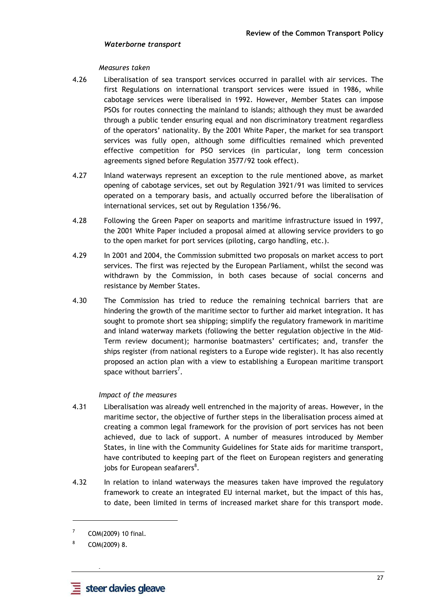#### *Waterborne transport*

#### *Measures taken*

- 4.26 Liberalisation of sea transport services occurred in parallel with air services. The first Regulations on international transport services were issued in 1986, while cabotage services were liberalised in 1992. However, Member States can impose PSOs for routes connecting the mainland to islands; although they must be awarded through a public tender ensuring equal and non discriminatory treatment regardless of the operators' nationality. By the 2001 White Paper, the market for sea transport services was fully open, although some difficulties remained which prevented effective competition for PSO services (in particular, long term concession agreements signed before Regulation 3577/92 took effect).
- 4.27 Inland waterways represent an exception to the rule mentioned above, as market opening of cabotage services, set out by Regulation 3921/91 was limited to services operated on a temporary basis, and actually occurred before the liberalisation of international services, set out by Regulation 1356/96.
- 4.28 Following the Green Paper on seaports and maritime infrastructure issued in 1997, the 2001 White Paper included a proposal aimed at allowing service providers to go to the open market for port services (piloting, cargo handling, etc.).
- 4.29 In 2001 and 2004, the Commission submitted two proposals on market access to port services. The first was rejected by the European Parliament, whilst the second was withdrawn by the Commission, in both cases because of social concerns and resistance by Member States.
- 4.30 The Commission has tried to reduce the remaining technical barriers that are hindering the growth of the maritime sector to further aid market integration. It has sought to promote short sea shipping; simplify the regulatory framework in maritime and inland waterway markets (following the better regulation objective in the Mid-Term review document); harmonise boatmasters' certificates; and, transfer the ships register (from national registers to a Europe wide register). It has also recently proposed an action plan with a view to establishing a European maritime transport space without barriers<sup>7</sup>.

#### *Impact of the measures*

- 4.31 Liberalisation was already well entrenched in the majority of areas. However, in the maritime sector, the objective of further steps in the liberalisation process aimed at creating a common legal framework for the provision of port services has not been achieved, due to lack of support. A number of measures introduced by Member States, in line with the Community Guidelines for State aids for maritime transport, have contributed to keeping part of the fleet on European registers and generating jobs for European seafarers<sup>8</sup>.
- 4.32 In relation to inland waterways the measures taken have improved the regulatory framework to create an integrated EU internal market, but the impact of this has, to date, been limited in terms of increased market share for this transport mode.

 **-** 

l

<sup>7</sup> COM(2009) 10 final.

<sup>8</sup> COM(2009) 8.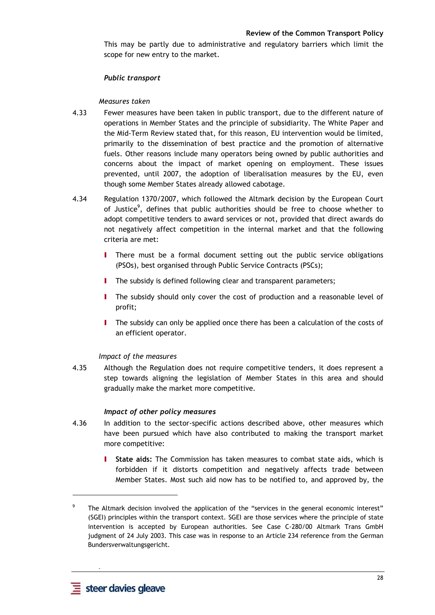This may be partly due to administrative and regulatory barriers which limit the scope for new entry to the market.

#### *Public transport*

#### *Measures taken*

- 4.33 Fewer measures have been taken in public transport, due to the different nature of operations in Member States and the principle of subsidiarity. The White Paper and the Mid-Term Review stated that, for this reason, EU intervention would be limited, primarily to the dissemination of best practice and the promotion of alternative fuels. Other reasons include many operators being owned by public authorities and concerns about the impact of market opening on employment. These issues prevented, until 2007, the adoption of liberalisation measures by the EU, even though some Member States already allowed cabotage.
- 4.34 Regulation 1370/2007, which followed the Altmark decision by the European Court of Justice<sup>9</sup>, defines that public authorities should be free to choose whether to adopt competitive tenders to award services or not, provided that direct awards do not negatively affect competition in the internal market and that the following criteria are met:
	- I There must be a formal document setting out the public service obligations (PSOs), best organised through Public Service Contracts (PSCs);
	- **I** The subsidy is defined following clear and transparent parameters;
	- I The subsidy should only cover the cost of production and a reasonable level of profit;
	- I The subsidy can only be applied once there has been a calculation of the costs of an efficient operator.

# *Impact of the measures*

4.35 Although the Regulation does not require competitive tenders, it does represent a step towards aligning the legislation of Member States in this area and should gradually make the market more competitive.

#### *Impact of other policy measures*

- 4.36 In addition to the sector-specific actions described above, other measures which have been pursued which have also contributed to making the transport market more competitive:
	- I **State aids:** The Commission has taken measures to combat state aids, which is forbidden if it distorts competition and negatively affects trade between Member States. Most such aid now has to be notified to, and approved by, the

 **-** 

 $\overline{a}$ 

<sup>9</sup> The Altmark decision involved the application of the "services in the general economic interest" (SGEI) principles within the transport context. SGEI are those services where the principle of state intervention is accepted by European authorities. See Case C-280/00 Altmark Trans GmbH judgment of 24 July 2003. This case was in response to an Article 234 reference from the German Bundersverwaltungsgericht.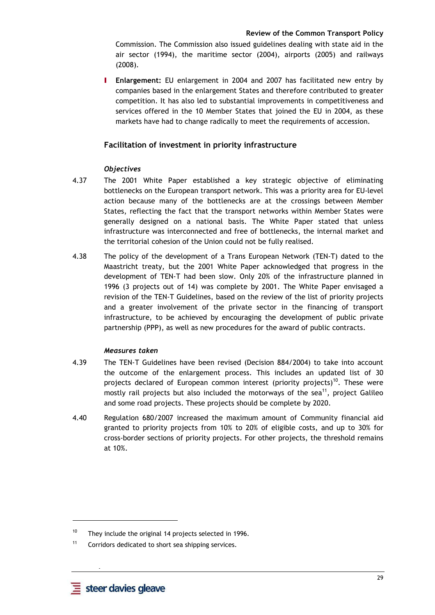Commission. The Commission also issued guidelines dealing with state aid in the air sector (1994), the maritime sector (2004), airports (2005) and railways (2008).

I **Enlargement:** EU enlargement in 2004 and 2007 has facilitated new entry by companies based in the enlargement States and therefore contributed to greater competition. It has also led to substantial improvements in competitiveness and services offered in the 10 Member States that joined the EU in 2004, as these markets have had to change radically to meet the requirements of accession.

# **Facilitation of investment in priority infrastructure**

# *Objectives*

- 4.37 The 2001 White Paper established a key strategic objective of eliminating bottlenecks on the European transport network. This was a priority area for EU-level action because many of the bottlenecks are at the crossings between Member States, reflecting the fact that the transport networks within Member States were generally designed on a national basis. The White Paper stated that unless infrastructure was interconnected and free of bottlenecks, the internal market and the territorial cohesion of the Union could not be fully realised.
- 4.38 The policy of the development of a Trans European Network (TEN-T) dated to the Maastricht treaty, but the 2001 White Paper acknowledged that progress in the development of TEN-T had been slow. Only 20% of the infrastructure planned in 1996 (3 projects out of 14) was complete by 2001. The White Paper envisaged a revision of the TEN-T Guidelines, based on the review of the list of priority projects and a greater involvement of the private sector in the financing of transport infrastructure, to be achieved by encouraging the development of public private partnership (PPP), as well as new procedures for the award of public contracts.

# *Measures taken*

- 4.39 The TEN-T Guidelines have been revised (Decision 884/2004) to take into account the outcome of the enlargement process. This includes an updated list of 30 projects declared of European common interest (priority projects)<sup>10</sup>. These were mostly rail projects but also included the motorways of the sea<sup>11</sup>, project Galileo and some road projects. These projects should be complete by 2020.
- 4.40 Regulation 680/2007 increased the maximum amount of Community financial aid granted to priority projects from 10% to 20% of eligible costs, and up to 30% for cross-border sections of priority projects. For other projects, the threshold remains at 10%.

 **-** 

l

<sup>&</sup>lt;sup>10</sup> They include the original 14 projects selected in 1996.

<sup>11</sup> Corridors dedicated to short sea shipping services.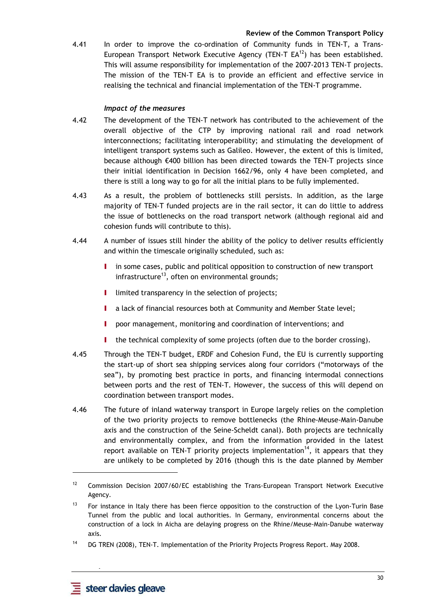4.41 In order to improve the co-ordination of Community funds in TEN-T, a Trans-European Transport Network Executive Agency (TEN-T  $EA^{12}$ ) has been established. This will assume responsibility for implementation of the 2007-2013 TEN-T projects. The mission of the TEN-T EA is to provide an efficient and effective service in realising the technical and financial implementation of the TEN-T programme.

### *Impact of the measures*

- 4.42 The development of the TEN-T network has contributed to the achievement of the overall objective of the CTP by improving national rail and road network interconnections; facilitating interoperability; and stimulating the development of intelligent transport systems such as Galileo. However, the extent of this is limited, because although €400 billion has been directed towards the TEN-T projects since their initial identification in Decision 1662/96, only 4 have been completed, and there is still a long way to go for all the initial plans to be fully implemented.
- 4.43 As a result, the problem of bottlenecks still persists. In addition, as the large majority of TEN-T funded projects are in the rail sector, it can do little to address the issue of bottlenecks on the road transport network (although regional aid and cohesion funds will contribute to this).
- 4.44 A number of issues still hinder the ability of the policy to deliver results efficiently and within the timescale originally scheduled, such as:
	- I in some cases, public and political opposition to construction of new transport infrastructure<sup>13</sup>, often on environmental grounds;
	- I limited transparency in the selection of projects;
	- I a lack of financial resources both at Community and Member State level;
	- I poor management, monitoring and coordination of interventions; and
	- the technical complexity of some projects (often due to the border crossing).
- 4.45 Through the TEN-T budget, ERDF and Cohesion Fund, the EU is currently supporting the start-up of short sea shipping services along four corridors ("motorways of the sea"), by promoting best practice in ports, and financing intermodal connections between ports and the rest of TEN-T. However, the success of this will depend on coordination between transport modes.
- 4.46 The future of inland waterway transport in Europe largely relies on the completion of the two priority projects to remove bottlenecks (the Rhine-Meuse-Main-Danube axis and the construction of the Seine-Scheldt canal). Both projects are technically and environmentally complex, and from the information provided in the latest report available on TEN-T priority projects implementation<sup>14</sup>, it appears that they are unlikely to be completed by 2016 (though this is the date planned by Member

 **-** 

 $\overline{a}$ 

<sup>&</sup>lt;sup>12</sup> Commission Decision 2007/60/EC establishing the Trans-European Transport Network Executive Agency.

 $13$  For instance in Italy there has been fierce opposition to the construction of the Lyon-Turin Base Tunnel from the public and local authorities. In Germany, environmental concerns about the construction of a lock in Aicha are delaying progress on the Rhine/Meuse-Main-Danube waterway axis.

<sup>&</sup>lt;sup>14</sup> DG TREN (2008), TEN-T. Implementation of the Priority Projects Progress Report. May 2008.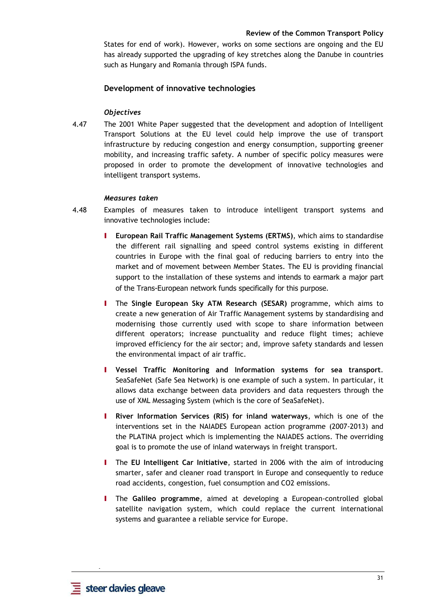States for end of work). However, works on some sections are ongoing and the EU has already supported the upgrading of key stretches along the Danube in countries such as Hungary and Romania through ISPA funds.

### **Development of innovative technologies**

### *Objectives*

4.47 The 2001 White Paper suggested that the development and adoption of Intelligent Transport Solutions at the EU level could help improve the use of transport infrastructure by reducing congestion and energy consumption, supporting greener mobility, and increasing traffic safety. A number of specific policy measures were proposed in order to promote the development of innovative technologies and intelligent transport systems.

#### *Measures taken*

- 4.48 Examples of measures taken to introduce intelligent transport systems and innovative technologies include:
	- I **European Rail Traffic Management Systems (ERTMS)**, which aims to standardise the different rail signalling and speed control systems existing in different countries in Europe with the final goal of reducing barriers to entry into the market and of movement between Member States. The EU is providing financial support to the installation of these systems and intends to earmark a major part of the Trans-European network funds specifically for this purpose.
	- I The **Single European Sky ATM Research (SESAR)** programme, which aims to create a new generation of Air Traffic Management systems by standardising and modernising those currently used with scope to share information between different operators; increase punctuality and reduce flight times; achieve improved efficiency for the air sector; and, improve safety standards and lessen the environmental impact of air traffic.
	- I **Vessel Traffic Monitoring and Information systems for sea transport**. SeaSafeNet (Safe Sea Network) is one example of such a system. In particular, it allows data exchange between data providers and data requesters through the use of XML Messaging System (which is the core of SeaSafeNet).
	- I **River Information Services (RIS) for inland waterways**, which is one of the interventions set in the NAIADES European action programme (2007-2013) and the PLATINA project which is implementing the NAIADES actions. The overriding goal is to promote the use of inland waterways in freight transport.
	- I The **EU Intelligent Car Initiative**, started in 2006 with the aim of introducing smarter, safer and cleaner road transport in Europe and consequently to reduce road accidents, congestion, fuel consumption and CO2 emissions.
	- I The **Galileo programme**, aimed at developing a European-controlled global satellite navigation system, which could replace the current international systems and guarantee a reliable service for Europe.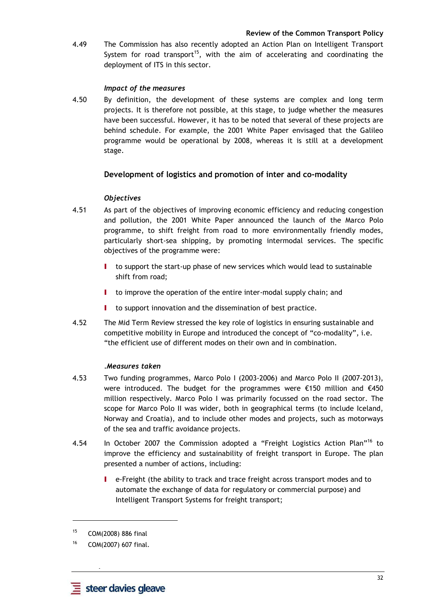4.49 The Commission has also recently adopted an Action Plan on Intelligent Transport System for road transport<sup>15</sup>, with the aim of accelerating and coordinating the deployment of ITS in this sector.

# *Impact of the measures*

4.50 By definition, the development of these systems are complex and long term projects. It is therefore not possible, at this stage, to judge whether the measures have been successful. However, it has to be noted that several of these projects are behind schedule. For example, the 2001 White Paper envisaged that the Galileo programme would be operational by 2008, whereas it is still at a development stage.

# **Development of logistics and promotion of inter and co-modality**

# *Objectives*

- 4.51 As part of the objectives of improving economic efficiency and reducing congestion and pollution, the 2001 White Paper announced the launch of the Marco Polo programme, to shift freight from road to more environmentally friendly modes, particularly short-sea shipping, by promoting intermodal services. The specific objectives of the programme were:
	- I to support the start-up phase of new services which would lead to sustainable shift from road;
	- I to improve the operation of the entire inter-modal supply chain; and
	- I to support innovation and the dissemination of best practice.
- 4.52 The Mid Term Review stressed the key role of logistics in ensuring sustainable and competitive mobility in Europe and introduced the concept of "co-modality", i.e. "the efficient use of different modes on their own and in combination.

# *.Measures taken*

- 4.53 Two funding programmes, Marco Polo I (2003-2006) and Marco Polo II (2007-2013), were introduced. The budget for the programmes were €150 million and €450 million respectively. Marco Polo I was primarily focussed on the road sector. The scope for Marco Polo II was wider, both in geographical terms (to include Iceland, Norway and Croatia), and to include other modes and projects, such as motorways of the sea and traffic avoidance projects.
- 4.54 In October 2007 the Commission adopted a "Freight Logistics Action Plan"<sup>16</sup> to improve the efficiency and sustainability of freight transport in Europe. The plan presented a number of actions, including:
	- I e-Freight (the ability to track and trace freight across transport modes and to automate the exchange of data for regulatory or commercial purpose) and Intelligent Transport Systems for freight transport;

 **-** 

l

<sup>15</sup> COM(2008) 886 final

<sup>16</sup> COM(2007) 607 final.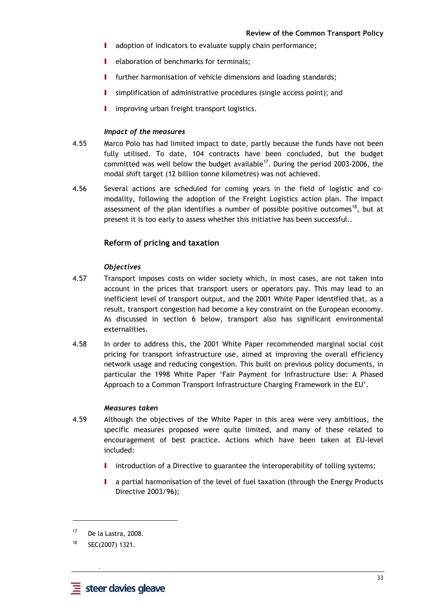- I adoption of indicators to evaluate supply chain performance;
- **I** elaboration of benchmarks for terminals:
- **I** further harmonisation of vehicle dimensions and loading standards;
- I simplification of administrative procedures (single access point); and
- I improving urban freight transport logistics.

#### *Impact of the measures*

- 4.55 Marco Polo has had limited impact to date, partly because the funds have not been fully utilised. To date, 104 contracts have been concluded, but the budget committed was well below the budget available<sup>17</sup>. During the period 2003-2006, the modal shift target (12 billion tonne kilometres) was not achieved.
- 4.56 Several actions are scheduled for coming years in the field of logistic and comodality, following the adoption of the Freight Logistics action plan. The impact assessment of the plan identifies a number of possible positive outcomes<sup>18</sup>, but at present it is too early to assess whether this initiative has been successful..

# **Reform of pricing and taxation**

## *Objectives*

- 4.57 Transport imposes costs on wider society which, in most cases, are not taken into account in the prices that transport users or operators pay. This may lead to an inefficient level of transport output, and the 2001 White Paper identified that, as a result, transport congestion had become a key constraint on the European economy. As discussed in section 6 below, transport also has significant environmental externalities.
- 4.58 In order to address this, the 2001 White Paper recommended marginal social cost pricing for transport infrastructure use, aimed at improving the overall efficiency network usage and reducing congestion. This built on previous policy documents, in particular the 1998 White Paper 'Fair Payment for Infrastructure Use: A Phased Approach to a Common Transport Infrastructure Charging Framework in the EU'.

#### *Measures taken*

- 4.59 Although the objectives of the White Paper in this area were very ambitious, the specific measures proposed were quite limited, and many of these related to encouragement of best practice. Actions which have been taken at EU-level included:
	- I introduction of a Directive to guarantee the interoperability of tolling systems;
	- a partial harmonisation of the level of fuel taxation (through the Energy Products Directive 2003/96);

 **-** 

l

<sup>17</sup> De la Lastra, 2008.

<sup>18</sup> SEC(2007) 1321.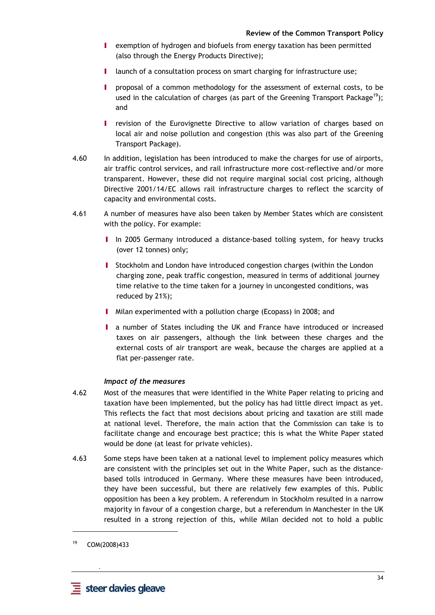- I exemption of hydrogen and biofuels from energy taxation has been permitted (also through the Energy Products Directive);
- I launch of a consultation process on smart charging for infrastructure use;
- proposal of a common methodology for the assessment of external costs, to be used in the calculation of charges (as part of the Greening Transport Package<sup>19</sup>); and
- I revision of the Eurovignette Directive to allow variation of charges based on local air and noise pollution and congestion (this was also part of the Greening Transport Package).
- 4.60 In addition, legislation has been introduced to make the charges for use of airports, air traffic control services, and rail infrastructure more cost-reflective and/or more transparent. However, these did not require marginal social cost pricing, although Directive 2001/14/EC allows rail infrastructure charges to reflect the scarcity of capacity and environmental costs.
- 4.61 A number of measures have also been taken by Member States which are consistent with the policy. For example:
	- I In 2005 Germany introduced a distance-based tolling system, for heavy trucks (over 12 tonnes) only;
	- I Stockholm and London have introduced congestion charges (within the London charging zone, peak traffic congestion, measured in terms of additional journey time relative to the time taken for a journey in uncongested conditions, was reduced by 21%);
	- I Milan experimented with a pollution charge (Ecopass) in 2008; and
	- I a number of States including the UK and France have introduced or increased taxes on air passengers, although the link between these charges and the external costs of air transport are weak, because the charges are applied at a flat per-passenger rate.

## *Impact of the measures*

- 4.62 Most of the measures that were identified in the White Paper relating to pricing and taxation have been implemented, but the policy has had little direct impact as yet. This reflects the fact that most decisions about pricing and taxation are still made at national level. Therefore, the main action that the Commission can take is to facilitate change and encourage best practice; this is what the White Paper stated would be done (at least for private vehicles).
- 4.63 Some steps have been taken at a national level to implement policy measures which are consistent with the principles set out in the White Paper, such as the distancebased tolls introduced in Germany. Where these measures have been introduced, they have been successful, but there are relatively few examples of this. Public opposition has been a key problem. A referendum in Stockholm resulted in a narrow majority in favour of a congestion charge, but a referendum in Manchester in the UK resulted in a strong rejection of this, while Milan decided not to hold a public

 **-** 

<sup>19</sup> COM(2008)433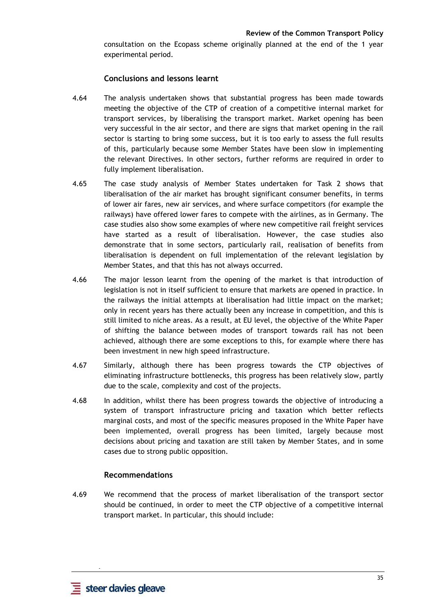consultation on the Ecopass scheme originally planned at the end of the 1 year experimental period.

## **Conclusions and lessons learnt**

- 4.64 The analysis undertaken shows that substantial progress has been made towards meeting the objective of the CTP of creation of a competitive internal market for transport services, by liberalising the transport market. Market opening has been very successful in the air sector, and there are signs that market opening in the rail sector is starting to bring some success, but it is too early to assess the full results of this, particularly because some Member States have been slow in implementing the relevant Directives. In other sectors, further reforms are required in order to fully implement liberalisation.
- 4.65 The case study analysis of Member States undertaken for Task 2 shows that liberalisation of the air market has brought significant consumer benefits, in terms of lower air fares, new air services, and where surface competitors (for example the railways) have offered lower fares to compete with the airlines, as in Germany. The case studies also show some examples of where new competitive rail freight services have started as a result of liberalisation. However, the case studies also demonstrate that in some sectors, particularly rail, realisation of benefits from liberalisation is dependent on full implementation of the relevant legislation by Member States, and that this has not always occurred.
- 4.66 The major lesson learnt from the opening of the market is that introduction of legislation is not in itself sufficient to ensure that markets are opened in practice. In the railways the initial attempts at liberalisation had little impact on the market; only in recent years has there actually been any increase in competition, and this is still limited to niche areas. As a result, at EU level, the objective of the White Paper of shifting the balance between modes of transport towards rail has not been achieved, although there are some exceptions to this, for example where there has been investment in new high speed infrastructure.
- 4.67 Similarly, although there has been progress towards the CTP objectives of eliminating infrastructure bottlenecks, this progress has been relatively slow, partly due to the scale, complexity and cost of the projects.
- 4.68 In addition, whilst there has been progress towards the objective of introducing a system of transport infrastructure pricing and taxation which better reflects marginal costs, and most of the specific measures proposed in the White Paper have been implemented, overall progress has been limited, largely because most decisions about pricing and taxation are still taken by Member States, and in some cases due to strong public opposition.

#### **Recommendations**

4.69 We recommend that the process of market liberalisation of the transport sector should be continued, in order to meet the CTP objective of a competitive internal transport market. In particular, this should include: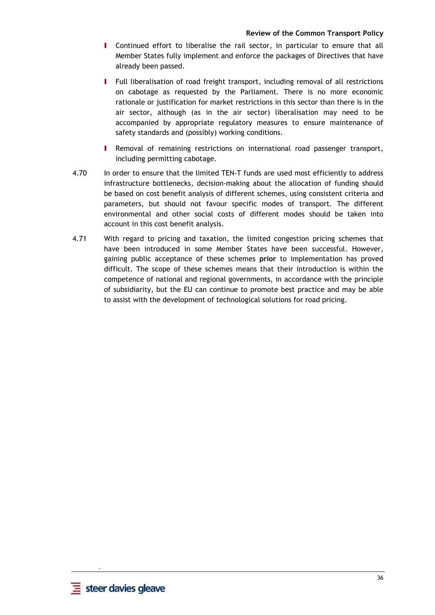- I Continued effort to liberalise the rail sector, in particular to ensure that all Member States fully implement and enforce the packages of Directives that have already been passed.
- I Full liberalisation of road freight transport, including removal of all restrictions on cabotage as requested by the Parliament. There is no more economic rationale or justification for market restrictions in this sector than there is in the air sector, although (as in the air sector) liberalisation may need to be accompanied by appropriate regulatory measures to ensure maintenance of safety standards and (possibly) working conditions.
- I Removal of remaining restrictions on international road passenger transport, including permitting cabotage.
- 4.70 In order to ensure that the limited TEN-T funds are used most efficiently to address infrastructure bottlenecks, decision-making about the allocation of funding should be based on cost benefit analysis of different schemes, using consistent criteria and parameters, but should not favour specific modes of transport. The different environmental and other social costs of different modes should be taken into account in this cost benefit analysis.
- 4.71 With regard to pricing and taxation, the limited congestion pricing schemes that have been introduced in some Member States have been successful. However, gaining public acceptance of these schemes **prior** to implementation has proved difficult. The scope of these schemes means that their introduction is within the competence of national and regional governments, in accordance with the principle of subsidiarity, but the EU can continue to promote best practice and may be able to assist with the development of technological solutions for road pricing.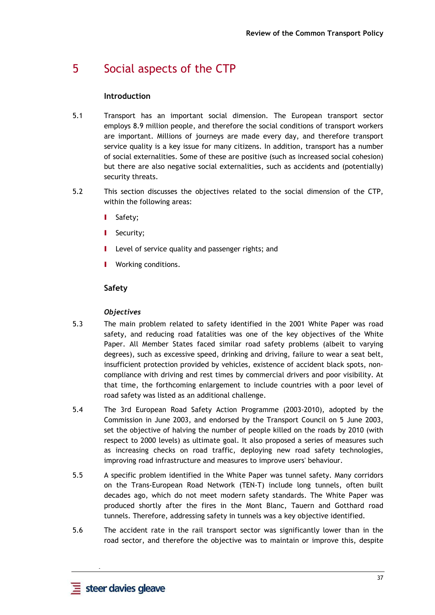# 5 Social aspects of the CTP

## **Introduction**

- 5.1 Transport has an important social dimension. The European transport sector employs 8.9 million people, and therefore the social conditions of transport workers are important. Millions of journeys are made every day, and therefore transport service quality is a key issue for many citizens. In addition, transport has a number of social externalities. Some of these are positive (such as increased social cohesion) but there are also negative social externalities, such as accidents and (potentially) security threats.
- 5.2 This section discusses the objectives related to the social dimension of the CTP, within the following areas:
	- I Safety;
	- **I** Security;
	- Level of service quality and passenger rights; and
	- Working conditions.

# **Safety**

## *Objectives*

- 5.3 The main problem related to safety identified in the 2001 White Paper was road safety, and reducing road fatalities was one of the key objectives of the White Paper. All Member States faced similar road safety problems (albeit to varying degrees), such as excessive speed, drinking and driving, failure to wear a seat belt, insufficient protection provided by vehicles, existence of accident black spots, noncompliance with driving and rest times by commercial drivers and poor visibility. At that time, the forthcoming enlargement to include countries with a poor level of road safety was listed as an additional challenge.
- 5.4 The 3rd European Road Safety Action Programme (2003-2010), adopted by the Commission in June 2003, and endorsed by the Transport Council on 5 June 2003, set the objective of halving the number of people killed on the roads by 2010 (with respect to 2000 levels) as ultimate goal. It also proposed a series of measures such as increasing checks on road traffic, deploying new road safety technologies, improving road infrastructure and measures to improve users' behaviour.
- 5.5 A specific problem identified in the White Paper was tunnel safety. Many corridors on the Trans-European Road Network (TEN-T) include long tunnels, often built decades ago, which do not meet modern safety standards. The White Paper was produced shortly after the fires in the Mont Blanc, Tauern and Gotthard road tunnels. Therefore, addressing safety in tunnels was a key objective identified.
- 5.6 The accident rate in the rail transport sector was significantly lower than in the road sector, and therefore the objective was to maintain or improve this, despite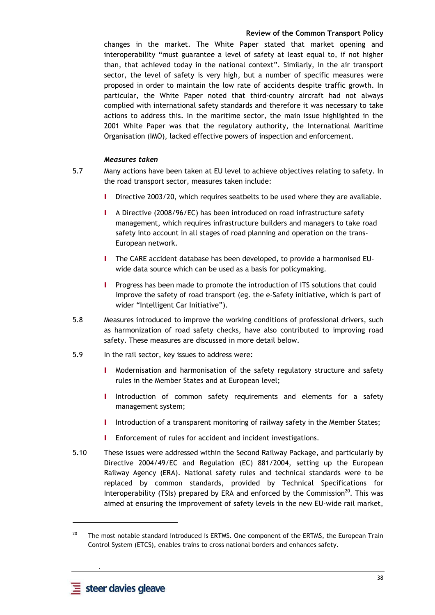changes in the market. The White Paper stated that market opening and interoperability "must guarantee a level of safety at least equal to, if not higher than, that achieved today in the national context". Similarly, in the air transport sector, the level of safety is very high, but a number of specific measures were proposed in order to maintain the low rate of accidents despite traffic growth. In particular, the White Paper noted that third-country aircraft had not always complied with international safety standards and therefore it was necessary to take actions to address this. In the maritime sector, the main issue highlighted in the 2001 White Paper was that the regulatory authority, the International Maritime Organisation (IMO), lacked effective powers of inspection and enforcement.

## *Measures taken*

- 5.7 Many actions have been taken at EU level to achieve objectives relating to safety. In the road transport sector, measures taken include:
	- I Directive 2003/20, which requires seatbelts to be used where they are available.
	- I A Directive (2008/96/EC) has been introduced on road infrastructure safety management, which requires infrastructure builders and managers to take road safety into account in all stages of road planning and operation on the trans-European network.
	- I The CARE accident database has been developed, to provide a harmonised EUwide data source which can be used as a basis for policymaking.
	- Progress has been made to promote the introduction of ITS solutions that could improve the safety of road transport (eg. the e-Safety initiative, which is part of wider "Intelligent Car Initiative").
- 5.8 Measures introduced to improve the working conditions of professional drivers, such as harmonization of road safety checks, have also contributed to improving road safety. These measures are discussed in more detail below.
- 5.9 In the rail sector, key issues to address were:
	- I Modernisation and harmonisation of the safety regulatory structure and safety rules in the Member States and at European level;
	- I Introduction of common safety requirements and elements for a safety management system;
	- I Introduction of a transparent monitoring of railway safety in the Member States;
	- **I** Enforcement of rules for accident and incident investigations.
- 5.10 These issues were addressed within the Second Railway Package, and particularly by Directive 2004/49/EC and Regulation (EC) 881/2004, setting up the European Railway Agency (ERA). National safety rules and technical standards were to be replaced by common standards, provided by Technical Specifications for Interoperability (TSIs) prepared by ERA and enforced by the Commission $^{20}$ . This was aimed at ensuring the improvement of safety levels in the new EU-wide rail market,

 **-** 

l

<sup>&</sup>lt;sup>20</sup> The most notable standard introduced is ERTMS. One component of the ERTMS, the European Train Control System (ETCS), enables trains to cross national borders and enhances safety.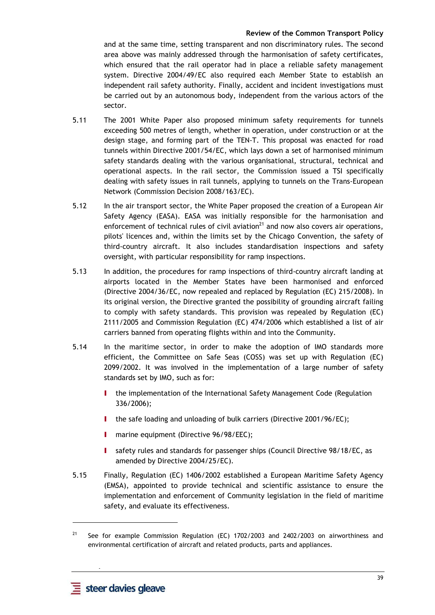and at the same time, setting transparent and non discriminatory rules. The second area above was mainly addressed through the harmonisation of safety certificates, which ensured that the rail operator had in place a reliable safety management system. Directive 2004/49/EC also required each Member State to establish an independent rail safety authority. Finally, accident and incident investigations must be carried out by an autonomous body, independent from the various actors of the sector.

- 5.11 The 2001 White Paper also proposed minimum safety requirements for tunnels exceeding 500 metres of length, whether in operation, under construction or at the design stage, and forming part of the TEN-T. This proposal was enacted for road tunnels within Directive 2001/54/EC, which lays down a set of harmonised minimum safety standards dealing with the various organisational, structural, technical and operational aspects. In the rail sector, the Commission issued a TSI specifically dealing with safety issues in rail tunnels, applying to tunnels on the Trans-European Network (Commission Decision 2008/163/EC).
- 5.12 In the air transport sector, the White Paper proposed the creation of a European Air Safety Agency (EASA). EASA was initially responsible for the harmonisation and enforcement of technical rules of civil aviation $^{21}$  and now also covers air operations, pilots' licences and, within the limits set by the Chicago Convention, the safety of third-country aircraft. It also includes standardisation inspections and safety oversight, with particular responsibility for ramp inspections.
- 5.13 In addition, the procedures for ramp inspections of third-country aircraft landing at airports located in the Member States have been harmonised and enforced (Directive 2004/36/EC, now repealed and replaced by Regulation (EC) 215/2008). In its original version, the Directive granted the possibility of grounding aircraft failing to comply with safety standards. This provision was repealed by Regulation (EC) 2111/2005 and Commission Regulation (EC) 474/2006 which established a list of air carriers banned from operating flights within and into the Community.
- 5.14 In the maritime sector, in order to make the adoption of IMO standards more efficient, the Committee on Safe Seas (COSS) was set up with Regulation (EC) 2099/2002. It was involved in the implementation of a large number of safety standards set by IMO, such as for:
	- I the implementation of the International Safety Management Code (Regulation 336/2006);
	- I the safe loading and unloading of bulk carriers (Directive 2001/96/EC);
	- **I** marine equipment (Directive 96/98/EEC);
	- I safety rules and standards for passenger ships (Council Directive 98/18/EC, as amended by Directive 2004/25/EC).
- 5.15 Finally, Regulation (EC) 1406/2002 established a European Maritime Safety Agency (EMSA), appointed to provide technical and scientific assistance to ensure the implementation and enforcement of Community legislation in the field of maritime safety, and evaluate its effectiveness.

 **-** 

l

<sup>&</sup>lt;sup>21</sup> See for example Commission Regulation (EC) 1702/2003 and 2402/2003 on airworthiness and environmental certification of aircraft and related products, parts and appliances.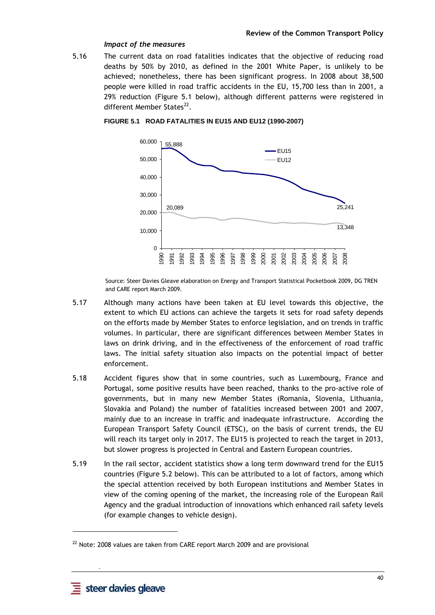#### *Impact of the measures*

5.16 The current data on road fatalities indicates that the objective of reducing road deaths by 50% by 2010, as defined in the 2001 White Paper, is unlikely to be achieved; nonetheless, there has been significant progress. In 2008 about 38,500 people were killed in road traffic accidents in the EU, 15,700 less than in 2001, a 29% reduction (Figure 5.1 below), although different patterns were registered in different Member States<sup>22</sup>.



**FIGURE 5.1 ROAD FATALITIES IN EU15 AND EU12 (1990-2007)**

Source: Steer Davies Gleave elaboration on Energy and Transport Statistical Pocketbook 2009, DG TREN and CARE report March 2009.

- 5.17 Although many actions have been taken at EU level towards this objective, the extent to which EU actions can achieve the targets it sets for road safety depends on the efforts made by Member States to enforce legislation, and on trends in traffic volumes. In particular, there are significant differences between Member States in laws on drink driving, and in the effectiveness of the enforcement of road traffic laws. The initial safety situation also impacts on the potential impact of better enforcement.
- 5.18 Accident figures show that in some countries, such as Luxembourg, France and Portugal, some positive results have been reached, thanks to the pro-active role of governments, but in many new Member States (Romania, Slovenia, Lithuania, Slovakia and Poland) the number of fatalities increased between 2001 and 2007, mainly due to an increase in traffic and inadequate infrastructure. According the European Transport Safety Council (ETSC), on the basis of current trends, the EU will reach its target only in 2017. The EU15 is projected to reach the target in 2013, but slower progress is projected in Central and Eastern European countries.
- 5.19 In the rail sector, accident statistics show a long term downward trend for the EU15 countries (Figure 5.2 below). This can be attributed to a lot of factors, among which the special attention received by both European institutions and Member States in view of the coming opening of the market, the increasing role of the European Rail Agency and the gradual introduction of innovations which enhanced rail safety levels (for example changes to vehicle design).

 **-** 

<sup>&</sup>lt;sup>22</sup> Note: 2008 values are taken from CARE report March 2009 and are provisional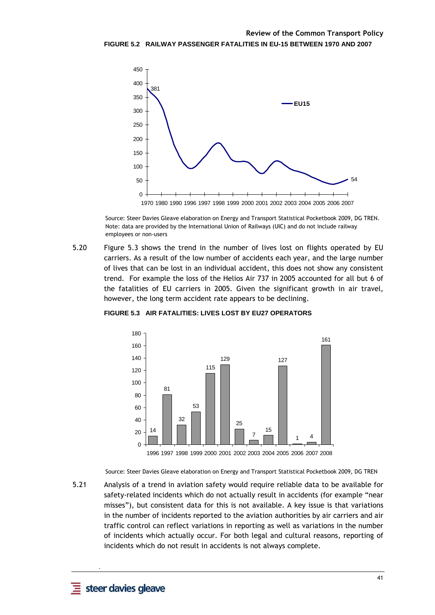

Source: Steer Davies Gleave elaboration on Energy and Transport Statistical Pocketbook 2009, DG TREN. Note: data are provided by the International Union of Railways (UIC) and do not include railway employees or non-users

5.20 Figure 5.3 shows the trend in the number of lives lost on flights operated by EU carriers. As a result of the low number of accidents each year, and the large number of lives that can be lost in an individual accident, this does not show any consistent trend. For example the loss of the Helios Air 737 in 2005 accounted for all but 6 of the fatalities of EU carriers in 2005. Given the significant growth in air travel, however, the long term accident rate appears to be declining.



**FIGURE 5.3 AIR FATALITIES: LIVES LOST BY EU27 OPERATORS** 

Source: Steer Davies Gleave elaboration on Energy and Transport Statistical Pocketbook 2009, DG TREN

5.21 Analysis of a trend in aviation safety would require reliable data to be available for safety-related incidents which do not actually result in accidents (for example "near misses"), but consistent data for this is not available. A key issue is that variations in the number of incidents reported to the aviation authorities by air carriers and air traffic control can reflect variations in reporting as well as variations in the number of incidents which actually occur. For both legal and cultural reasons, reporting of incidents which do not result in accidents is not always complete.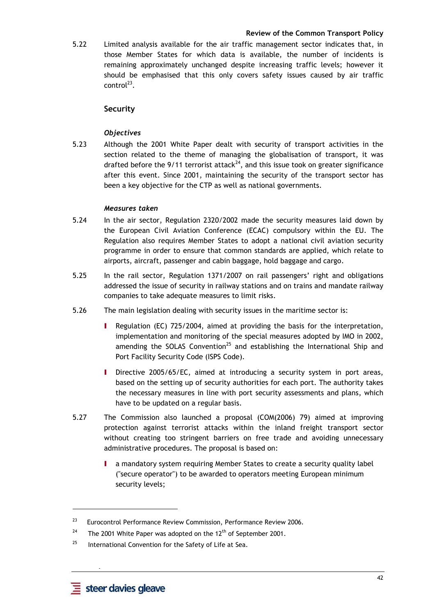5.22 Limited analysis available for the air traffic management sector indicates that, in those Member States for which data is available, the number of incidents is remaining approximately unchanged despite increasing traffic levels; however it should be emphasised that this only covers safety issues caused by air traffic  $control^{23}$ .

## **Security**

## *Objectives*

5.23 Although the 2001 White Paper dealt with security of transport activities in the section related to the theme of managing the globalisation of transport, it was drafted before the 9/11 terrorist attack<sup>24</sup>, and this issue took on greater significance after this event. Since 2001, maintaining the security of the transport sector has been a key objective for the CTP as well as national governments.

#### *Measures taken*

- 5.24 In the air sector, Regulation 2320/2002 made the security measures laid down by the European Civil Aviation Conference (ECAC) compulsory within the EU. The Regulation also requires Member States to adopt a national civil aviation security programme in order to ensure that common standards are applied, which relate to airports, aircraft, passenger and cabin baggage, hold baggage and cargo.
- 5.25 In the rail sector, Regulation 1371/2007 on rail passengers' right and obligations addressed the issue of security in railway stations and on trains and mandate railway companies to take adequate measures to limit risks.
- 5.26 The main legislation dealing with security issues in the maritime sector is:
	- Regulation (EC) 725/2004, aimed at providing the basis for the interpretation, implementation and monitoring of the special measures adopted by IMO in 2002, amending the SOLAS Convention<sup>25</sup> and establishing the International Ship and Port Facility Security Code (ISPS Code).
	- I Directive 2005/65/EC, aimed at introducing a security system in port areas, based on the setting up of security authorities for each port. The authority takes the necessary measures in line with port security assessments and plans, which have to be updated on a regular basis.
- 5.27 The Commission also launched a proposal (COM(2006) 79) aimed at improving protection against terrorist attacks within the inland freight transport sector without creating too stringent barriers on free trade and avoiding unnecessary administrative procedures. The proposal is based on:
	- I a mandatory system requiring Member States to create a security quality label ("secure operator") to be awarded to operators meeting European minimum security levels;

 **-** 

<sup>&</sup>lt;sup>23</sup> Eurocontrol Performance Review Commission, Performance Review 2006.

<sup>&</sup>lt;sup>24</sup> The 2001 White Paper was adopted on the 12<sup>th</sup> of September 2001.

 $25$  International Convention for the Safety of Life at Sea.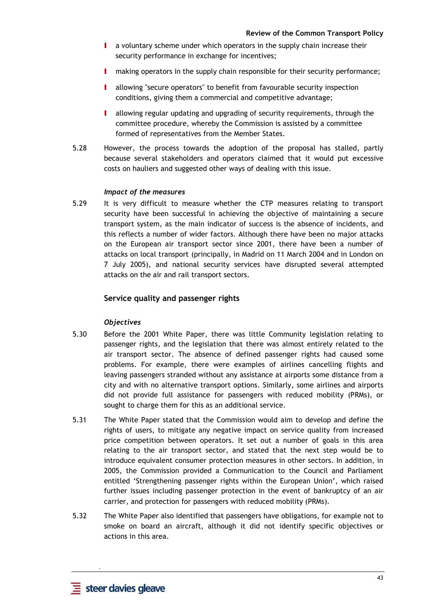- I a voluntary scheme under which operators in the supply chain increase their security performance in exchange for incentives;
- I making operators in the supply chain responsible for their security performance;
- I allowing "secure operators" to benefit from favourable security inspection conditions, giving them a commercial and competitive advantage;
- I allowing regular updating and upgrading of security requirements, through the committee procedure, whereby the Commission is assisted by a committee formed of representatives from the Member States.
- 5.28 However, the process towards the adoption of the proposal has stalled, partly because several stakeholders and operators claimed that it would put excessive costs on hauliers and suggested other ways of dealing with this issue.

#### *Impact of the measures*

5.29 It is very difficult to measure whether the CTP measures relating to transport security have been successful in achieving the objective of maintaining a secure transport system, as the main indicator of success is the absence of incidents, and this reflects a number of wider factors. Although there have been no major attacks on the European air transport sector since 2001, there have been a number of attacks on local transport (principally, in Madrid on 11 March 2004 and in London on 7 July 2005), and national security services have disrupted several attempted attacks on the air and rail transport sectors.

## **Service quality and passenger rights**

#### *Objectives*

- 5.30 Before the 2001 White Paper, there was little Community legislation relating to passenger rights, and the legislation that there was almost entirely related to the air transport sector. The absence of defined passenger rights had caused some problems. For example, there were examples of airlines cancelling flights and leaving passengers stranded without any assistance at airports some distance from a city and with no alternative transport options. Similarly, some airlines and airports did not provide full assistance for passengers with reduced mobility (PRMs), or sought to charge them for this as an additional service.
- 5.31 The White Paper stated that the Commission would aim to develop and define the rights of users, to mitigate any negative impact on service quality from increased price competition between operators. It set out a number of goals in this area relating to the air transport sector, and stated that the next step would be to introduce equivalent consumer protection measures in other sectors. In addition, in 2005, the Commission provided a Communication to the Council and Parliament entitled 'Strengthening passenger rights within the European Union', which raised further issues including passenger protection in the event of bankruptcy of an air carrier, and protection for passengers with reduced mobility (PRMs).
- 5.32 The White Paper also identified that passengers have obligations, for example not to smoke on board an aircraft, although it did not identify specific objectives or actions in this area.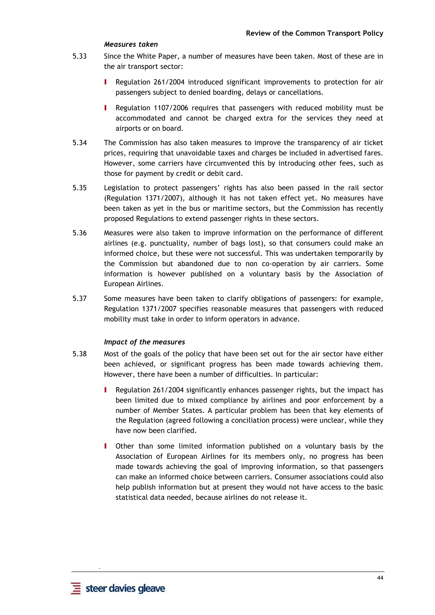#### *Measures taken*

- 5.33 Since the White Paper, a number of measures have been taken. Most of these are in the air transport sector:
	- I Regulation 261/2004 introduced significant improvements to protection for air passengers subject to denied boarding, delays or cancellations.
	- I Regulation 1107/2006 requires that passengers with reduced mobility must be accommodated and cannot be charged extra for the services they need at airports or on board.
- 5.34 The Commission has also taken measures to improve the transparency of air ticket prices, requiring that unavoidable taxes and charges be included in advertised fares. However, some carriers have circumvented this by introducing other fees, such as those for payment by credit or debit card.
- 5.35 Legislation to protect passengers' rights has also been passed in the rail sector (Regulation 1371/2007), although it has not taken effect yet. No measures have been taken as yet in the bus or maritime sectors, but the Commission has recently proposed Regulations to extend passenger rights in these sectors.
- 5.36 Measures were also taken to improve information on the performance of different airlines (e.g. punctuality, number of bags lost), so that consumers could make an informed choice, but these were not successful. This was undertaken temporarily by the Commission but abandoned due to non co-operation by air carriers. Some information is however published on a voluntary basis by the Association of European Airlines.
- 5.37 Some measures have been taken to clarify obligations of passengers: for example, Regulation 1371/2007 specifies reasonable measures that passengers with reduced mobility must take in order to inform operators in advance.

#### *Impact of the measures*

- 5.38 Most of the goals of the policy that have been set out for the air sector have either been achieved, or significant progress has been made towards achieving them. However, there have been a number of difficulties. In particular:
	- I Regulation 261/2004 significantly enhances passenger rights, but the impact has been limited due to mixed compliance by airlines and poor enforcement by a number of Member States. A particular problem has been that key elements of the Regulation (agreed following a conciliation process) were unclear, while they have now been clarified.
	- I Other than some limited information published on a voluntary basis by the Association of European Airlines for its members only, no progress has been made towards achieving the goal of improving information, so that passengers can make an informed choice between carriers. Consumer associations could also help publish information but at present they would not have access to the basic statistical data needed, because airlines do not release it.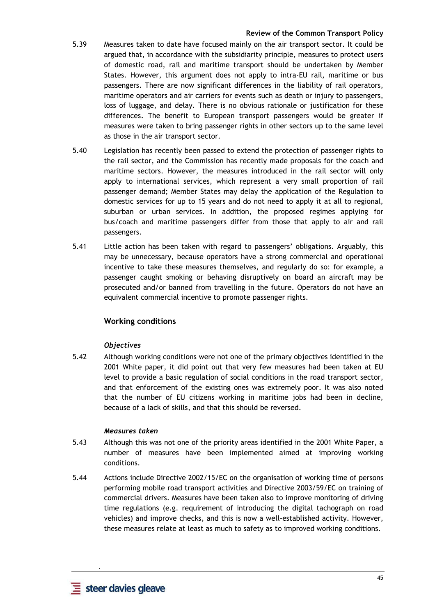- 5.39 Measures taken to date have focused mainly on the air transport sector. It could be argued that, in accordance with the subsidiarity principle, measures to protect users of domestic road, rail and maritime transport should be undertaken by Member States. However, this argument does not apply to intra-EU rail, maritime or bus passengers. There are now significant differences in the liability of rail operators, maritime operators and air carriers for events such as death or injury to passengers, loss of luggage, and delay. There is no obvious rationale or justification for these differences. The benefit to European transport passengers would be greater if measures were taken to bring passenger rights in other sectors up to the same level as those in the air transport sector.
- 5.40 Legislation has recently been passed to extend the protection of passenger rights to the rail sector, and the Commission has recently made proposals for the coach and maritime sectors. However, the measures introduced in the rail sector will only apply to international services, which represent a very small proportion of rail passenger demand; Member States may delay the application of the Regulation to domestic services for up to 15 years and do not need to apply it at all to regional, suburban or urban services. In addition, the proposed regimes applying for bus/coach and maritime passengers differ from those that apply to air and rail passengers.
- 5.41 Little action has been taken with regard to passengers' obligations. Arguably, this may be unnecessary, because operators have a strong commercial and operational incentive to take these measures themselves, and regularly do so: for example, a passenger caught smoking or behaving disruptively on board an aircraft may be prosecuted and/or banned from travelling in the future. Operators do not have an equivalent commercial incentive to promote passenger rights.

# **Working conditions**

## *Objectives*

5.42 Although working conditions were not one of the primary objectives identified in the 2001 White paper, it did point out that very few measures had been taken at EU level to provide a basic regulation of social conditions in the road transport sector, and that enforcement of the existing ones was extremely poor. It was also noted that the number of EU citizens working in maritime jobs had been in decline, because of a lack of skills, and that this should be reversed.

#### *Measures taken*

- 5.43 Although this was not one of the priority areas identified in the 2001 White Paper, a number of measures have been implemented aimed at improving working conditions.
- 5.44 Actions include Directive 2002/15/EC on the organisation of working time of persons performing mobile road transport activities and Directive 2003/59/EC on training of commercial drivers. Measures have been taken also to improve monitoring of driving time regulations (e.g. requirement of introducing the digital tachograph on road vehicles) and improve checks, and this is now a well-established activity. However, these measures relate at least as much to safety as to improved working conditions.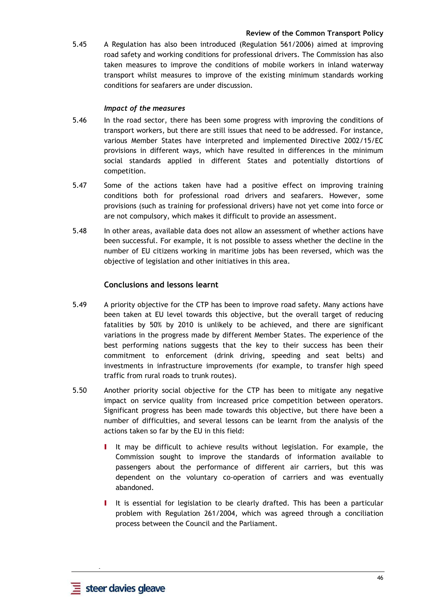5.45 A Regulation has also been introduced (Regulation 561/2006) aimed at improving road safety and working conditions for professional drivers. The Commission has also taken measures to improve the conditions of mobile workers in inland waterway transport whilst measures to improve of the existing minimum standards working conditions for seafarers are under discussion.

#### *Impact of the measures*

- 5.46 In the road sector, there has been some progress with improving the conditions of transport workers, but there are still issues that need to be addressed. For instance, various Member States have interpreted and implemented Directive 2002/15/EC provisions in different ways, which have resulted in differences in the minimum social standards applied in different States and potentially distortions of competition.
- 5.47 Some of the actions taken have had a positive effect on improving training conditions both for professional road drivers and seafarers. However, some provisions (such as training for professional drivers) have not yet come into force or are not compulsory, which makes it difficult to provide an assessment.
- 5.48 In other areas, available data does not allow an assessment of whether actions have been successful. For example, it is not possible to assess whether the decline in the number of EU citizens working in maritime jobs has been reversed, which was the objective of legislation and other initiatives in this area.

#### **Conclusions and lessons learnt**

- 5.49 A priority objective for the CTP has been to improve road safety. Many actions have been taken at EU level towards this objective, but the overall target of reducing fatalities by 50% by 2010 is unlikely to be achieved, and there are significant variations in the progress made by different Member States. The experience of the best performing nations suggests that the key to their success has been their commitment to enforcement (drink driving, speeding and seat belts) and investments in infrastructure improvements (for example, to transfer high speed traffic from rural roads to trunk routes).
- 5.50 Another priority social objective for the CTP has been to mitigate any negative impact on service quality from increased price competition between operators. Significant progress has been made towards this objective, but there have been a number of difficulties, and several lessons can be learnt from the analysis of the actions taken so far by the EU in this field:
	- I It may be difficult to achieve results without legislation. For example, the Commission sought to improve the standards of information available to passengers about the performance of different air carriers, but this was dependent on the voluntary co-operation of carriers and was eventually abandoned.
	- I It is essential for legislation to be clearly drafted. This has been a particular problem with Regulation 261/2004, which was agreed through a conciliation process between the Council and the Parliament.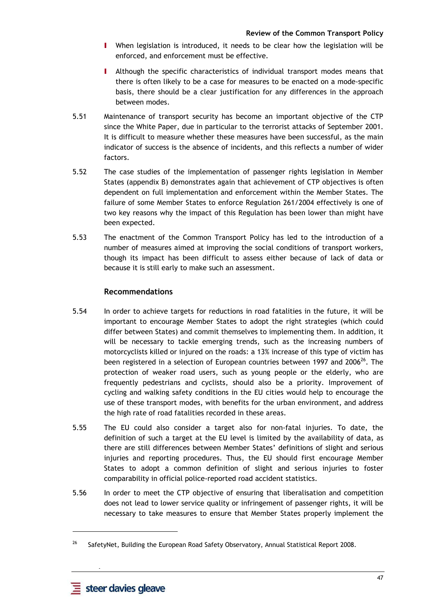- I When legislation is introduced, it needs to be clear how the legislation will be enforced, and enforcement must be effective.
- I Although the specific characteristics of individual transport modes means that there is often likely to be a case for measures to be enacted on a mode-specific basis, there should be a clear justification for any differences in the approach between modes.
- 5.51 Maintenance of transport security has become an important objective of the CTP since the White Paper, due in particular to the terrorist attacks of September 2001. It is difficult to measure whether these measures have been successful, as the main indicator of success is the absence of incidents, and this reflects a number of wider factors.
- 5.52 The case studies of the implementation of passenger rights legislation in Member States (appendix B) demonstrates again that achievement of CTP objectives is often dependent on full implementation and enforcement within the Member States. The failure of some Member States to enforce Regulation 261/2004 effectively is one of two key reasons why the impact of this Regulation has been lower than might have been expected.
- 5.53 The enactment of the Common Transport Policy has led to the introduction of a number of measures aimed at improving the social conditions of transport workers, though its impact has been difficult to assess either because of lack of data or because it is still early to make such an assessment.

# **Recommendations**

- 5.54 In order to achieve targets for reductions in road fatalities in the future, it will be important to encourage Member States to adopt the right strategies (which could differ between States) and commit themselves to implementing them. In addition, it will be necessary to tackle emerging trends, such as the increasing numbers of motorcyclists killed or injured on the roads: a 13% increase of this type of victim has been registered in a selection of European countries between 1997 and  $2006^{26}$ . The protection of weaker road users, such as young people or the elderly, who are frequently pedestrians and cyclists, should also be a priority. Improvement of cycling and walking safety conditions in the EU cities would help to encourage the use of these transport modes, with benefits for the urban environment, and address the high rate of road fatalities recorded in these areas.
- 5.55 The EU could also consider a target also for non-fatal injuries. To date, the definition of such a target at the EU level is limited by the availability of data, as there are still differences between Member States' definitions of slight and serious injuries and reporting procedures. Thus, the EU should first encourage Member States to adopt a common definition of slight and serious injuries to foster comparability in official police-reported road accident statistics.
- 5.56 In order to meet the CTP objective of ensuring that liberalisation and competition does not lead to lower service quality or infringement of passenger rights, it will be necessary to take measures to ensure that Member States properly implement the

 **-** 

<sup>&</sup>lt;sup>26</sup> SafetyNet, Building the European Road Safety Observatory, Annual Statistical Report 2008.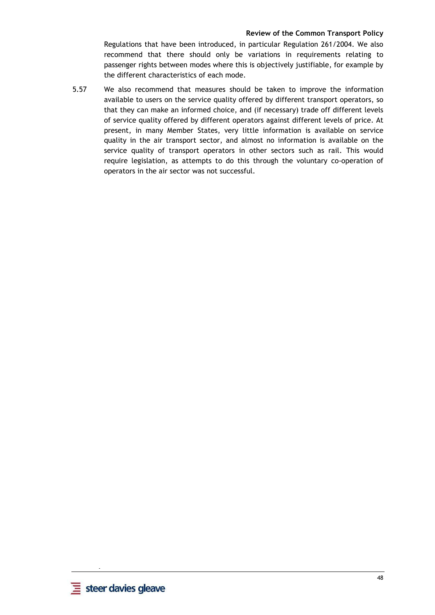Regulations that have been introduced, in particular Regulation 261/2004. We also recommend that there should only be variations in requirements relating to passenger rights between modes where this is objectively justifiable, for example by the different characteristics of each mode.

5.57 We also recommend that measures should be taken to improve the information available to users on the service quality offered by different transport operators, so that they can make an informed choice, and (if necessary) trade off different levels of service quality offered by different operators against different levels of price. At present, in many Member States, very little information is available on service quality in the air transport sector, and almost no information is available on the service quality of transport operators in other sectors such as rail. This would require legislation, as attempts to do this through the voluntary co-operation of operators in the air sector was not successful.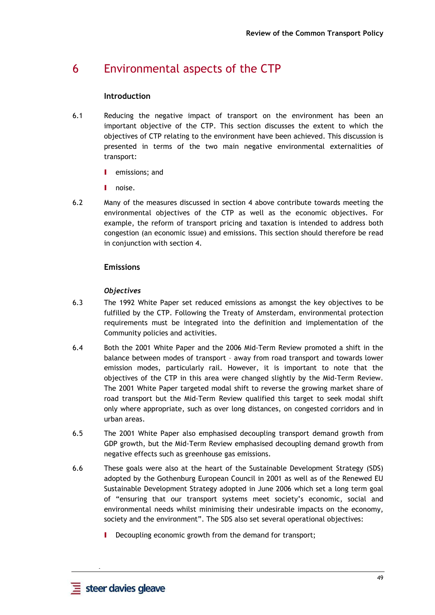# 6 Environmental aspects of the CTP

## **Introduction**

- 6.1 Reducing the negative impact of transport on the environment has been an important objective of the CTP. This section discusses the extent to which the objectives of CTP relating to the environment have been achieved. This discussion is presented in terms of the two main negative environmental externalities of transport:
	- I emissions; and
	- I noise.
- 6.2 Many of the measures discussed in section 4 above contribute towards meeting the environmental objectives of the CTP as well as the economic objectives. For example, the reform of transport pricing and taxation is intended to address both congestion (an economic issue) and emissions. This section should therefore be read in conjunction with section 4.

# **Emissions**

## *Objectives*

- 6.3 The 1992 White Paper set reduced emissions as amongst the key objectives to be fulfilled by the CTP. Following the Treaty of Amsterdam, environmental protection requirements must be integrated into the definition and implementation of the Community policies and activities.
- 6.4 Both the 2001 White Paper and the 2006 Mid-Term Review promoted a shift in the balance between modes of transport – away from road transport and towards lower emission modes, particularly rail. However, it is important to note that the objectives of the CTP in this area were changed slightly by the Mid-Term Review. The 2001 White Paper targeted modal shift to reverse the growing market share of road transport but the Mid-Term Review qualified this target to seek modal shift only where appropriate, such as over long distances, on congested corridors and in urban areas.
- 6.5 The 2001 White Paper also emphasised decoupling transport demand growth from GDP growth, but the Mid-Term Review emphasised decoupling demand growth from negative effects such as greenhouse gas emissions.
- 6.6 These goals were also at the heart of the Sustainable Development Strategy (SDS) adopted by the Gothenburg European Council in 2001 as well as of the Renewed EU Sustainable Development Strategy adopted in June 2006 which set a long term goal of "ensuring that our transport systems meet society's economic, social and environmental needs whilst minimising their undesirable impacts on the economy, society and the environment". The SDS also set several operational objectives:
	- **I** Decoupling economic growth from the demand for transport;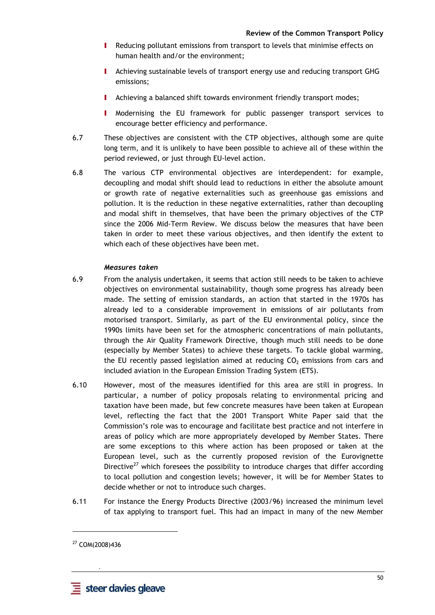- I Reducing pollutant emissions from transport to levels that minimise effects on human health and/or the environment;
- I Achieving sustainable levels of transport energy use and reducing transport GHG emissions;
- I Achieving a balanced shift towards environment friendly transport modes;
- I Modernising the EU framework for public passenger transport services to encourage better efficiency and performance.
- 6.7 These objectives are consistent with the CTP objectives, although some are quite long term, and it is unlikely to have been possible to achieve all of these within the period reviewed, or just through EU-level action.
- 6.8 The various CTP environmental objectives are interdependent: for example, decoupling and modal shift should lead to reductions in either the absolute amount or growth rate of negative externalities such as greenhouse gas emissions and pollution. It is the reduction in these negative externalities, rather than decoupling and modal shift in themselves, that have been the primary objectives of the CTP since the 2006 Mid-Term Review. We discuss below the measures that have been taken in order to meet these various objectives, and then identify the extent to which each of these objectives have been met.

## *Measures taken*

- 6.9 From the analysis undertaken, it seems that action still needs to be taken to achieve objectives on environmental sustainability, though some progress has already been made. The setting of emission standards, an action that started in the 1970s has already led to a considerable improvement in emissions of air pollutants from motorised transport. Similarly, as part of the EU environmental policy, since the 1990s limits have been set for the atmospheric concentrations of main pollutants, through the Air Quality Framework Directive, though much still needs to be done (especially by Member States) to achieve these targets. To tackle global warming, the EU recently passed legislation aimed at reducing  $CO<sub>2</sub>$  emissions from cars and included aviation in the European Emission Trading System (ETS).
- 6.10 However, most of the measures identified for this area are still in progress. In particular, a number of policy proposals relating to environmental pricing and taxation have been made, but few concrete measures have been taken at European level, reflecting the fact that the 2001 Transport White Paper said that the Commission's role was to encourage and facilitate best practice and not interfere in areas of policy which are more appropriately developed by Member States. There are some exceptions to this where action has been proposed or taken at the European level, such as the currently proposed revision of the Eurovignette Directive $^{27}$  which foresees the possibility to introduce charges that differ according to local pollution and congestion levels; however, it will be for Member States to decide whether or not to introduce such charges.
- 6.11 For instance the Energy Products Directive (2003/96) increased the minimum level of tax applying to transport fuel. This had an impact in many of the new Member

 **-** 

<sup>27</sup> COM(2008)436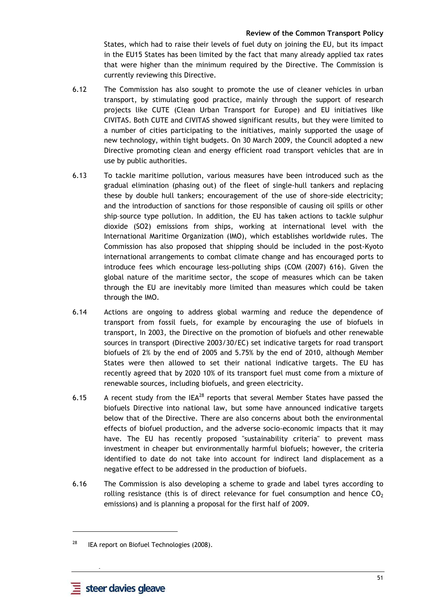States, which had to raise their levels of fuel duty on joining the EU, but its impact in the EU15 States has been limited by the fact that many already applied tax rates that were higher than the minimum required by the Directive. The Commission is currently reviewing this Directive.

- 6.12 The Commission has also sought to promote the use of cleaner vehicles in urban transport, by stimulating good practice, mainly through the support of research projects like CUTE (Clean Urban Transport for Europe) and EU initiatives like CIVITAS. Both CUTE and CIVITAS showed significant results, but they were limited to a number of cities participating to the initiatives, mainly supported the usage of new technology, within tight budgets. On 30 March 2009, the Council adopted a new Directive promoting clean and energy efficient road transport vehicles that are in use by public authorities.
- 6.13 To tackle maritime pollution, various measures have been introduced such as the gradual elimination (phasing out) of the fleet of single-hull tankers and replacing these by double hull tankers; encouragement of the use of shore-side electricity; and the introduction of sanctions for those responsible of causing oil spills or other ship–source type pollution. In addition, the EU has taken actions to tackle sulphur dioxide (SO2) emissions from ships, working at international level with the International Maritime Organization (IMO), which establishes worldwide rules. The Commission has also proposed that shipping should be included in the post-Kyoto international arrangements to combat climate change and has encouraged ports to introduce fees which encourage less-polluting ships (COM (2007) 616). Given the global nature of the maritime sector, the scope of measures which can be taken through the EU are inevitably more limited than measures which could be taken through the IMO.
- 6.14 Actions are ongoing to address global warming and reduce the dependence of transport from fossil fuels, for example by encouraging the use of biofuels in transport, In 2003, the Directive on the promotion of biofuels and other renewable sources in transport (Directive 2003/30/EC) set indicative targets for road transport biofuels of 2% by the end of 2005 and 5.75% by the end of 2010, although Member States were then allowed to set their national indicative targets. The EU has recently agreed that by 2020 10% of its transport fuel must come from a mixture of renewable sources, including biofuels, and green electricity.
- 6.15 A recent study from the  $|EA^{28}|$  reports that several Member States have passed the biofuels Directive into national law, but some have announced indicative targets below that of the Directive. There are also concerns about both the environmental effects of biofuel production, and the adverse socio-economic impacts that it may have. The EU has recently proposed "sustainability criteria" to prevent mass investment in cheaper but environmentally harmful biofuels; however, the criteria identified to date do not take into account for indirect land displacement as a negative effect to be addressed in the production of biofuels.
- 6.16 The Commission is also developing a scheme to grade and label tyres according to rolling resistance (this is of direct relevance for fuel consumption and hence  $CO<sub>2</sub>$ emissions) and is planning a proposal for the first half of 2009.

 **-** 

 $28$  IEA report on Biofuel Technologies (2008).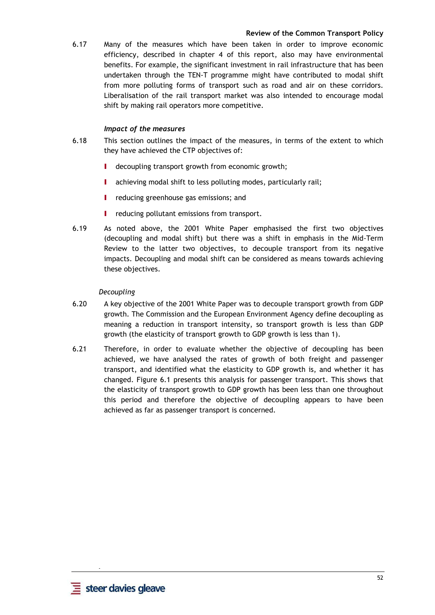6.17 Many of the measures which have been taken in order to improve economic efficiency, described in chapter 4 of this report, also may have environmental benefits. For example, the significant investment in rail infrastructure that has been undertaken through the TEN-T programme might have contributed to modal shift from more polluting forms of transport such as road and air on these corridors. Liberalisation of the rail transport market was also intended to encourage modal shift by making rail operators more competitive.

## *Impact of the measures*

- 6.18 This section outlines the impact of the measures, in terms of the extent to which they have achieved the CTP objectives of:
	- I decoupling transport growth from economic growth;
	- I achieving modal shift to less polluting modes, particularly rail:
	- **I** reducing greenhouse gas emissions; and
	- **I** reducing pollutant emissions from transport.
- 6.19 As noted above, the 2001 White Paper emphasised the first two objectives (decoupling and modal shift) but there was a shift in emphasis in the Mid-Term Review to the latter two objectives, to decouple transport from its negative impacts. Decoupling and modal shift can be considered as means towards achieving these objectives.

## *Decoupling*

- 6.20 A key objective of the 2001 White Paper was to decouple transport growth from GDP growth. The Commission and the European Environment Agency define decoupling as meaning a reduction in transport intensity, so transport growth is less than GDP growth (the elasticity of transport growth to GDP growth is less than 1).
- 6.21 Therefore, in order to evaluate whether the objective of decoupling has been achieved, we have analysed the rates of growth of both freight and passenger transport, and identified what the elasticity to GDP growth is, and whether it has changed. Figure 6.1 presents this analysis for passenger transport. This shows that the elasticity of transport growth to GDP growth has been less than one throughout this period and therefore the objective of decoupling appears to have been achieved as far as passenger transport is concerned.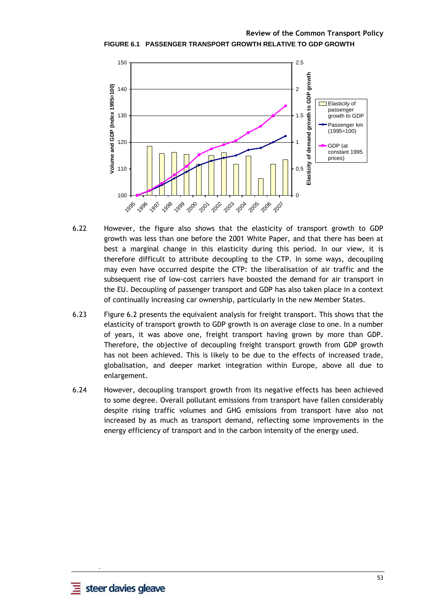**Review of the Common Transport Policy FIGURE 6.1 PASSENGER TRANSPORT GROWTH RELATIVE TO GDP GROWTH** 



- 6.22 However, the figure also shows that the elasticity of transport growth to GDP growth was less than one before the 2001 White Paper, and that there has been at best a marginal change in this elasticity during this period. In our view, it is therefore difficult to attribute decoupling to the CTP. In some ways, decoupling may even have occurred despite the CTP: the liberalisation of air traffic and the subsequent rise of low-cost carriers have boosted the demand for air transport in the EU. Decoupling of passenger transport and GDP has also taken place in a context of continually increasing car ownership, particularly in the new Member States.
- 6.23 Figure 6.2 presents the equivalent analysis for freight transport. This shows that the elasticity of transport growth to GDP growth is on average close to one. In a number of years, it was above one, freight transport having grown by more than GDP. Therefore, the objective of decoupling freight transport growth from GDP growth has not been achieved. This is likely to be due to the effects of increased trade, globalisation, and deeper market integration within Europe, above all due to enlargement.
- 6.24 However, decoupling transport growth from its negative effects has been achieved to some degree. Overall pollutant emissions from transport have fallen considerably despite rising traffic volumes and GHG emissions from transport have also not increased by as much as transport demand, reflecting some improvements in the energy efficiency of transport and in the carbon intensity of the energy used.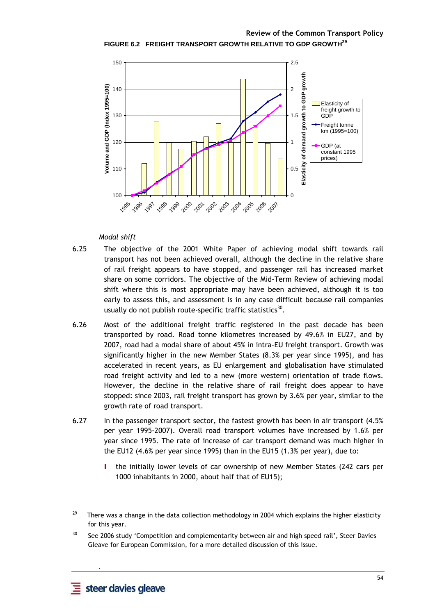**Review of the Common Transport Policy FIGURE 6.2 FREIGHT TRANSPORT GROWTH RELATIVE TO GDP GROWTH 29**



#### *Modal shift*

- 6.25 The objective of the 2001 White Paper of achieving modal shift towards rail transport has not been achieved overall, although the decline in the relative share of rail freight appears to have stopped, and passenger rail has increased market share on some corridors. The objective of the Mid-Term Review of achieving modal shift where this is most appropriate may have been achieved, although it is too early to assess this, and assessment is in any case difficult because rail companies usually do not publish route-specific traffic statistics $^{30}$ .
- 6.26 Most of the additional freight traffic registered in the past decade has been transported by road. Road tonne kilometres increased by 49.6% in EU27, and by 2007, road had a modal share of about 45% in intra-EU freight transport. Growth was significantly higher in the new Member States (8.3% per year since 1995), and has accelerated in recent years, as EU enlargement and globalisation have stimulated road freight activity and led to a new (more western) orientation of trade flows. However, the decline in the relative share of rail freight does appear to have stopped: since 2003, rail freight transport has grown by 3.6% per year, similar to the growth rate of road transport.
- 6.27 In the passenger transport sector, the fastest growth has been in air transport (4.5% per year 1995-2007). Overall road transport volumes have increased by 1.6% per year since 1995. The rate of increase of car transport demand was much higher in the EU12 (4.6% per year since 1995) than in the EU15 (1.3% per year), due to:
	- the initially lower levels of car ownership of new Member States (242 cars per 1000 inhabitants in 2000, about half that of EU15);

 **-** 

l

<sup>&</sup>lt;sup>29</sup> There was a change in the data collection methodology in 2004 which explains the higher elasticity for this year.

<sup>&</sup>lt;sup>30</sup> See 2006 study 'Competition and complementarity between air and high speed rail', Steer Davies Gleave for European Commission, for a more detailed discussion of this issue.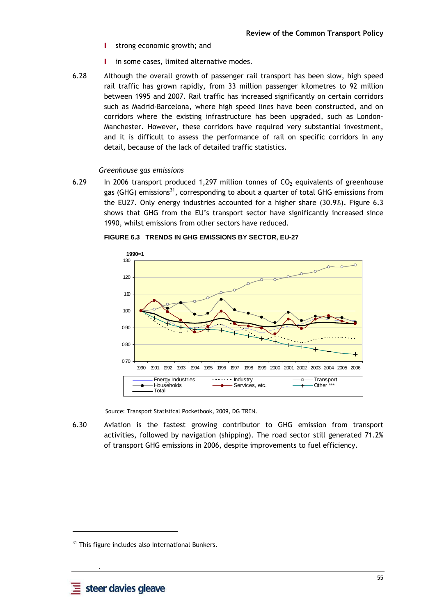- **I** strong economic growth; and
- I in some cases, limited alternative modes.
- 6.28 Although the overall growth of passenger rail transport has been slow, high speed rail traffic has grown rapidly, from 33 million passenger kilometres to 92 million between 1995 and 2007. Rail traffic has increased significantly on certain corridors such as Madrid-Barcelona, where high speed lines have been constructed, and on corridors where the existing infrastructure has been upgraded, such as London-Manchester. However, these corridors have required very substantial investment, and it is difficult to assess the performance of rail on specific corridors in any detail, because of the lack of detailed traffic statistics.

#### *Greenhouse gas emissions*

6.29 In 2006 transport produced 1.297 million tonnes of  $CO<sub>2</sub>$  equivalents of greenhouse gas (GHG) emissions<sup>31</sup>, corresponding to about a quarter of total GHG emissions from the EU27. Only energy industries accounted for a higher share (30.9%). Figure 6.3 shows that GHG from the EU's transport sector have significantly increased since 1990, whilst emissions from other sectors have reduced.



#### **FIGURE 6.3 TRENDS IN GHG EMISSIONS BY SECTOR, EU-27**

Source: Transport Statistical Pocketbook, 2009, DG TREN.

6.30 Aviation is the fastest growing contributor to GHG emission from transport activities, followed by navigation (shipping). The road sector still generated 71.2% of transport GHG emissions in 2006, despite improvements to fuel efficiency.

 **-** 

<sup>&</sup>lt;sup>31</sup> This figure includes also International Bunkers.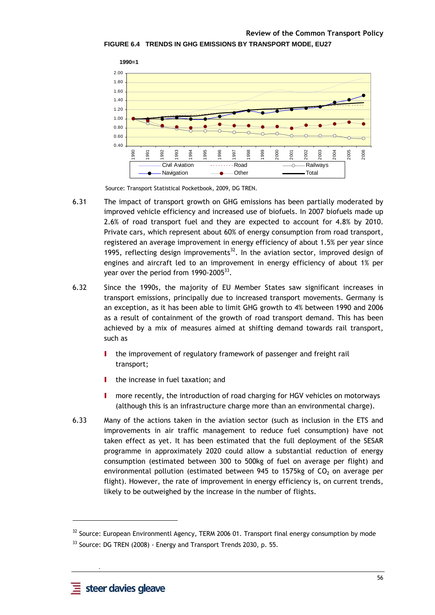

Source: Transport Statistical Pocketbook, 2009, DG TREN.

- 6.31 The impact of transport growth on GHG emissions has been partially moderated by improved vehicle efficiency and increased use of biofuels. In 2007 biofuels made up 2.6% of road transport fuel and they are expected to account for 4.8% by 2010. Private cars, which represent about 60% of energy consumption from road transport, registered an average improvement in energy efficiency of about 1.5% per year since 1995, reflecting design improvements<sup>32</sup>. In the aviation sector, improved design of engines and aircraft led to an improvement in energy efficiency of about 1% per year over the period from 1990-2005 $^{33}$ .
- 6.32 Since the 1990s, the majority of EU Member States saw significant increases in transport emissions, principally due to increased transport movements. Germany is an exception, as it has been able to limit GHG growth to 4% between 1990 and 2006 as a result of containment of the growth of road transport demand. This has been achieved by a mix of measures aimed at shifting demand towards rail transport, such as
	- I the improvement of regulatory framework of passenger and freight rail transport;
	- the increase in fuel taxation; and
	- I more recently, the introduction of road charging for HGV vehicles on motorways (although this is an infrastructure charge more than an environmental charge).
- 6.33 Many of the actions taken in the aviation sector (such as inclusion in the ETS and improvements in air traffic management to reduce fuel consumption) have not taken effect as yet. It has been estimated that the full deployment of the SESAR programme in approximately 2020 could allow a substantial reduction of energy consumption (estimated between 300 to 500kg of fuel on average per flight) and environmental pollution (estimated between 945 to 1575kg of  $CO<sub>2</sub>$  on average per flight). However, the rate of improvement in energy efficiency is, on current trends, likely to be outweighed by the increase in the number of flights.

 **-** 

l

<sup>&</sup>lt;sup>32</sup> Source: European Environmentl Agency, TERM 2006 01. Transport final energy consumption by mode

 $33$  Source: DG TREN (2008) - Energy and Transport Trends 2030, p. 55.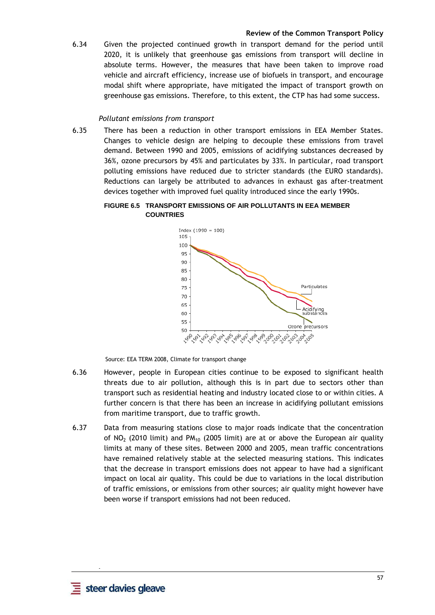6.34 Given the projected continued growth in transport demand for the period until 2020, it is unlikely that greenhouse gas emissions from transport will decline in absolute terms. However, the measures that have been taken to improve road vehicle and aircraft efficiency, increase use of biofuels in transport, and encourage modal shift where appropriate, have mitigated the impact of transport growth on greenhouse gas emissions. Therefore, to this extent, the CTP has had some success.

#### *Pollutant emissions from transport*

6.35 There has been a reduction in other transport emissions in EEA Member States. Changes to vehicle design are helping to decouple these emissions from travel demand. Between 1990 and 2005, emissions of acidifying substances decreased by 36%, ozone precursors by 45% and particulates by 33%. In particular, road transport polluting emissions have reduced due to stricter standards (the EURO standards). Reductions can largely be attributed to advances in exhaust gas after-treatment devices together with improved fuel quality introduced since the early 1990s.

#### **FIGURE 6.5 TRANSPORT EMISSIONS OF AIR POLLUTANTS IN EEA MEMBER COUNTRIES**



Source: EEA TERM 2008, Climate for transport change

- 6.36 However, people in European cities continue to be exposed to significant health threats due to air pollution, although this is in part due to sectors other than transport such as residential heating and industry located close to or within cities. A further concern is that there has been an increase in acidifying pollutant emissions from maritime transport, due to traffic growth.
- 6.37 Data from measuring stations close to major roads indicate that the concentration of NO<sub>2</sub> (2010 limit) and PM<sub>10</sub> (2005 limit) are at or above the European air quality limits at many of these sites. Between 2000 and 2005, mean traffic concentrations have remained relatively stable at the selected measuring stations. This indicates that the decrease in transport emissions does not appear to have had a significant impact on local air quality. This could be due to variations in the local distribution of traffic emissions, or emissions from other sources; air quality might however have been worse if transport emissions had not been reduced.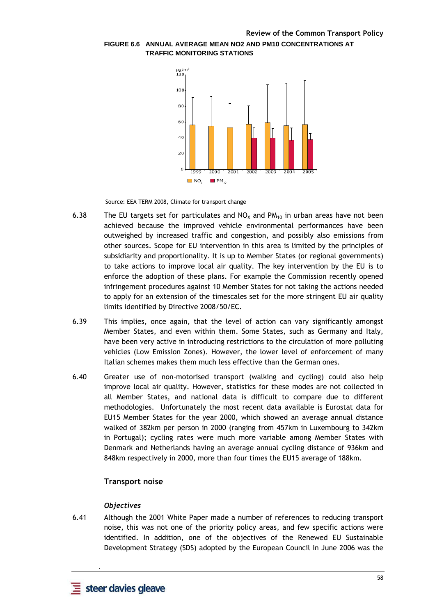

## **FIGURE 6.6 ANNUAL AVERAGE MEAN NO2 AND PM10 CONCENTRATIONS AT TRAFFIC MONITORING STATIONS**

Source: EEA TERM 2008, Climate for transport change

- 6.38 The EU targets set for particulates and  $NO<sub>X</sub>$  and PM<sub>10</sub> in urban areas have not been achieved because the improved vehicle environmental performances have been outweighed by increased traffic and congestion, and possibly also emissions from other sources. Scope for EU intervention in this area is limited by the principles of subsidiarity and proportionality. It is up to Member States (or regional governments) to take actions to improve local air quality. The key intervention by the EU is to enforce the adoption of these plans. For example the Commission recently opened infringement procedures against 10 Member States for not taking the actions needed to apply for an extension of the timescales set for the more stringent EU air quality limits identified by Directive 2008/50/EC.
- 6.39 This implies, once again, that the level of action can vary significantly amongst Member States, and even within them. Some States, such as Germany and Italy, have been very active in introducing restrictions to the circulation of more polluting vehicles (Low Emission Zones). However, the lower level of enforcement of many Italian schemes makes them much less effective than the German ones.
- 6.40 Greater use of non-motorised transport (walking and cycling) could also help improve local air quality. However, statistics for these modes are not collected in all Member States, and national data is difficult to compare due to different methodologies. Unfortunately the most recent data available is Eurostat data for EU15 Member States for the year 2000, which showed an average annual distance walked of 382km per person in 2000 (ranging from 457km in Luxembourg to 342km in Portugal); cycling rates were much more variable among Member States with Denmark and Netherlands having an average annual cycling distance of 936km and 848km respectively in 2000, more than four times the EU15 average of 188km.

## **Transport noise**

#### *Objectives*

6.41 Although the 2001 White Paper made a number of references to reducing transport noise, this was not one of the priority policy areas, and few specific actions were identified. In addition, one of the objectives of the Renewed EU Sustainable Development Strategy (SDS) adopted by the European Council in June 2006 was the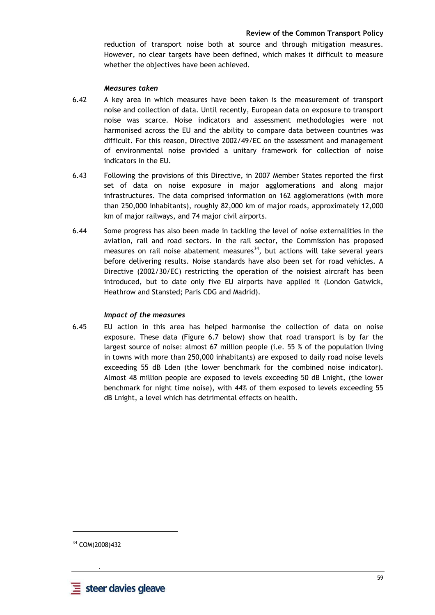reduction of transport noise both at source and through mitigation measures. However, no clear targets have been defined, which makes it difficult to measure whether the objectives have been achieved.

#### *Measures taken*

- 6.42 A key area in which measures have been taken is the measurement of transport noise and collection of data. Until recently, European data on exposure to transport noise was scarce. Noise indicators and assessment methodologies were not harmonised across the EU and the ability to compare data between countries was difficult. For this reason, Directive 2002/49/EC on the assessment and management of environmental noise provided a unitary framework for collection of noise indicators in the EU.
- 6.43 Following the provisions of this Directive, in 2007 Member States reported the first set of data on noise exposure in major agglomerations and along major infrastructures. The data comprised information on 162 agglomerations (with more than 250,000 inhabitants), roughly 82,000 km of major roads, approximately 12,000 km of major railways, and 74 major civil airports.
- 6.44 Some progress has also been made in tackling the level of noise externalities in the aviation, rail and road sectors. In the rail sector, the Commission has proposed measures on rail noise abatement measures $34$ , but actions will take several years before delivering results. Noise standards have also been set for road vehicles. A Directive (2002/30/EC) restricting the operation of the noisiest aircraft has been introduced, but to date only five EU airports have applied it (London Gatwick, Heathrow and Stansted; Paris CDG and Madrid).

#### *Impact of the measures*

6.45 EU action in this area has helped harmonise the collection of data on noise exposure. These data (Figure 6.7 below) show that road transport is by far the largest source of noise: almost 67 million people (i.e. 55 % of the population living in towns with more than 250,000 inhabitants) are exposed to daily road noise levels exceeding 55 dB Lden (the lower benchmark for the combined noise indicator). Almost 48 million people are exposed to levels exceeding 50 dB Lnight, (the lower benchmark for night time noise), with 44% of them exposed to levels exceeding 55 dB Lnight, a level which has detrimental effects on health.

<sup>34</sup> COM(2008)432

 **-**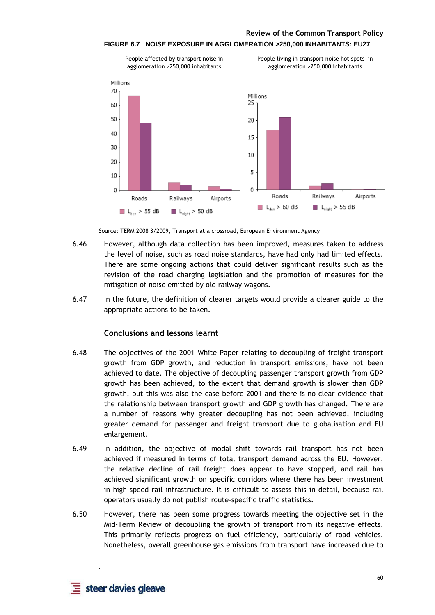

#### **FIGURE 6.7 NOISE EXPOSURE IN AGGLOMERATION >250,000 INHABITANTS: EU27**

Source: TERM 2008 3/2009, Transport at a crossroad, European Environment Agency

- 6.46 However, although data collection has been improved, measures taken to address the level of noise, such as road noise standards, have had only had limited effects. There are some ongoing actions that could deliver significant results such as the revision of the road charging legislation and the promotion of measures for the mitigation of noise emitted by old railway wagons.
- 6.47 In the future, the definition of clearer targets would provide a clearer guide to the appropriate actions to be taken.

## **Conclusions and lessons learnt**

- 6.48 The objectives of the 2001 White Paper relating to decoupling of freight transport growth from GDP growth, and reduction in transport emissions, have not been achieved to date. The objective of decoupling passenger transport growth from GDP growth has been achieved, to the extent that demand growth is slower than GDP growth, but this was also the case before 2001 and there is no clear evidence that the relationship between transport growth and GDP growth has changed. There are a number of reasons why greater decoupling has not been achieved, including greater demand for passenger and freight transport due to globalisation and EU enlargement.
- 6.49 In addition, the objective of modal shift towards rail transport has not been achieved if measured in terms of total transport demand across the EU. However, the relative decline of rail freight does appear to have stopped, and rail has achieved significant growth on specific corridors where there has been investment in high speed rail infrastructure. It is difficult to assess this in detail, because rail operators usually do not publish route-specific traffic statistics.
- 6.50 However, there has been some progress towards meeting the objective set in the Mid-Term Review of decoupling the growth of transport from its negative effects. This primarily reflects progress on fuel efficiency, particularly of road vehicles. Nonetheless, overall greenhouse gas emissions from transport have increased due to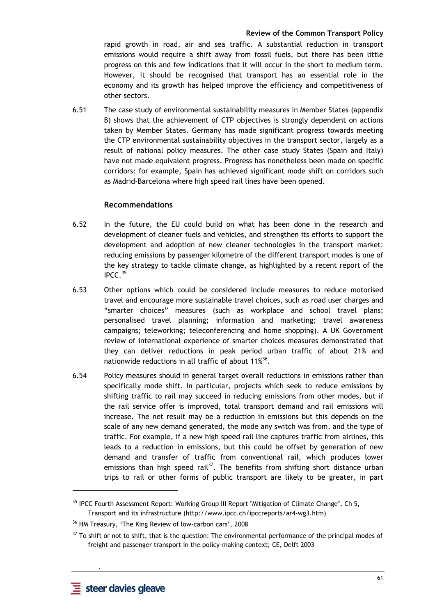rapid growth in road, air and sea traffic. A substantial reduction in transport emissions would require a shift away from fossil fuels, but there has been little progress on this and few indications that it will occur in the short to medium term. However, it should be recognised that transport has an essential role in the economy and its growth has helped improve the efficiency and competitiveness of other sectors.

6.51 The case study of environmental sustainability measures in Member States (appendix B) shows that the achievement of CTP objectives is strongly dependent on actions taken by Member States. Germany has made significant progress towards meeting the CTP environmental sustainability objectives in the transport sector, largely as a result of national policy measures. The other case study States (Spain and Italy) have not made equivalent progress. Progress has nonetheless been made on specific corridors: for example, Spain has achieved significant mode shift on corridors such as Madrid-Barcelona where high speed rail lines have been opened.

#### **Recommendations**

- 6.52 In the future, the EU could build on what has been done in the research and development of cleaner fuels and vehicles, and strengthen its efforts to support the development and adoption of new cleaner technologies in the transport market: reducing emissions by passenger kilometre of the different transport modes is one of the key strategy to tackle climate change, as highlighted by a recent report of the IPCC. $35$
- 6.53 Other options which could be considered include measures to reduce motorised travel and encourage more sustainable travel choices, such as road user charges and "smarter choices" measures (such as workplace and school travel plans; personalised travel planning; information and marketing; travel awareness campaigns; teleworking; teleconferencing and home shopping). A UK Government review of international experience of smarter choices measures demonstrated that they can deliver reductions in peak period urban traffic of about 21% and nationwide reductions in all traffic of about 11 $\% ^{36}.$
- 6.54 Policy measures should in general target overall reductions in emissions rather than specifically mode shift. In particular, projects which seek to reduce emissions by shifting traffic to rail may succeed in reducing emissions from other modes, but if the rail service offer is improved, total transport demand and rail emissions will increase. The net result may be a reduction in emissions but this depends on the scale of any new demand generated, the mode any switch was from, and the type of traffic. For example, if a new high speed rail line captures traffic from airlines, this leads to a reduction in emissions, but this could be offset by generation of new demand and transfer of traffic from conventional rail, which produces lower emissions than high speed rail<sup>37</sup>. The benefits from shifting short distance urban trips to rail or other forms of public transport are likely to be greater, in part

 **-** 

<sup>&</sup>lt;sup>35</sup> IPCC Fourth Assessment Report: Working Group III Report "Mitigation of Climate Change", Ch 5, Transport and its infrastructure (http://www.ipcc.ch/ipccreports/ar4-wg3.htm)

<sup>36</sup> HM Treasury, 'The King Review of low-carbon cars', 2008

<sup>&</sup>lt;sup>37</sup> To shift or not to shift, that is the question: The environmental performance of the principal modes of freight and passenger transport in the policy-making context; CE, Delft 2003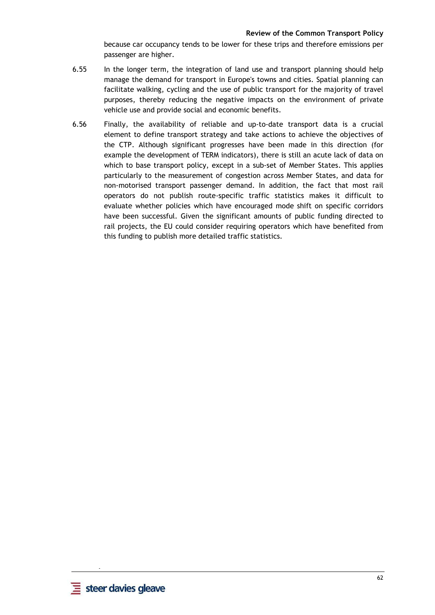because car occupancy tends to be lower for these trips and therefore emissions per passenger are higher.

- 6.55 In the longer term, the integration of land use and transport planning should help manage the demand for transport in Europe's towns and cities. Spatial planning can facilitate walking, cycling and the use of public transport for the majority of travel purposes, thereby reducing the negative impacts on the environment of private vehicle use and provide social and economic benefits.
- 6.56 Finally, the availability of reliable and up-to-date transport data is a crucial element to define transport strategy and take actions to achieve the objectives of the CTP. Although significant progresses have been made in this direction (for example the development of TERM indicators), there is still an acute lack of data on which to base transport policy, except in a sub-set of Member States. This applies particularly to the measurement of congestion across Member States, and data for non-motorised transport passenger demand. In addition, the fact that most rail operators do not publish route-specific traffic statistics makes it difficult to evaluate whether policies which have encouraged mode shift on specific corridors have been successful. Given the significant amounts of public funding directed to rail projects, the EU could consider requiring operators which have benefited from this funding to publish more detailed traffic statistics.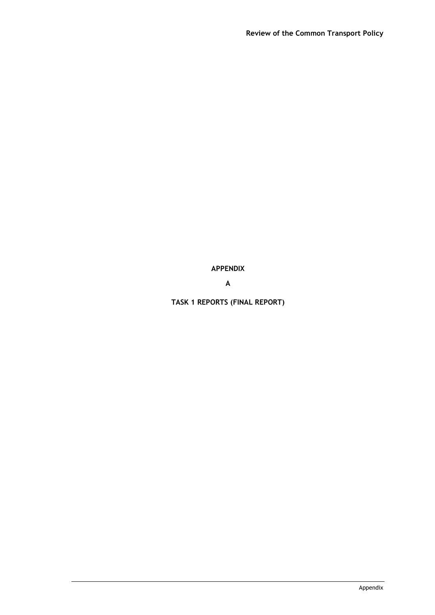**APPENDIX** 

**A** 

**TASK 1 REPORTS (FINAL REPORT)**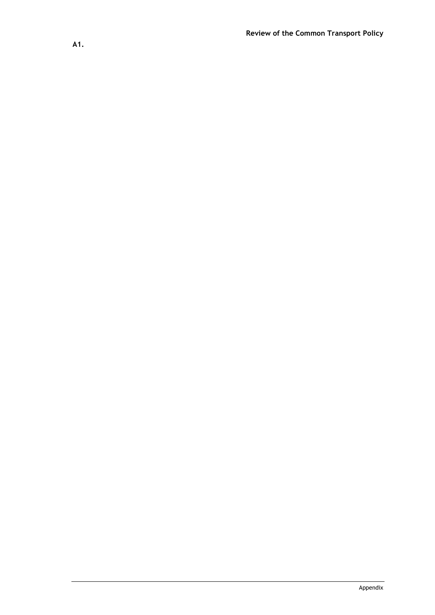**A1.**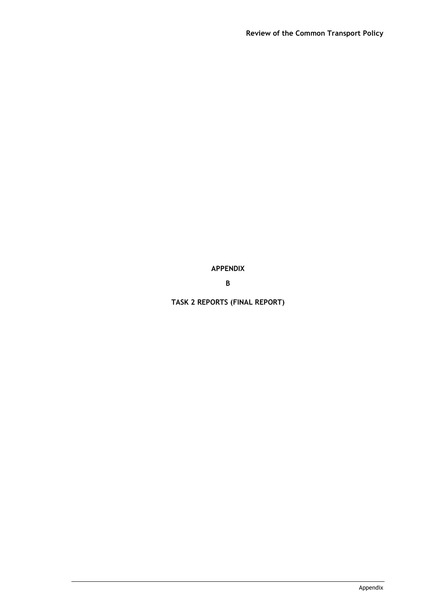**APPENDIX** 

**B** 

**TASK 2 REPORTS (FINAL REPORT)**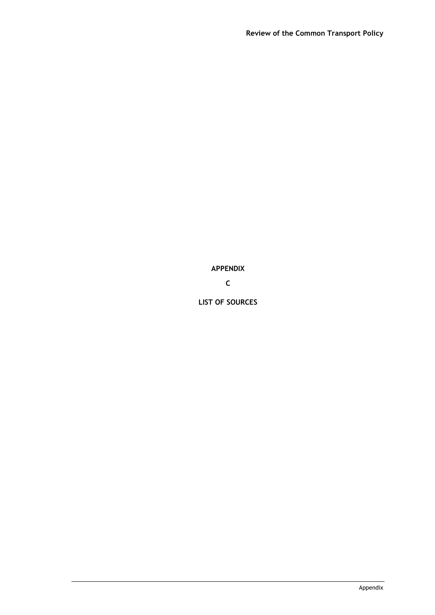**APPENDIX** 

**C** 

**LIST OF SOURCES**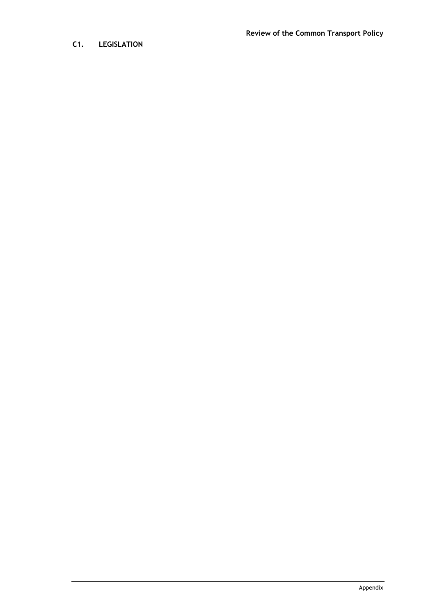# **C1. LEGISLATION**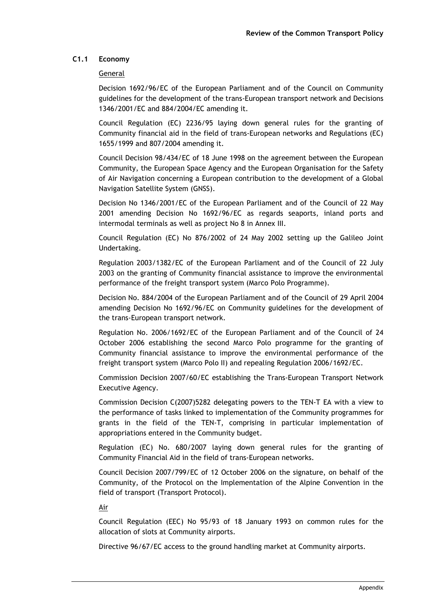# **C1.1 Economy**

## General

Decision 1692/96/EC of the European Parliament and of the Council on Community guidelines for the development of the trans-European transport network and Decisions 1346/2001/EC and 884/2004/EC amending it.

Council Regulation (EC) 2236/95 laying down general rules for the granting of Community financial aid in the field of trans-European networks and Regulations (EC) 1655/1999 and 807/2004 amending it.

Council Decision 98/434/EC of 18 June 1998 on the agreement between the European Community, the European Space Agency and the European Organisation for the Safety of Air Navigation concerning a European contribution to the development of a Global Navigation Satellite System (GNSS).

Decision No 1346/2001/EC of the European Parliament and of the Council of 22 May 2001 amending Decision No 1692/96/EC as regards seaports, inland ports and intermodal terminals as well as project No 8 in Annex III.

Council Regulation (EC) No 876/2002 of 24 May 2002 setting up the Galileo Joint Undertaking.

Regulation 2003/1382/EC of the European Parliament and of the Council of 22 July 2003 on the granting of Community financial assistance to improve the environmental performance of the freight transport system (Marco Polo Programme).

Decision No. 884/2004 of the European Parliament and of the Council of 29 April 2004 amending Decision No 1692/96/EC on Community guidelines for the development of the trans-European transport network.

Regulation No. 2006/1692/EC of the European Parliament and of the Council of 24 October 2006 establishing the second Marco Polo programme for the granting of Community financial assistance to improve the environmental performance of the freight transport system (Marco Polo II) and repealing Regulation 2006/1692/EC.

Commission Decision 2007/60/EC establishing the Trans-European Transport Network Executive Agency.

Commission Decision C(2007)5282 delegating powers to the TEN-T EA with a view to the performance of tasks linked to implementation of the Community programmes for grants in the field of the TEN-T, comprising in particular implementation of appropriations entered in the Community budget.

Regulation (EC) No. 680/2007 laying down general rules for the granting of Community Financial Aid in the field of trans-European networks.

Council Decision 2007/799/EC of 12 October 2006 on the signature, on behalf of the Community, of the Protocol on the Implementation of the Alpine Convention in the field of transport (Transport Protocol).

Air

Council Regulation (EEC) No 95/93 of 18 January 1993 on common rules for the allocation of slots at Community airports.

Directive 96/67/EC access to the ground handling market at Community airports.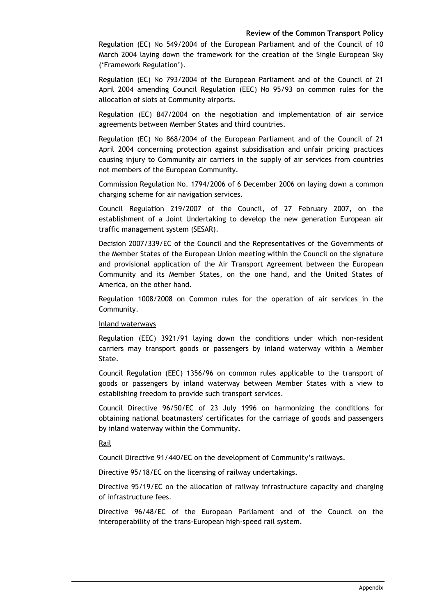Regulation (EC) No 549/2004 of the European Parliament and of the Council of 10 March 2004 laying down the framework for the creation of the Single European Sky ('Framework Regulation').

Regulation (EC) No 793/2004 of the European Parliament and of the Council of 21 April 2004 amending Council Regulation (EEC) No 95/93 on common rules for the allocation of slots at Community airports.

Regulation (EC) 847/2004 on the negotiation and implementation of air service agreements between Member States and third countries.

Regulation (EC) No 868/2004 of the European Parliament and of the Council of 21 April 2004 concerning protection against subsidisation and unfair pricing practices causing injury to Community air carriers in the supply of air services from countries not members of the European Community.

Commission Regulation No. 1794/2006 of 6 December 2006 on laying down a common charging scheme for air navigation services.

Council Regulation 219/2007 of the Council, of 27 February 2007, on the establishment of a Joint Undertaking to develop the new generation European air traffic management system (SESAR).

Decision 2007/339/EC of the Council and the Representatives of the Governments of the Member States of the European Union meeting within the Council on the signature and provisional application of the Air Transport Agreement between the European Community and its Member States, on the one hand, and the United States of America, on the other hand.

Regulation 1008/2008 on Common rules for the operation of air services in the Community.

#### Inland waterways

Regulation (EEC) 3921/91 laying down the conditions under which non-resident carriers may transport goods or passengers by inland waterway within a Member State.

Council Regulation (EEC) 1356/96 on common rules applicable to the transport of goods or passengers by inland waterway between Member States with a view to establishing freedom to provide such transport services.

Council Directive 96/50/EC of 23 July 1996 on harmonizing the conditions for obtaining national boatmasters' certificates for the carriage of goods and passengers by inland waterway within the Community.

# Rail

Council Directive 91/440/EC on the development of Community's railways.

Directive 95/18/EC on the licensing of railway undertakings.

Directive 95/19/EC on the allocation of railway infrastructure capacity and charging of infrastructure fees.

Directive 96/48/EC of the European Parliament and of the Council on the interoperability of the trans-European high-speed rail system.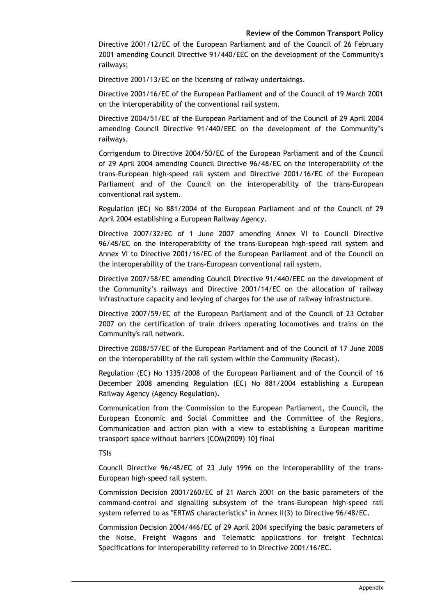Directive 2001/12/EC of the European Parliament and of the Council of 26 February 2001 amending Council Directive 91/440/EEC on the development of the Community's railways;

Directive 2001/13/EC on the licensing of railway undertakings.

Directive 2001/16/EC of the European Parliament and of the Council of 19 March 2001 on the interoperability of the conventional rail system.

Directive 2004/51/EC of the European Parliament and of the Council of 29 April 2004 amending Council Directive 91/440/EEC on the development of the Community's railways.

Corrigendum to Directive 2004/50/EC of the European Parliament and of the Council of 29 April 2004 amending Council Directive 96/48/EC on the interoperability of the trans-European high-speed rail system and Directive 2001/16/EC of the European Parliament and of the Council on the interoperability of the trans-European conventional rail system.

Regulation (EC) No 881/2004 of the European Parliament and of the Council of 29 April 2004 establishing a European Railway Agency.

Directive 2007/32/EC of 1 June 2007 amending Annex VI to Council Directive 96/48/EC on the interoperability of the trans-European high-speed rail system and Annex VI to Directive 2001/16/EC of the European Parliament and of the Council on the interoperability of the trans-European conventional rail system.

Directive 2007/58/EC amending Council Directive 91/440/EEC on the development of the Community's railways and Directive 2001/14/EC on the allocation of railway infrastructure capacity and levying of charges for the use of railway infrastructure.

Directive 2007/59/EC of the European Parliament and of the Council of 23 October 2007 on the certification of train drivers operating locomotives and trains on the Community's rail network.

Directive 2008/57/EC of the European Parliament and of the Council of 17 June 2008 on the interoperability of the rail system within the Community (Recast).

Regulation (EC) No 1335/2008 of the European Parliament and of the Council of 16 December 2008 amending Regulation (EC) No 881/2004 establishing a European Railway Agency (Agency Regulation).

Communication from the Commission to the European Parliament, the Council, the European Economic and Social Committee and the Committee of the Regions, Communication and action plan with a view to establishing a European maritime transport space without barriers [COM(2009) 10] final

TSIs

Council Directive 96/48/EC of 23 July 1996 on the interoperability of the trans-European high-speed rail system.

Commission Decision 2001/260/EC of 21 March 2001 on the basic parameters of the command-control and signalling subsystem of the trans-European high-speed rail system referred to as "ERTMS characteristics" in Annex II(3) to Directive 96/48/EC.

Commission Decision 2004/446/EC of 29 April 2004 specifying the basic parameters of the Noise, Freight Wagons and Telematic applications for freight Technical Specifications for Interoperability referred to in Directive 2001/16/EC.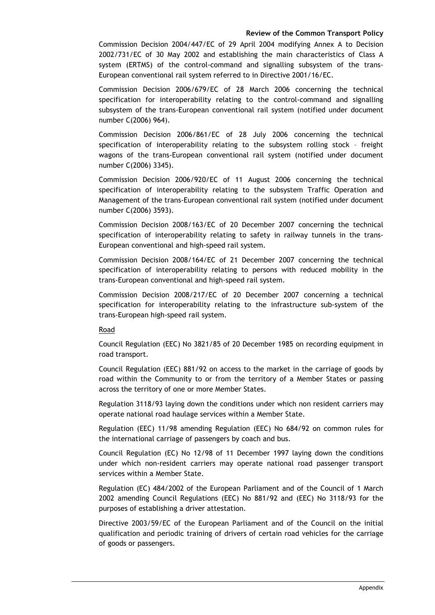Commission Decision 2004/447/EC of 29 April 2004 modifying Annex A to Decision 2002/731/EC of 30 May 2002 and establishing the main characteristics of Class A system (ERTMS) of the control-command and signalling subsystem of the trans-European conventional rail system referred to in Directive 2001/16/EC.

Commission Decision 2006/679/EC of 28 March 2006 concerning the technical specification for interoperability relating to the control-command and signalling subsystem of the trans-European conventional rail system (notified under document number C(2006) 964).

Commission Decision 2006/861/EC of 28 July 2006 concerning the technical specification of interoperability relating to the subsystem rolling stock – freight wagons of the trans-European conventional rail system (notified under document number C(2006) 3345).

Commission Decision 2006/920/EC of 11 August 2006 concerning the technical specification of interoperability relating to the subsystem Traffic Operation and Management of the trans-European conventional rail system (notified under document number C(2006) 3593).

Commission Decision 2008/163/EC of 20 December 2007 concerning the technical specification of interoperability relating to safety in railway tunnels in the trans-European conventional and high-speed rail system.

Commission Decision 2008/164/EC of 21 December 2007 concerning the technical specification of interoperability relating to persons with reduced mobility in the trans-European conventional and high-speed rail system.

Commission Decision 2008/217/EC of 20 December 2007 concerning a technical specification for interoperability relating to the infrastructure sub-system of the trans-European high-speed rail system.

Road

Council Regulation (EEC) No 3821/85 of 20 December 1985 on recording equipment in road transport.

Council Regulation (EEC) 881/92 on access to the market in the carriage of goods by road within the Community to or from the territory of a Member States or passing across the territory of one or more Member States.

Regulation 3118/93 laying down the conditions under which non resident carriers may operate national road haulage services within a Member State.

Regulation (EEC) 11/98 amending Regulation (EEC) No 684/92 on common rules for the international carriage of passengers by coach and bus.

Council Regulation (EC) No 12/98 of 11 December 1997 laying down the conditions under which non-resident carriers may operate national road passenger transport services within a Member State.

Regulation (EC) 484/2002 of the European Parliament and of the Council of 1 March 2002 amending Council Regulations (EEC) No 881/92 and (EEC) No 3118/93 for the purposes of establishing a driver attestation.

Directive 2003/59/EC of the European Parliament and of the Council on the initial qualification and periodic training of drivers of certain road vehicles for the carriage of goods or passengers.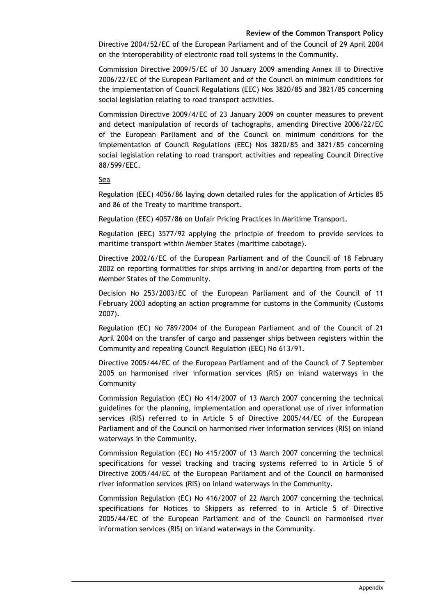Directive 2004/52/EC of the European Parliament and of the Council of 29 April 2004 on the interoperability of electronic road toll systems in the Community.

Commission Directive 2009/5/EC of 30 January 2009 amending Annex III to Directive 2006/22/EC of the European Parliament and of the Council on minimum conditions for the implementation of Council Regulations (EEC) Nos 3820/85 and 3821/85 concerning social legislation relating to road transport activities.

Commission Directive 2009/4/EC of 23 January 2009 on counter measures to prevent and detect manipulation of records of tachographs, amending Directive 2006/22/EC of the European Parliament and of the Council on minimum conditions for the implementation of Council Regulations (EEC) Nos 3820/85 and 3821/85 concerning social legislation relating to road transport activities and repealing Council Directive 88/599/EEC.

### Sea

Regulation (EEC) 4056/86 laying down detailed rules for the application of Articles 85 and 86 of the Treaty to maritime transport.

Regulation (EEC) 4057/86 on Unfair Pricing Practices in Maritime Transport.

Regulation (EEC) 3577/92 applying the principle of freedom to provide services to maritime transport within Member States (maritime cabotage).

Directive 2002/6/EC of the European Parliament and of the Council of 18 February 2002 on reporting formalities for ships arriving in and/or departing from ports of the Member States of the Community.

Decision No 253/2003/EC of the European Parliament and of the Council of 11 February 2003 adopting an action programme for customs in the Community (Customs 2007).

Regulation (EC) No 789/2004 of the European Parliament and of the Council of 21 April 2004 on the transfer of cargo and passenger ships between registers within the Community and repealing Council Regulation (EEC) No 613/91.

Directive 2005/44/EC of the European Parliament and of the Council of 7 September 2005 on harmonised river information services (RIS) on inland waterways in the Community

Commission Regulation (EC) No 414/2007 of 13 March 2007 concerning the technical guidelines for the planning, implementation and operational use of river information services (RIS) referred to in Article 5 of Directive 2005/44/EC of the European Parliament and of the Council on harmonised river information services (RIS) on inland waterways in the Community.

Commission Regulation (EC) No 415/2007 of 13 March 2007 concerning the technical specifications for vessel tracking and tracing systems referred to in Article 5 of Directive 2005/44/EC of the European Parliament and of the Council on harmonised river information services (RIS) on inland waterways in the Community.

Commission Regulation (EC) No 416/2007 of 22 March 2007 concerning the technical specifications for Notices to Skippers as referred to in Article 5 of Directive 2005/44/EC of the European Parliament and of the Council on harmonised river information services (RIS) on inland waterways in the Community.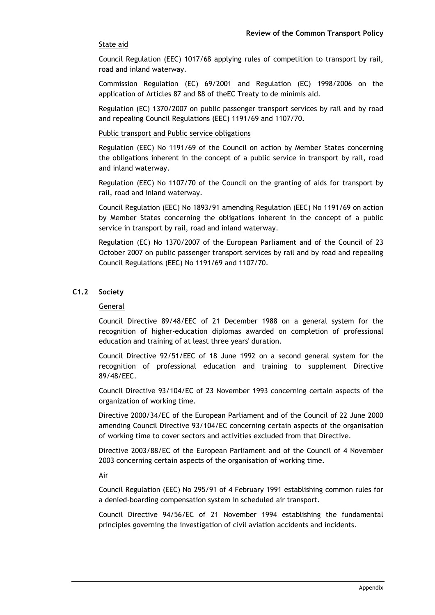## State aid

Council Regulation (EEC) 1017/68 applying rules of competition to transport by rail, road and inland waterway.

Commission Regulation (EC) 69/2001 and Regulation (EC) 1998/2006 on the application of Articles 87 and 88 of theEC Treaty to de minimis aid.

Regulation (EC) 1370/2007 on public passenger transport services by rail and by road and repealing Council Regulations (EEC) 1191/69 and 1107/70.

#### Public transport and Public service obligations

Regulation (EEC) No 1191/69 of the Council on action by Member States concerning the obligations inherent in the concept of a public service in transport by rail, road and inland waterway.

Regulation (EEC) No 1107/70 of the Council on the granting of aids for transport by rail, road and inland waterway.

Council Regulation (EEC) No 1893/91 amending Regulation (EEC) No 1191/69 on action by Member States concerning the obligations inherent in the concept of a public service in transport by rail, road and inland waterway.

Regulation (EC) No 1370/2007 of the European Parliament and of the Council of 23 October 2007 on public passenger transport services by rail and by road and repealing Council Regulations (EEC) No 1191/69 and 1107/70.

## **C1.2 Society**

#### General

Council Directive 89/48/EEC of 21 December 1988 on a general system for the recognition of higher-education diplomas awarded on completion of professional education and training of at least three years' duration.

Council Directive 92/51/EEC of 18 June 1992 on a second general system for the recognition of professional education and training to supplement Directive 89/48/EEC.

Council Directive 93/104/EC of 23 November 1993 concerning certain aspects of the organization of working time.

Directive 2000/34/EC of the European Parliament and of the Council of 22 June 2000 amending Council Directive 93/104/EC concerning certain aspects of the organisation of working time to cover sectors and activities excluded from that Directive.

Directive 2003/88/EC of the European Parliament and of the Council of 4 November 2003 concerning certain aspects of the organisation of working time.

Air

Council Regulation (EEC) No 295/91 of 4 February 1991 establishing common rules for a denied-boarding compensation system in scheduled air transport.

Council Directive 94/56/EC of 21 November 1994 establishing the fundamental principles governing the investigation of civil aviation accidents and incidents.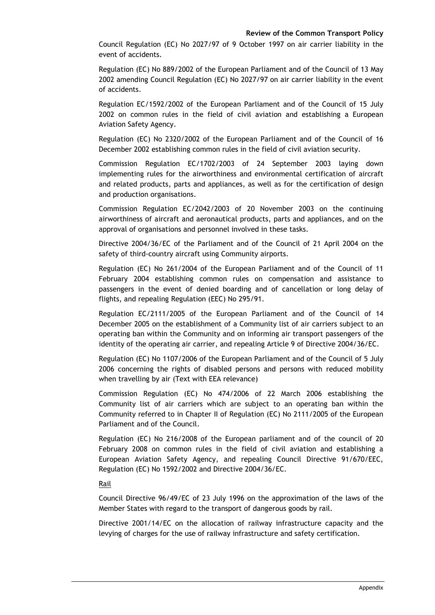Council Regulation (EC) No 2027/97 of 9 October 1997 on air carrier liability in the event of accidents.

Regulation (EC) No 889/2002 of the European Parliament and of the Council of 13 May 2002 amending Council Regulation (EC) No 2027/97 on air carrier liability in the event of accidents.

Regulation EC/1592/2002 of the European Parliament and of the Council of 15 July 2002 on common rules in the field of civil aviation and establishing a European Aviation Safety Agency.

Regulation (EC) No 2320/2002 of the European Parliament and of the Council of 16 December 2002 establishing common rules in the field of civil aviation security.

Commission Regulation EC/1702/2003 of 24 September 2003 laying down implementing rules for the airworthiness and environmental certification of aircraft and related products, parts and appliances, as well as for the certification of design and production organisations.

Commission Regulation EC/2042/2003 of 20 November 2003 on the continuing airworthiness of aircraft and aeronautical products, parts and appliances, and on the approval of organisations and personnel involved in these tasks.

Directive 2004/36/EC of the Parliament and of the Council of 21 April 2004 on the safety of third-country aircraft using Community airports.

Regulation (EC) No 261/2004 of the European Parliament and of the Council of 11 February 2004 establishing common rules on compensation and assistance to passengers in the event of denied boarding and of cancellation or long delay of flights, and repealing Regulation (EEC) No 295/91.

Regulation EC/2111/2005 of the European Parliament and of the Council of 14 December 2005 on the establishment of a Community list of air carriers subject to an operating ban within the Community and on informing air transport passengers of the identity of the operating air carrier, and repealing Article 9 of Directive 2004/36/EC.

Regulation (EC) No 1107/2006 of the European Parliament and of the Council of 5 July 2006 concerning the rights of disabled persons and persons with reduced mobility when travelling by air (Text with EEA relevance)

Commission Regulation (EC) No 474/2006 of 22 March 2006 establishing the Community list of air carriers which are subject to an operating ban within the Community referred to in Chapter II of Regulation (EC) No 2111/2005 of the European Parliament and of the Council.

Regulation (EC) No 216/2008 of the European parliament and of the council of 20 February 2008 on common rules in the field of civil aviation and establishing a European Aviation Safety Agency, and repealing Council Directive 91/670/EEC, Regulation (EC) No 1592/2002 and Directive 2004/36/EC.

## Rail

Council Directive 96/49/EC of 23 July 1996 on the approximation of the laws of the Member States with regard to the transport of dangerous goods by rail.

Directive 2001/14/EC on the allocation of railway infrastructure capacity and the levying of charges for the use of railway infrastructure and safety certification.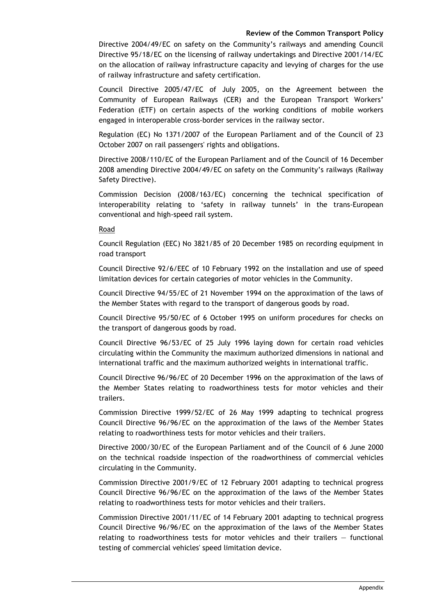Directive 2004/49/EC on safety on the Community's railways and amending Council Directive 95/18/EC on the licensing of railway undertakings and Directive 2001/14/EC on the allocation of railway infrastructure capacity and levying of charges for the use of railway infrastructure and safety certification.

Council Directive 2005/47/EC of July 2005, on the Agreement between the Community of European Railways (CER) and the European Transport Workers' Federation (ETF) on certain aspects of the working conditions of mobile workers engaged in interoperable cross-border services in the railway sector.

Regulation (EC) No 1371/2007 of the European Parliament and of the Council of 23 October 2007 on rail passengers' rights and obligations.

Directive 2008/110/EC of the European Parliament and of the Council of 16 December 2008 amending Directive 2004/49/EC on safety on the Community's railways (Railway Safety Directive).

Commission Decision (2008/163/EC) concerning the technical specification of interoperability relating to 'safety in railway tunnels' in the trans-European conventional and high-speed rail system.

Road

Council Regulation (EEC) No 3821/85 of 20 December 1985 on recording equipment in road transport

Council Directive 92/6/EEC of 10 February 1992 on the installation and use of speed limitation devices for certain categories of motor vehicles in the Community.

Council Directive 94/55/EC of 21 November 1994 on the approximation of the laws of the Member States with regard to the transport of dangerous goods by road.

Council Directive 95/50/EC of 6 October 1995 on uniform procedures for checks on the transport of dangerous goods by road.

Council Directive 96/53/EC of 25 July 1996 laying down for certain road vehicles circulating within the Community the maximum authorized dimensions in national and international traffic and the maximum authorized weights in international traffic.

Council Directive 96/96/EC of 20 December 1996 on the approximation of the laws of the Member States relating to roadworthiness tests for motor vehicles and their trailers.

Commission Directive 1999/52/EC of 26 May 1999 adapting to technical progress Council Directive 96/96/EC on the approximation of the laws of the Member States relating to roadworthiness tests for motor vehicles and their trailers.

Directive 2000/30/EC of the European Parliament and of the Council of 6 June 2000 on the technical roadside inspection of the roadworthiness of commercial vehicles circulating in the Community.

Commission Directive 2001/9/EC of 12 February 2001 adapting to technical progress Council Directive 96/96/EC on the approximation of the laws of the Member States relating to roadworthiness tests for motor vehicles and their trailers.

Commission Directive 2001/11/EC of 14 February 2001 adapting to technical progress Council Directive 96/96/EC on the approximation of the laws of the Member States relating to roadworthiness tests for motor vehicles and their trailers — functional testing of commercial vehicles' speed limitation device.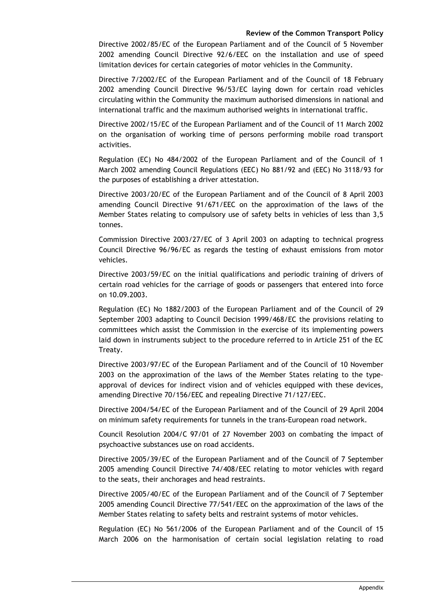Directive 2002/85/EC of the European Parliament and of the Council of 5 November 2002 amending Council Directive 92/6/EEC on the installation and use of speed limitation devices for certain categories of motor vehicles in the Community.

Directive 7/2002/EC of the European Parliament and of the Council of 18 February 2002 amending Council Directive 96/53/EC laying down for certain road vehicles circulating within the Community the maximum authorised dimensions in national and international traffic and the maximum authorised weights in international traffic.

Directive 2002/15/EC of the European Parliament and of the Council of 11 March 2002 on the organisation of working time of persons performing mobile road transport activities.

Regulation (EC) No 484/2002 of the European Parliament and of the Council of 1 March 2002 amending Council Regulations (EEC) No 881/92 and (EEC) No 3118/93 for the purposes of establishing a driver attestation.

Directive 2003/20/EC of the European Parliament and of the Council of 8 April 2003 amending Council Directive 91/671/EEC on the approximation of the laws of the Member States relating to compulsory use of safety belts in vehicles of less than 3,5 tonnes.

Commission Directive 2003/27/EC of 3 April 2003 on adapting to technical progress Council Directive 96/96/EC as regards the testing of exhaust emissions from motor vehicles.

Directive 2003/59/EC on the initial qualifications and periodic training of drivers of certain road vehicles for the carriage of goods or passengers that entered into force on 10.09.2003.

Regulation (EC) No 1882/2003 of the European Parliament and of the Council of 29 September 2003 adapting to Council Decision 1999/468/EC the provisions relating to committees which assist the Commission in the exercise of its implementing powers laid down in instruments subject to the procedure referred to in Article 251 of the EC Treaty.

Directive 2003/97/EC of the European Parliament and of the Council of 10 November 2003 on the approximation of the laws of the Member States relating to the typeapproval of devices for indirect vision and of vehicles equipped with these devices, amending Directive 70/156/EEC and repealing Directive 71/127/EEC.

Directive 2004/54/EC of the European Parliament and of the Council of 29 April 2004 on minimum safety requirements for tunnels in the trans-European road network.

Council Resolution 2004/C 97/01 of 27 November 2003 on combating the impact of psychoactive substances use on road accidents.

Directive 2005/39/EC of the European Parliament and of the Council of 7 September 2005 amending Council Directive 74/408/EEC relating to motor vehicles with regard to the seats, their anchorages and head restraints.

Directive 2005/40/EC of the European Parliament and of the Council of 7 September 2005 amending Council Directive 77/541/EEC on the approximation of the laws of the Member States relating to safety belts and restraint systems of motor vehicles.

Regulation (EC) No 561/2006 of the European Parliament and of the Council of 15 March 2006 on the harmonisation of certain social legislation relating to road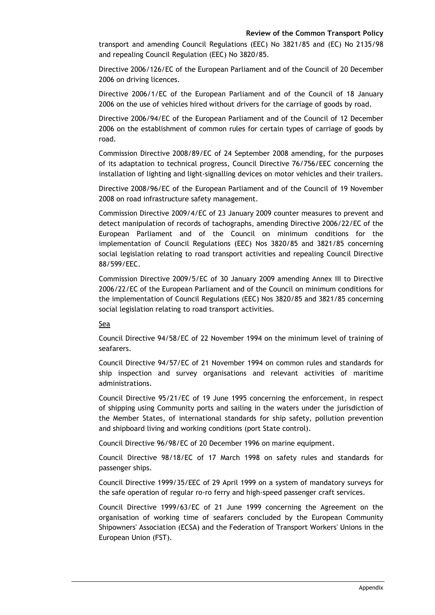transport and amending Council Regulations (EEC) No 3821/85 and (EC) No 2135/98 and repealing Council Regulation (EEC) No 3820/85.

Directive 2006/126/EC of the European Parliament and of the Council of 20 December 2006 on driving licences.

Directive 2006/1/EC of the European Parliament and of the Council of 18 January 2006 on the use of vehicles hired without drivers for the carriage of goods by road.

Directive 2006/94/EC of the European Parliament and of the Council of 12 December 2006 on the establishment of common rules for certain types of carriage of goods by road.

Commission Directive 2008/89/EC of 24 September 2008 amending, for the purposes of its adaptation to technical progress, Council Directive 76/756/EEC concerning the installation of lighting and light-signalling devices on motor vehicles and their trailers.

Directive 2008/96/EC of the European Parliament and of the Council of 19 November 2008 on road infrastructure safety management.

Commission Directive 2009/4/EC of 23 January 2009 counter measures to prevent and detect manipulation of records of tachographs, amending Directive 2006/22/EC of the European Parliament and of the Council on minimum conditions for the implementation of Council Regulations (EEC) Nos 3820/85 and 3821/85 concerning social legislation relating to road transport activities and repealing Council Directive 88/599/EEC.

Commission Directive 2009/5/EC of 30 January 2009 amending Annex III to Directive 2006/22/EC of the European Parliament and of the Council on minimum conditions for the implementation of Council Regulations (EEC) Nos 3820/85 and 3821/85 concerning social legislation relating to road transport activities.

#### Sea

Council Directive 94/58/EC of 22 November 1994 on the minimum level of training of seafarers.

Council Directive 94/57/EC of 21 November 1994 on common rules and standards for ship inspection and survey organisations and relevant activities of maritime administrations.

Council Directive 95/21/EC of 19 June 1995 concerning the enforcement, in respect of shipping using Community ports and sailing in the waters under the jurisdiction of the Member States, of international standards for ship safety, pollution prevention and shipboard living and working conditions (port State control).

Council Directive 96/98/EC of 20 December 1996 on marine equipment.

Council Directive 98/18/EC of 17 March 1998 on safety rules and standards for passenger ships.

Council Directive 1999/35/EEC of 29 April 1999 on a system of mandatory surveys for the safe operation of regular ro-ro ferry and high-speed passenger craft services.

Council Directive 1999/63/EC of 21 June 1999 concerning the Agreement on the organisation of working time of seafarers concluded by the European Community Shipowners' Association (ECSA) and the Federation of Transport Workers' Unions in the European Union (FST).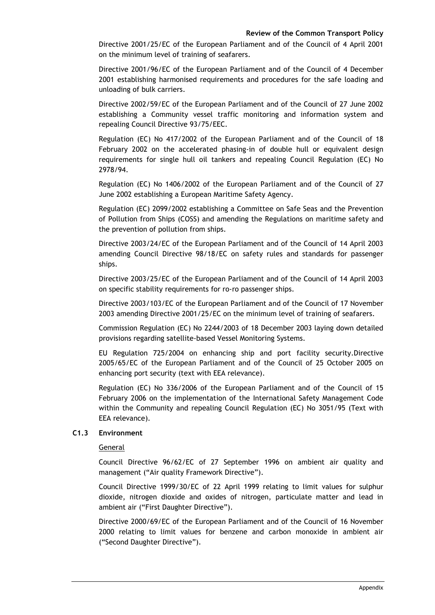Directive 2001/25/EC of the European Parliament and of the Council of 4 April 2001 on the minimum level of training of seafarers.

Directive 2001/96/EC of the European Parliament and of the Council of 4 December 2001 establishing harmonised requirements and procedures for the safe loading and unloading of bulk carriers.

Directive 2002/59/EC of the European Parliament and of the Council of 27 June 2002 establishing a Community vessel traffic monitoring and information system and repealing Council Directive 93/75/EEC.

Regulation (EC) No 417/2002 of the European Parliament and of the Council of 18 February 2002 on the accelerated phasing-in of double hull or equivalent design requirements for single hull oil tankers and repealing Council Regulation (EC) No 2978/94.

Regulation (EC) No 1406/2002 of the European Parliament and of the Council of 27 June 2002 establishing a European Maritime Safety Agency.

Regulation (EC) 2099/2002 establishing a Committee on Safe Seas and the Prevention of Pollution from Ships (COSS) and amending the Regulations on maritime safety and the prevention of pollution from ships.

Directive 2003/24/EC of the European Parliament and of the Council of 14 April 2003 amending Council Directive 98/18/EC on safety rules and standards for passenger ships.

Directive 2003/25/EC of the European Parliament and of the Council of 14 April 2003 on specific stability requirements for ro-ro passenger ships.

Directive 2003/103/EC of the European Parliament and of the Council of 17 November 2003 amending Directive 2001/25/EC on the minimum level of training of seafarers.

Commission Regulation (EC) No 2244/2003 of 18 December 2003 laying down detailed provisions regarding satellite-based Vessel Monitoring Systems.

EU Regulation 725/2004 on enhancing ship and port facility security.Directive 2005/65/EC of the European Parliament and of the Council of 25 October 2005 on enhancing port security (text with EEA relevance).

Regulation (EC) No 336/2006 of the European Parliament and of the Council of 15 February 2006 on the implementation of the International Safety Management Code within the Community and repealing Council Regulation (EC) No 3051/95 (Text with EEA relevance).

## **C1.3 Environment**

## General

Council Directive 96/62/EC of 27 September 1996 on ambient air quality and management ("Air quality Framework Directive").

Council Directive 1999/30/EC of 22 April 1999 relating to limit values for sulphur dioxide, nitrogen dioxide and oxides of nitrogen, particulate matter and lead in ambient air ("First Daughter Directive").

Directive 2000/69/EC of the European Parliament and of the Council of 16 November 2000 relating to limit values for benzene and carbon monoxide in ambient air ("Second Daughter Directive").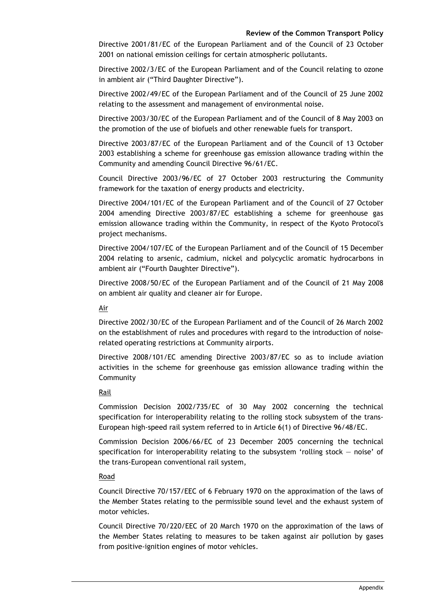Directive 2001/81/EC of the European Parliament and of the Council of 23 October 2001 on national emission ceilings for certain atmospheric pollutants.

Directive 2002/3/EC of the European Parliament and of the Council relating to ozone in ambient air ("Third Daughter Directive").

Directive 2002/49/EC of the European Parliament and of the Council of 25 June 2002 relating to the assessment and management of environmental noise.

Directive 2003/30/EC of the European Parliament and of the Council of 8 May 2003 on the promotion of the use of biofuels and other renewable fuels for transport.

Directive 2003/87/EC of the European Parliament and of the Council of 13 October 2003 establishing a scheme for greenhouse gas emission allowance trading within the Community and amending Council Directive 96/61/EC.

Council Directive 2003/96/EC of 27 October 2003 restructuring the Community framework for the taxation of energy products and electricity.

Directive 2004/101/EC of the European Parliament and of the Council of 27 October 2004 amending Directive 2003/87/EC establishing a scheme for greenhouse gas emission allowance trading within the Community, in respect of the Kyoto Protocol's project mechanisms.

Directive 2004/107/EC of the European Parliament and of the Council of 15 December 2004 relating to arsenic, cadmium, nickel and polycyclic aromatic hydrocarbons in ambient air ("Fourth Daughter Directive").

Directive 2008/50/EC of the European Parliament and of the Council of 21 May 2008 on ambient air quality and cleaner air for Europe.

Air

Directive 2002/30/EC of the European Parliament and of the Council of 26 March 2002 on the establishment of rules and procedures with regard to the introduction of noiserelated operating restrictions at Community airports.

Directive 2008/101/EC amending Directive 2003/87/EC so as to include aviation activities in the scheme for greenhouse gas emission allowance trading within the Community

Rail

Commission Decision 2002/735/EC of 30 May 2002 concerning the technical specification for interoperability relating to the rolling stock subsystem of the trans-European high-speed rail system referred to in Article 6(1) of Directive 96/48/EC.

Commission Decision 2006/66/EC of 23 December 2005 concerning the technical specification for interoperability relating to the subsystem 'rolling stock — noise' of the trans-European conventional rail system,

## Road

Council Directive 70/157/EEC of 6 February 1970 on the approximation of the laws of the Member States relating to the permissible sound level and the exhaust system of motor vehicles.

Council Directive 70/220/EEC of 20 March 1970 on the approximation of the laws of the Member States relating to measures to be taken against air pollution by gases from positive-ignition engines of motor vehicles.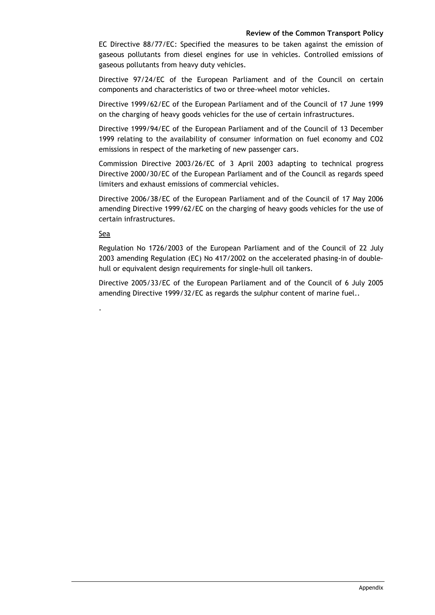EC Directive 88/77/EC: Specified the measures to be taken against the emission of gaseous pollutants from diesel engines for use in vehicles. Controlled emissions of gaseous pollutants from heavy duty vehicles.

Directive 97/24/EC of the European Parliament and of the Council on certain components and characteristics of two or three-wheel motor vehicles.

Directive 1999/62/EC of the European Parliament and of the Council of 17 June 1999 on the charging of heavy goods vehicles for the use of certain infrastructures.

Directive 1999/94/EC of the European Parliament and of the Council of 13 December 1999 relating to the availability of consumer information on fuel economy and CO2 emissions in respect of the marketing of new passenger cars.

Commission Directive 2003/26/EC of 3 April 2003 adapting to technical progress Directive 2000/30/EC of the European Parliament and of the Council as regards speed limiters and exhaust emissions of commercial vehicles.

Directive 2006/38/EC of the European Parliament and of the Council of 17 May 2006 amending Directive 1999/62/EC on the charging of heavy goods vehicles for the use of certain infrastructures.

#### Sea

.

Regulation No 1726/2003 of the European Parliament and of the Council of 22 July 2003 amending Regulation (EC) No 417/2002 on the accelerated phasing-in of doublehull or equivalent design requirements for single-hull oil tankers.

Directive 2005/33/EC of the European Parliament and of the Council of 6 July 2005 amending Directive 1999/32/EC as regards the sulphur content of marine fuel..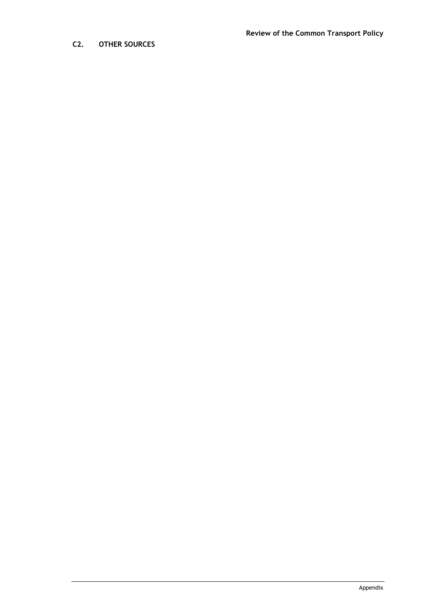# **C2. OTHER SOURCES**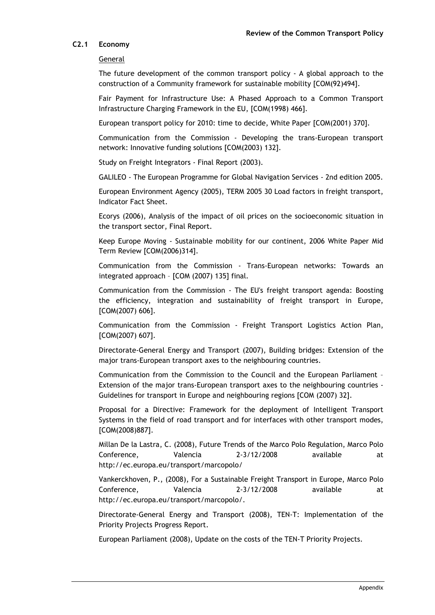## **C2.1 Economy**

#### General

The future development of the common transport policy - A global approach to the construction of a Community framework for sustainable mobility [COM(92)494].

Fair Payment for Infrastructure Use: A Phased Approach to a Common Transport Infrastructure Charging Framework in the EU, [COM(1998) 466].

European transport policy for 2010: time to decide, White Paper [COM(2001) 370].

Communication from the Commission - Developing the trans-European transport network: Innovative funding solutions [COM(2003) 132].

Study on Freight Integrators - Final Report (2003).

GALILEO - The European Programme for Global Navigation Services - 2nd edition 2005.

European Environment Agency (2005), TERM 2005 30 Load factors in freight transport, Indicator Fact Sheet.

Ecorys (2006), Analysis of the impact of oil prices on the socioeconomic situation in the transport sector, Final Report.

Keep Europe Moving - Sustainable mobility for our continent, 2006 White Paper Mid Term Review [COM(2006)314].

Communication from the Commission - Trans-European networks: Towards an integrated approach – [COM (2007) 135] final.

Communication from the Commission - The EU's freight transport agenda: Boosting the efficiency, integration and sustainability of freight transport in Europe, [COM(2007) 606].

Communication from the Commission - Freight Transport Logistics Action Plan, [COM(2007) 607].

Directorate-General Energy and Transport (2007), Building bridges: Extension of the major trans-European transport axes to the neighbouring countries.

Communication from the Commission to the Council and the European Parliament – Extension of the major trans-European transport axes to the neighbouring countries - Guidelines for transport in Europe and neighbouring regions [COM (2007) 32].

Proposal for a Directive: Framework for the deployment of Intelligent Transport Systems in the field of road transport and for interfaces with other transport modes, [COM(2008)887].

Millan De la Lastra, C. (2008), Future Trends of the Marco Polo Regulation, Marco Polo Conference, Valencia 2-3/12/2008 available at http://ec.europa.eu/transport/marcopolo/

Vankerckhoven, P., (2008), For a Sustainable Freight Transport in Europe, Marco Polo Conference, Valencia 2-3/12/2008 available at http://ec.europa.eu/transport/marcopolo/.

Directorate-General Energy and Transport (2008), TEN-T: Implementation of the Priority Projects Progress Report.

European Parliament (2008), Update on the costs of the TEN-T Priority Projects.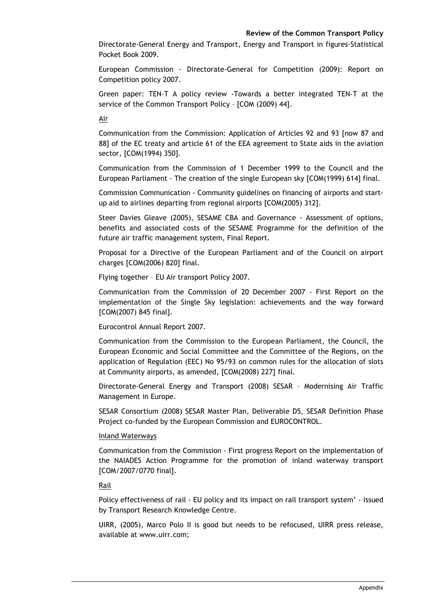Directorate-General Energy and Transport, Energy and Transport in figures-Statistical Pocket Book 2009.

European Commission - Directorate-General for Competition (2009): Report on Competition policy 2007.

Green paper: TEN-T A policy review -Towards a better integrated TEN-T at the service of the Common Transport Policy – [COM (2009) 44].

Air

Communication from the Commission: Application of Articles 92 and 93 [now 87 and 88] of the EC treaty and article 61 of the EEA agreement to State aids in the aviation sector, [COM(1994) 350].

Communication from the Commission of 1 December 1999 to the Council and the European Parliament - The creation of the single European sky [COM(1999) 614] final.

Commission Communication - Community guidelines on financing of airports and startup aid to airlines departing from regional airports [COM(2005) 312].

Steer Davies Gleave (2005), SESAME CBA and Governance - Assessment of options, benefits and associated costs of the SESAME Programme for the definition of the future air traffic management system, Final Report.

Proposal for a Directive of the European Parliament and of the Council on airport charges [COM(2006) 820] final.

Flying together – EU Air transport Policy 2007.

Communication from the Commission of 20 December 2007 - First Report on the implementation of the Single Sky legislation: achievements and the way forward [COM(2007) 845 final].

Eurocontrol Annual Report 2007.

Communication from the Commission to the European Parliament, the Council, the European Economic and Social Committee and the Committee of the Regions, on the application of Regulation (EEC) No 95/93 on common rules for the allocation of slots at Community airports, as amended, [COM(2008) 227] final.

Directorate-General Energy and Transport (2008) SESAR – Modernising Air Traffic Management in Europe.

SESAR Consortium (2008) SESAR Master Plan, Deliverable D5, SESAR Definition Phase Project co-funded by the European Commission and EUROCONTROL.

#### Inland Waterways

Communication from the Commission - First progress Report on the implementation of the NAIADES Action Programme for the promotion of inland waterway transport [COM/2007/0770 final].

Rail

Policy effectiveness of rail - EU policy and its impact on rail transport system' - issued by Transport Research Knowledge Centre.

UIRR, (2005), Marco Polo II is good but needs to be refocused, UIRR press release, available at www.uirr.com;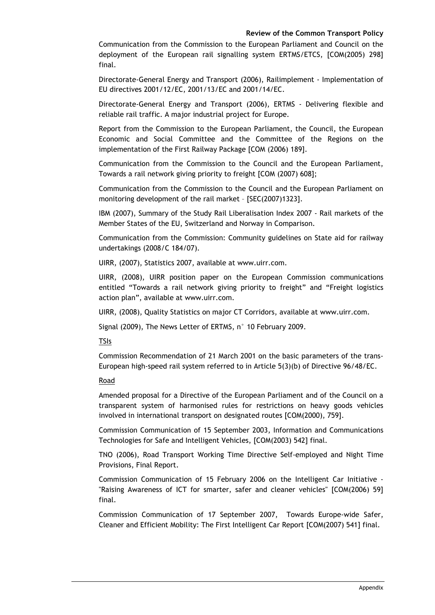Communication from the Commission to the European Parliament and Council on the deployment of the European rail signalling system ERTMS/ETCS, [COM(2005) 298] final.

Directorate-General Energy and Transport (2006), Railimplement - Implementation of EU directives 2001/12/EC, 2001/13/EC and 2001/14/EC.

Directorate-General Energy and Transport (2006), ERTMS - Delivering flexible and reliable rail traffic. A major industrial project for Europe.

Report from the Commission to the European Parliament, the Council, the European Economic and Social Committee and the Committee of the Regions on the implementation of the First Railway Package [COM (2006) 189].

Communication from the Commission to the Council and the European Parliament, Towards a rail network giving priority to freight [COM (2007) 608];

Communication from the Commission to the Council and the European Parliament on monitoring development of the rail market – [SEC(2007)1323].

IBM (2007), Summary of the Study Rail Liberalisation Index 2007 - Rail markets of the Member States of the EU, Switzerland and Norway in Comparison.

Communication from the Commission: Community guidelines on State aid for railway undertakings (2008/C 184/07).

UIRR, (2007), Statistics 2007, available at www.uirr.com.

UIRR, (2008), UIRR position paper on the European Commission communications entitled "Towards a rail network giving priority to freight" and "Freight logistics action plan", available at www.uirr.com.

UIRR, (2008), Quality Statistics on major CT Corridors, available at www.uirr.com.

Signal (2009), The News Letter of ERTMS, n° 10 February 2009.

TSIs

Commission Recommendation of 21 March 2001 on the basic parameters of the trans-European high-speed rail system referred to in Article 5(3)(b) of Directive 96/48/EC.

Road

Amended proposal for a Directive of the European Parliament and of the Council on a transparent system of harmonised rules for restrictions on heavy goods vehicles involved in international transport on designated routes [COM(2000), 759].

Commission Communication of 15 September 2003, Information and Communications Technologies for Safe and Intelligent Vehicles, [COM(2003) 542] final.

TNO (2006), Road Transport Working Time Directive Self-employed and Night Time Provisions, Final Report.

Commission Communication of 15 February 2006 on the Intelligent Car Initiative - "Raising Awareness of ICT for smarter, safer and cleaner vehicles" [COM(2006) 59] final.

Commission Communication of 17 September 2007, Towards Europe-wide Safer, Cleaner and Efficient Mobility: The First Intelligent Car Report [COM(2007) 541] final.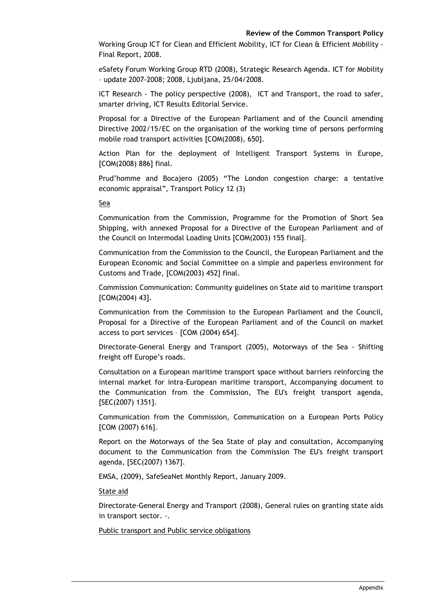Working Group ICT for Clean and Efficient Mobility, ICT for Clean & Efficient Mobility - Final Report, 2008.

eSafety Forum Working Group RTD (2008), Strategic Research Agenda. ICT for Mobility – update 2007-2008; 2008, Ljubljana, 25/04/2008.

ICT Research - The policy perspective (2008), ICT and Transport, the road to safer, smarter driving, ICT Results Editorial Service.

Proposal for a Directive of the European Parliament and of the Council amending Directive 2002/15/EC on the organisation of the working time of persons performing mobile road transport activities [COM(2008), 650].

Action Plan for the deployment of Intelligent Transport Systems in Europe, [COM(2008) 886] final.

Prud'homme and Bocajero (2005) "The London congestion charge: a tentative economic appraisal", Transport Policy 12 (3)

Sea

Communication from the Commission, Programme for the Promotion of Short Sea Shipping, with annexed Proposal for a Directive of the European Parliament and of the Council on Intermodal Loading Units [COM(2003) 155 final].

Communication from the Commission to the Council, the European Parliament and the European Economic and Social Committee on a simple and paperless environment for Customs and Trade, [COM(2003) 452] final.

Commission Communication: Community guidelines on State aid to maritime transport [COM(2004) 43].

Communication from the Commission to the European Parliament and the Council, Proposal for a Directive of the European Parliament and of the Council on market access to port services – [COM (2004) 654].

Directorate-General Energy and Transport (2005), Motorways of the Sea - Shifting freight off Europe's roads.

Consultation on a European maritime transport space without barriers reinforcing the internal market for intra-European maritime transport, Accompanying document to the Communication from the Commission, The EU's freight transport agenda, [SEC(2007) 1351].

Communication from the Commission, Communication on a European Ports Policy [COM (2007) 616].

Report on the Motorways of the Sea State of play and consultation, Accompanying document to the Communication from the Commission The EU's freight transport agenda, [SEC(2007) 1367].

EMSA, (2009), SafeSeaNet Monthly Report, January 2009.

State aid

Directorate-General Energy and Transport (2008), General rules on granting state aids in transport sector. -.

Public transport and Public service obligations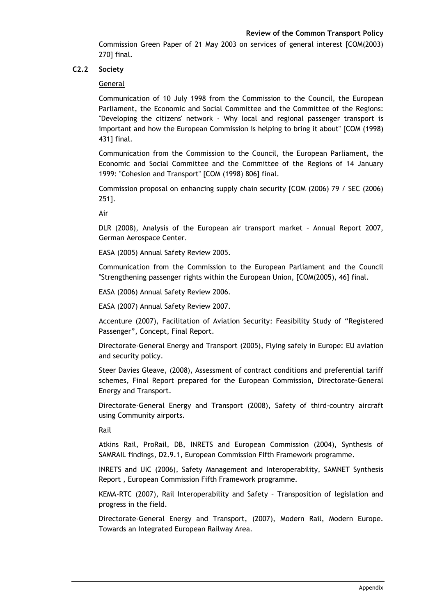Commission Green Paper of 21 May 2003 on services of general interest [COM(2003) 270] final.

# **C2.2 Society**

## General

Communication of 10 July 1998 from the Commission to the Council, the European Parliament, the Economic and Social Committee and the Committee of the Regions: "Developing the citizens' network - Why local and regional passenger transport is important and how the European Commission is helping to bring it about" [COM (1998) 431] final.

Communication from the Commission to the Council, the European Parliament, the Economic and Social Committee and the Committee of the Regions of 14 January 1999: "Cohesion and Transport" [COM (1998) 806] final.

Commission proposal on enhancing supply chain security [COM (2006) 79 / SEC (2006) 251].

Air

DLR (2008), Analysis of the European air transport market – Annual Report 2007, German Aerospace Center.

EASA (2005) Annual Safety Review 2005.

Communication from the Commission to the European Parliament and the Council "Strengthening passenger rights within the European Union, [COM(2005), 46] final.

EASA (2006) Annual Safety Review 2006.

EASA (2007) Annual Safety Review 2007.

Accenture (2007), Facilitation of Aviation Security: Feasibility Study of "Registered Passenger", Concept, Final Report.

Directorate-General Energy and Transport (2005), Flying safely in Europe: EU aviation and security policy.

Steer Davies Gleave, (2008), Assessment of contract conditions and preferential tariff schemes, Final Report prepared for the European Commission, Directorate-General Energy and Transport.

Directorate-General Energy and Transport (2008), Safety of third-country aircraft using Community airports.

Rail

Atkins Rail, ProRail, DB, INRETS and European Commission (2004), Synthesis of SAMRAIL findings, D2.9.1, European Commission Fifth Framework programme.

INRETS and UIC (2006), Safety Management and Interoperability, SAMNET Synthesis Report , European Commission Fifth Framework programme.

KEMA-RTC (2007), Rail Interoperability and Safety – Transposition of legislation and progress in the field.

Directorate-General Energy and Transport, (2007), Modern Rail, Modern Europe. Towards an Integrated European Railway Area.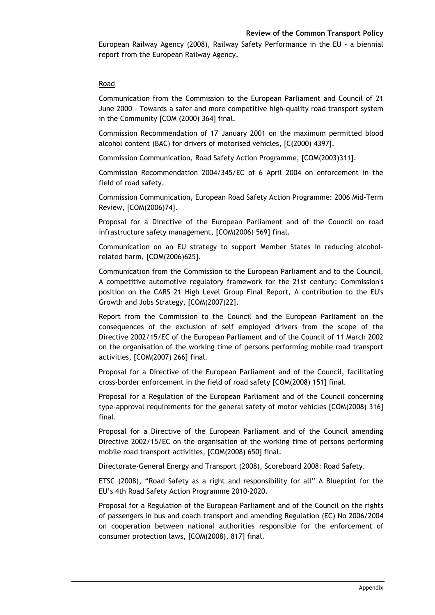European Railway Agency (2008), Railway Safety Performance in the EU - a biennial report from the European Railway Agency.

## Road

Communication from the Commission to the European Parliament and Council of 21 June 2000 - Towards a safer and more competitive high-quality road transport system in the Community [COM (2000) 364] final.

Commission Recommendation of 17 January 2001 on the maximum permitted blood alcohol content (BAC) for drivers of motorised vehicles, [C(2000) 4397].

Commission Communication, Road Safety Action Programme, [COM(2003)311].

Commission Recommendation 2004/345/EC of 6 April 2004 on enforcement in the field of road safety.

Commission Communication, European Road Safety Action Programme: 2006 Mid-Term Review, [COM(2006)74].

Proposal for a Directive of the European Parliament and of the Council on road infrastructure safety management, [COM(2006) 569] final.

Communication on an EU strategy to support Member States in reducing alcoholrelated harm, [COM(2006)625].

Communication from the Commission to the European Parliament and to the Council, A competitive automotive regulatory framework for the 21st century: Commission's position on the CARS 21 High Level Group Final Report, A contribution to the EU's Growth and Jobs Strategy, [COM(2007)22].

Report from the Commission to the Council and the European Parliament on the consequences of the exclusion of self employed drivers from the scope of the Directive 2002/15/EC of the European Parliament and of the Council of 11 March 2002 on the organisation of the working time of persons performing mobile road transport activities, [COM(2007) 266] final.

Proposal for a Directive of the European Parliament and of the Council, facilitating cross-border enforcement in the field of road safety [COM(2008) 151] final.

Proposal for a Regulation of the European Parliament and of the Council concerning type-approval requirements for the general safety of motor vehicles [COM(2008) 316] final.

Proposal for a Directive of the European Parliament and of the Council amending Directive 2002/15/EC on the organisation of the working time of persons performing mobile road transport activities, [COM(2008) 650] final.

Directorate-General Energy and Transport (2008), Scoreboard 2008: Road Safety.

ETSC (2008), "Road Safety as a right and responsibility for all" A Blueprint for the EU's 4th Road Safety Action Programme 2010-2020.

Proposal for a Regulation of the European Parliament and of the Council on the rights of passengers in bus and coach transport and amending Regulation (EC) No 2006/2004 on cooperation between national authorities responsible for the enforcement of consumer protection laws, [COM(2008), 817] final.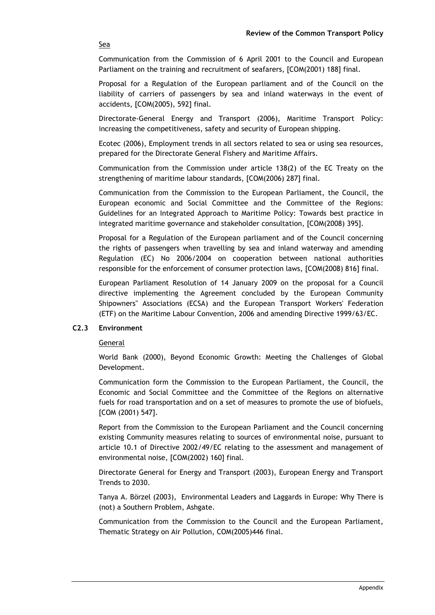Sea

Communication from the Commission of 6 April 2001 to the Council and European Parliament on the training and recruitment of seafarers, [COM(2001) 188] final.

Proposal for a Regulation of the European parliament and of the Council on the liability of carriers of passengers by sea and inland waterways in the event of accidents, [COM(2005), 592] final.

Directorate-General Energy and Transport (2006), Maritime Transport Policy: increasing the competitiveness, safety and security of European shipping.

Ecotec (2006), Employment trends in all sectors related to sea or using sea resources, prepared for the Directorate General Fishery and Maritime Affairs.

Communication from the Commission under article 138(2) of the EC Treaty on the strengthening of maritime labour standards, [COM(2006) 287] final.

Communication from the Commission to the European Parliament, the Council, the European economic and Social Committee and the Committee of the Regions: Guidelines for an Integrated Approach to Maritime Policy: Towards best practice in integrated maritime governance and stakeholder consultation, [COM(2008) 395].

Proposal for a Regulation of the European parliament and of the Council concerning the rights of passengers when travelling by sea and inland waterway and amending Regulation (EC) No 2006/2004 on cooperation between national authorities responsible for the enforcement of consumer protection laws, [COM(2008) 816] final.

European Parliament Resolution of 14 January 2009 on the proposal for a Council directive implementing the Agreement concluded by the European Community Shipowners" Associations (ECSA) and the European Transport Workers' Federation (ETF) on the Maritime Labour Convention, 2006 and amending Directive 1999/63/EC.

## **C2.3 Environment**

General

World Bank (2000), Beyond Economic Growth: Meeting the Challenges of Global Development.

Communication form the Commission to the European Parliament, the Council, the Economic and Social Committee and the Committee of the Regions on alternative fuels for road transportation and on a set of measures to promote the use of biofuels, [COM (2001) 547].

Report from the Commission to the European Parliament and the Council concerning existing Community measures relating to sources of environmental noise, pursuant to article 10.1 of Directive 2002/49/EC relating to the assessment and management of environmental noise, [COM(2002) 160] final.

Directorate General for Energy and Transport (2003), European Energy and Transport Trends to 2030.

Tanya A. Börzel (2003), Environmental Leaders and Laggards in Europe: Why There is (not) a Southern Problem, Ashgate.

Communication from the Commission to the Council and the European Parliament, Thematic Strategy on Air Pollution, COM(2005)446 final.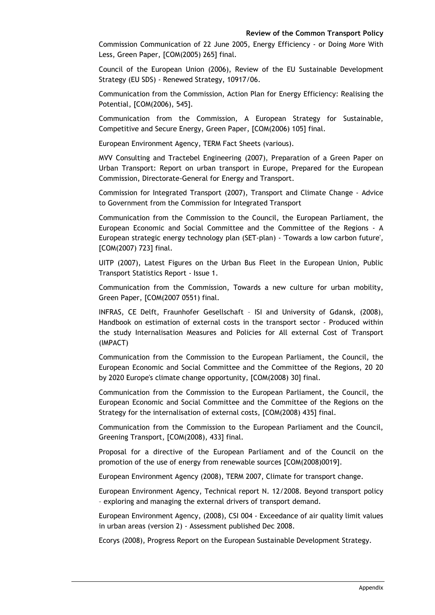Commission Communication of 22 June 2005, Energy Efficiency - or Doing More With Less, Green Paper, [COM(2005) 265] final.

Council of the European Union (2006), Review of the EU Sustainable Development Strategy (EU SDS) - Renewed Strategy, 10917/06.

Communication from the Commission, Action Plan for Energy Efficiency: Realising the Potential, [COM(2006), 545].

Communication from the Commission, A European Strategy for Sustainable, Competitive and Secure Energy, Green Paper, [COM(2006) 105] final.

European Environment Agency, TERM Fact Sheets (various).

MVV Consulting and Tractebel Engineering (2007), Preparation of a Green Paper on Urban Transport: Report on urban transport in Europe, Prepared for the European Commission, Directorate-General for Energy and Transport.

Commission for Integrated Transport (2007), Transport and Climate Change - Advice to Government from the Commission for Integrated Transport

Communication from the Commission to the Council, the European Parliament, the European Economic and Social Committee and the Committee of the Regions - A European strategic energy technology plan (SET-plan) - 'Towards a low carbon future', [COM(2007) 723] final.

UITP (2007), Latest Figures on the Urban Bus Fleet in the European Union, Public Transport Statistics Report - Issue 1.

Communication from the Commission, Towards a new culture for urban mobility, Green Paper, [COM(2007 0551) final.

INFRAS, CE Delft, Fraunhofer Gesellschaft – ISI and University of Gdansk, (2008), Handbook on estimation of external costs in the transport sector - Produced within the study Internalisation Measures and Policies for All external Cost of Transport (IMPACT)

Communication from the Commission to the European Parliament, the Council, the European Economic and Social Committee and the Committee of the Regions, 20 20 by 2020 Europe's climate change opportunity, [COM(2008) 30] final.

Communication from the Commission to the European Parliament, the Council, the European Economic and Social Committee and the Committee of the Regions on the Strategy for the internalisation of external costs, [COM(2008) 435] final.

Communication from the Commission to the European Parliament and the Council, Greening Transport, [COM(2008), 433] final.

Proposal for a directive of the European Parliament and of the Council on the promotion of the use of energy from renewable sources [COM(2008)0019].

European Environment Agency (2008), TERM 2007, Climate for transport change.

European Environment Agency, Technical report N. 12/2008. Beyond transport policy – exploring and managing the external drivers of transport demand.

European Environment Agency, (2008), CSI 004 - Exceedance of air quality limit values in urban areas (version 2) - Assessment published Dec 2008.

Ecorys (2008), Progress Report on the European Sustainable Development Strategy.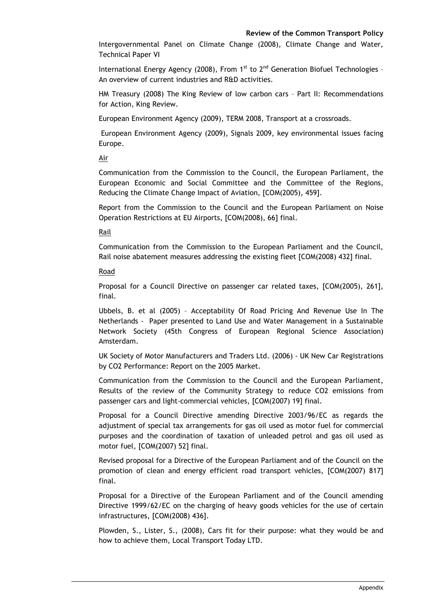Intergovernmental Panel on Climate Change (2008), Climate Change and Water, Technical Paper VI

International Energy Agency (2008), From  $1<sup>st</sup>$  to  $2<sup>nd</sup>$  Generation Biofuel Technologies -An overview of current industries and R&D activities.

HM Treasury (2008) The King Review of low carbon cars – Part II: Recommendations for Action, King Review.

European Environment Agency (2009), TERM 2008, Transport at a crossroads.

 European Environment Agency (2009), Signals 2009, key environmental issues facing Europe.

Air

Communication from the Commission to the Council, the European Parliament, the European Economic and Social Committee and the Committee of the Regions, Reducing the Climate Change Impact of Aviation, [COM(2005), 459].

Report from the Commission to the Council and the European Parliament on Noise Operation Restrictions at EU Airports, [COM(2008), 66] final.

Rail

Communication from the Commission to the European Parliament and the Council, Rail noise abatement measures addressing the existing fleet [COM(2008) 432] final.

Road

Proposal for a Council Directive on passenger car related taxes, [COM(2005), 261], final.

Ubbels, B. et al (2005) – Acceptability Of Road Pricing And Revenue Use In The Netherlands - Paper presented to Land Use and Water Management in a Sustainable Network Society (45th Congress of European Regional Science Association) Amsterdam.

UK Society of Motor Manufacturers and Traders Ltd. (2006) - UK New Car Registrations by CO2 Performance: Report on the 2005 Market.

Communication from the Commission to the Council and the European Parliament, Results of the review of the Community Strategy to reduce CO2 emissions from passenger cars and light-commercial vehicles, [COM(2007) 19] final.

Proposal for a Council Directive amending Directive 2003/96/EC as regards the adjustment of special tax arrangements for gas oil used as motor fuel for commercial purposes and the coordination of taxation of unleaded petrol and gas oil used as motor fuel, [COM(2007) 52] final.

Revised proposal for a Directive of the European Parliament and of the Council on the promotion of clean and energy efficient road transport vehicles, [COM(2007) 817] final.

Proposal for a Directive of the European Parliament and of the Council amending Directive 1999/62/EC on the charging of heavy goods vehicles for the use of certain infrastructures, [COM(2008) 436].

Plowden, S., Lister, S., (2008), Cars fit for their purpose: what they would be and how to achieve them, Local Transport Today LTD.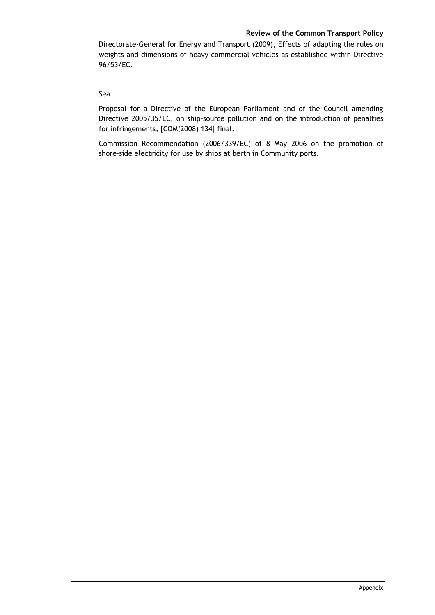Directorate-General for Energy and Transport (2009), Effects of adapting the rules on weights and dimensions of heavy commercial vehicles as established within Directive 96/53/EC.

# **Sea**

Proposal for a Directive of the European Parliament and of the Council amending Directive 2005/35/EC, on ship-source pollution and on the introduction of penalties for infringements, [COM(2008) 134] final.

Commission Recommendation (2006/339/EC) of 8 May 2006 on the promotion of shore-side electricity for use by ships at berth in Community ports.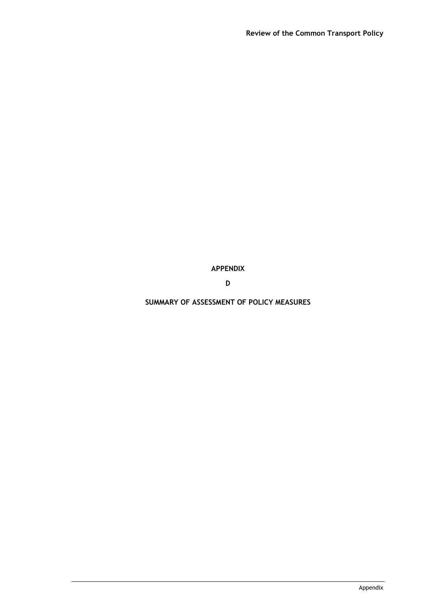# **APPENDIX**

**D** 

**SUMMARY OF ASSESSMENT OF POLICY MEASURES**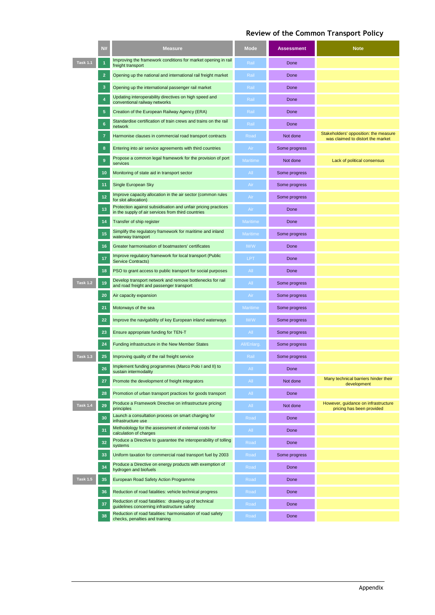|                 | N#             | <b>Measure</b>                                                                                                      | <b>Mode</b>     | <b>Assessment</b> | <b>Note</b>                                                                |
|-----------------|----------------|---------------------------------------------------------------------------------------------------------------------|-----------------|-------------------|----------------------------------------------------------------------------|
| <b>Task 1.1</b> | 1              | Improving the framework conditions for market opening in rail<br>freight transport                                  | Rail            | Done              |                                                                            |
|                 | $\overline{2}$ | Opening up the national and international rail freight market                                                       | Rail            | Done              |                                                                            |
|                 | 3              | Opening up the international passenger rail market                                                                  | Rail            | Done              |                                                                            |
|                 | 4              | Updating interoperability directives on high speed and<br>conventional railway networks                             | Rail            | Done              |                                                                            |
|                 | 5              | Creation of the European Railway Agency (ERA)                                                                       | Rail            | Done              |                                                                            |
|                 | 6              | Standardise certification of train crews and trains on the rail<br>network                                          | Rail            | Done              |                                                                            |
|                 | 7              | Harmonise clauses in commercial road transport contracts                                                            | Road            | Not done          | Stakeholders' opposition: the measure<br>was claimed to distort the market |
|                 | 8              | Entering into air service agreements with third countries                                                           | Air             | Some progress     |                                                                            |
|                 | 9              | Propose a common legal framework for the provision of port<br>services                                              | <b>Maritime</b> | Not done          | Lack of political consensus                                                |
|                 | 10             | Monitoring of state aid in transport sector                                                                         | All             | Some progress     |                                                                            |
|                 | 11             | Single European Sky                                                                                                 | Air             | Some progress     |                                                                            |
|                 | 12             | Improve capacity allocation in the air sector (common rules<br>for slot allocation)                                 | Air             | Some progress     |                                                                            |
|                 | 13             | Protection against subsidisation and unfair pricing practices<br>in the supply of air services from third countries | Air             | Done              |                                                                            |
|                 | 14             | Transfer of ship register                                                                                           | <b>Maritime</b> | Done              |                                                                            |
|                 | 15             | Simplify the regulatory framework for maritime and inland<br>waterway transport                                     | <b>Maritime</b> | Some progress     |                                                                            |
|                 | 16             | Greater harmonisation of boatmasters' certificates                                                                  | <b>IWW</b>      | Done              |                                                                            |
|                 | 17             | Improve regulatory framework for local transport (Public<br><b>Service Contracts)</b>                               | LPT             | Done              |                                                                            |
|                 | 18             | PSO to grant access to public transport for social purposes                                                         | All             | Done              |                                                                            |
| <b>Task 1.2</b> | 19             | Develop transport network and remove bottlenecks for rail<br>and road freight and passenger transport               | All             | Some progress     |                                                                            |
|                 | 20             | Air capacity expansion                                                                                              | Air             | Some progress     |                                                                            |
|                 | 21             | Motorways of the sea                                                                                                | <b>Maritime</b> | Some progress     |                                                                            |
|                 | 22             | Improve the navigability of key European inland waterways                                                           | <b>IWW</b>      | Some progress     |                                                                            |
|                 | 23             | Ensure appropriate funding for TEN-T                                                                                | All             | Some progress     |                                                                            |
|                 | 24             | Funding infrastructure in the New Member States                                                                     | All/Enlarg.     | Some progress     |                                                                            |
| <b>Task 1.3</b> | 25             | Improving quality of the rail freight service                                                                       | Rail            | Some progress     |                                                                            |
|                 | 26             | Implement funding programmes (Marco Polo I and II) to<br>sustain intermodality                                      | All             | Done              |                                                                            |
|                 | 27             | Promote the development of freight integrators                                                                      | All             | Not done          | Many technical barriers hinder their<br>development                        |
|                 | 28             | Promotion of urban transport practices for goods transport                                                          | All             | Done              |                                                                            |
| <b>Task 1.4</b> | 29             | Produce a Framework Directive on infrastructure pricing<br>principles                                               | All             | Not done          | However, guidance on infrastructure<br>pricing has been provided           |
|                 | 30             | Launch a consultation process on smart charging for<br>infrastructure use                                           | Road            | Done              |                                                                            |
|                 | 31             | Methodology for the assessment of external costs for<br>calculation of charges                                      | All             | Done              |                                                                            |
|                 | 32             | Produce a Directive to guarantee the interoperability of tolling<br>systems                                         | Road            | Done              |                                                                            |
|                 | 33             | Uniform taxation for commercial road transport fuel by 2003                                                         | Road            | Some progress     |                                                                            |
|                 | 34             | Produce a Directive on energy products with exemption of<br>hydrogen and biofuels                                   | Road            | Done              |                                                                            |
| <b>Task 1.5</b> | 35             | European Road Safety Action Programme                                                                               | Road            | Done              |                                                                            |
|                 | 36             | Reduction of road fatalities: vehicle technical progress                                                            | Road            | Done              |                                                                            |
|                 | 37             | Reduction of road fatalities: drawing-up of technical<br>quidelines concerning infrastructure safety                | Road            | Done              |                                                                            |
|                 | 38             | Reduction of road fatalities: harmonisation of road safety<br>checks, penalties and training                        | Road            | Done              |                                                                            |

 $\overline{\phantom{a}}$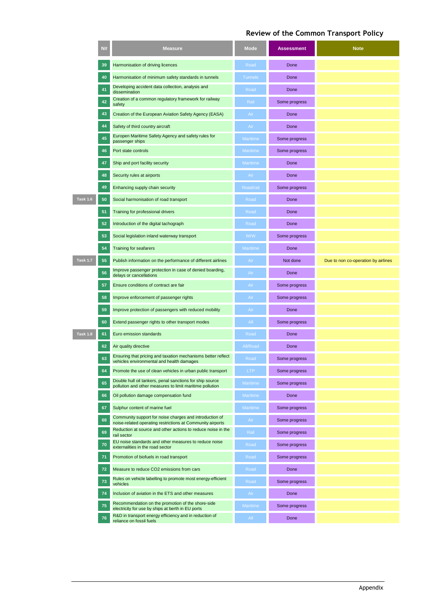|                 | N# | <b>Measure</b>                                                                                                          | <b>Mode</b>     | <b>Assessment</b> | <b>Note</b>                         |
|-----------------|----|-------------------------------------------------------------------------------------------------------------------------|-----------------|-------------------|-------------------------------------|
|                 | 39 | Harmonisation of driving licences                                                                                       | Road            | Done              |                                     |
|                 | 40 | Harmonisation of minimum safety standards in tunnels                                                                    | <b>Tunnels</b>  | Done              |                                     |
|                 | 41 | Developing accident data collection, analysis and<br>dissemination                                                      | Road            | Done              |                                     |
|                 | 42 | Creation of a common regulatory framework for railway<br>safety                                                         | Rail            | Some progress     |                                     |
|                 | 43 | Creation of the European Aviation Safety Agency (EASA)                                                                  | Air             | Done              |                                     |
|                 | 44 | Safety of third country aircraft                                                                                        | Air             | Done              |                                     |
|                 | 45 | Europen Maritime Safety Agency and safety rules for<br>passenger ships                                                  | <b>Maritime</b> | Some progress     |                                     |
|                 | 46 | Port state controls                                                                                                     | <b>Maritime</b> | Some progress     |                                     |
|                 | 47 | Ship and port facility security                                                                                         | <b>Maritime</b> | Done              |                                     |
|                 | 48 | Security rules at airports                                                                                              | Air             | Done              |                                     |
|                 | 49 | Enhancing supply chain security                                                                                         | Road/rail       | Some progress     |                                     |
| <b>Task 1.6</b> | 50 | Social harmonisation of road transport                                                                                  | Road            | Done              |                                     |
|                 | 51 | Training for professional drivers                                                                                       | Road            | Done              |                                     |
|                 | 52 | Introduction of the digital tachograph                                                                                  | Road            | Done              |                                     |
|                 | 53 | Social legislation inland waterway transport                                                                            | <b>IWW</b>      | Some progress     |                                     |
|                 | 54 | <b>Training for seafarers</b>                                                                                           | <b>Maritime</b> | Done              |                                     |
| Task 1.7        | 55 | Publish information on the performance of different airlines                                                            | Air             | Not done          | Due to non co-operation by airlines |
|                 | 56 | Improve passenger protection in case of denied boarding,                                                                | Air             | Done              |                                     |
|                 | 57 | delays or cancellations<br>Ensure conditions of contract are fair                                                       | Air             | Some progress     |                                     |
|                 | 58 | Improve enforcement of passenger rights                                                                                 | Air             | Some progress     |                                     |
|                 | 59 | Improve protection of passengers with reduced mobility                                                                  | Air             | Done              |                                     |
|                 | 60 | Extend passenger rights to other transport modes                                                                        | All             | Some progress     |                                     |
| <b>Task 1.8</b> | 61 | Euro emission standards                                                                                                 | Road            | Done              |                                     |
|                 | 62 |                                                                                                                         | All/Road        | Done              |                                     |
|                 |    | Air quality directive<br>Ensuring that pricing and taxation mechanisms better reflect                                   |                 |                   |                                     |
|                 | 63 | vehicles environmental and health damages                                                                               | Road            | Some progress     |                                     |
|                 | 64 | Promote the use of clean vehicles in urban public transport<br>Double hull oil tankers, penal sanctions for ship source | <b>LTP</b>      | Some progress     |                                     |
|                 | 65 | pollution and other measures to limit maritime pollution                                                                | Maritime        | Some progress     |                                     |
|                 | 66 | Oil pollution damage compensation fund                                                                                  | Maritime        | Done              |                                     |
|                 | 67 | Sulphur content of marine fuel                                                                                          | <b>Maritime</b> | Some progress     |                                     |
|                 | 68 | Community support for noise charges and introduction of<br>noise-related operating restrictions at Community airports   | Air             | Some progress     |                                     |
|                 | 69 | Reduction at source and other actions to reduce noise in the<br>rail sector                                             | Rail            | Some progress     |                                     |
|                 | 70 | EU noise standards and other measures to reduce noise<br>externalities in the road sector                               | Road            | Some progress     |                                     |
|                 | 71 | Promotion of biofuels in road transport                                                                                 | Road            | Some progress     |                                     |
|                 | 72 | Measure to reduce CO2 emissions from cars                                                                               | Road            | Done              |                                     |
|                 | 73 | Rules on vehicle labelling to promote most energy-efficient<br>vehicles                                                 | Road            | Some progress     |                                     |
|                 | 74 | Inclusion of aviation in the ETS and other measures                                                                     | Air             | Done              |                                     |
|                 | 75 | Recommendation on the promotion of the shore-side<br>electricity for use by ships at berth in EU ports                  | Maritime        | Some progress     |                                     |
|                 | 76 | R&D in transport energy efficiency and in reduction of<br>reliance on fossil fuels                                      | All             | Done              |                                     |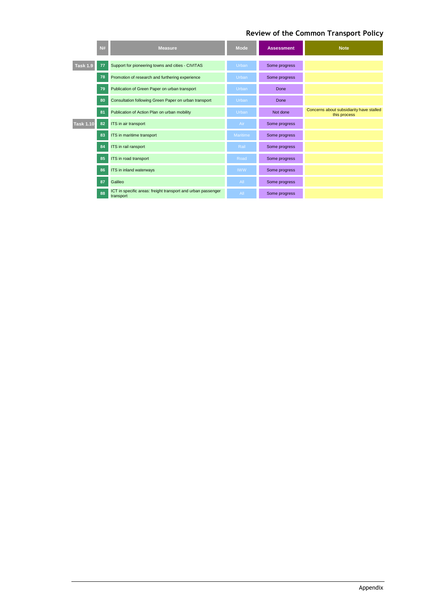|                  | <b>N#</b> | <b>Measure</b>                                                            | <b>Mode</b>     | <b>Assessment</b> | <b>Note</b>                                              |
|------------------|-----------|---------------------------------------------------------------------------|-----------------|-------------------|----------------------------------------------------------|
| <b>Task 1.9</b>  | 77        | Support for pioneering towns and cities - CIVITAS                         | <b>Urban</b>    | Some progress     |                                                          |
|                  | 78        | Promotion of research and furthering experience                           | <b>Urban</b>    | Some progress     |                                                          |
|                  | 79        | Publication of Green Paper on urban transport                             | Urban           | Done              |                                                          |
|                  | 80        | Consultation following Green Paper on urban transport                     | Urban           | Done              |                                                          |
|                  | 81        | Publication of Action Plan on urban mobility                              | Urban           | Not done          | Concerns about subsidiarity have stalled<br>this process |
| <b>Task 1.10</b> | 82        | ITS in air transport                                                      | Air             | Some progress     |                                                          |
|                  | 83        | ITS in maritime transport                                                 | <b>Maritime</b> | Some progress     |                                                          |
|                  | 84        | ITS in rail ransport                                                      | Rail            | Some progress     |                                                          |
|                  | 85        | ITS in road transport                                                     | Road            | Some progress     |                                                          |
|                  | 86        | ITS in inland waterways                                                   | <b>IWW</b>      | Some progress     |                                                          |
|                  | 87        | Galileo                                                                   | All             | Some progress     |                                                          |
|                  | 88        | ICT in specific areas: freight transport and urban passenger<br>transport | $A$ ll          | Some progress     |                                                          |